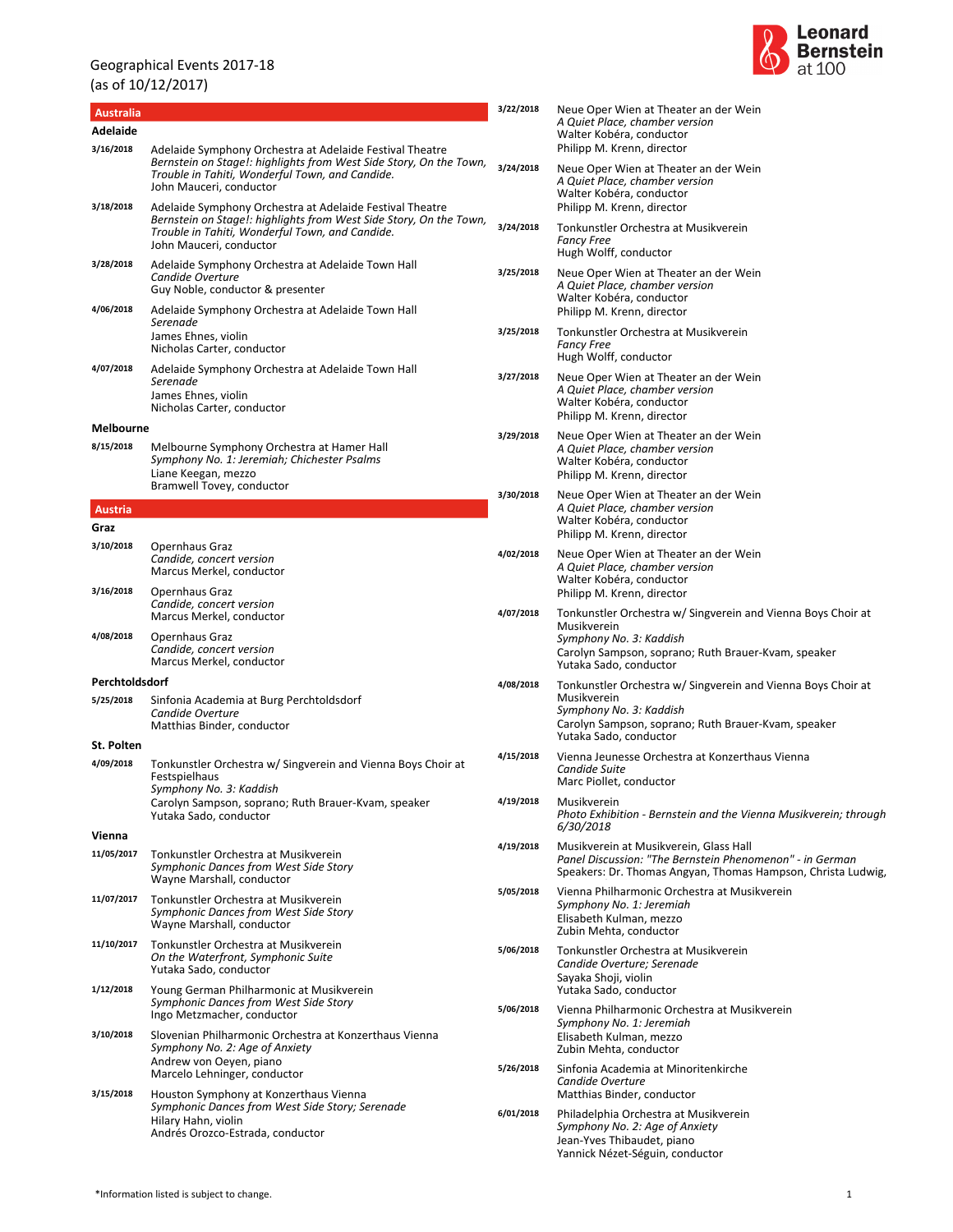

|                               |                                                                                                                                                                                                              | 3/22/2018 | Neue Oper Wien at Theater an der Wein                                                                                                                                  |
|-------------------------------|--------------------------------------------------------------------------------------------------------------------------------------------------------------------------------------------------------------|-----------|------------------------------------------------------------------------------------------------------------------------------------------------------------------------|
| <b>Australia</b><br>Adelaide  |                                                                                                                                                                                                              |           | A Quiet Place, chamber version<br>Walter Kobéra, conductor                                                                                                             |
| 3/16/2018                     | Adelaide Symphony Orchestra at Adelaide Festival Theatre<br>Bernstein on Stage!: highlights from West Side Story, On the Town,<br>Trouble in Tahiti, Wonderful Town, and Candide.<br>John Mauceri, conductor | 3/24/2018 | Philipp M. Krenn, director<br>Neue Oper Wien at Theater an der Wein<br>A Quiet Place, chamber version<br>Walter Kobéra, conductor                                      |
| 3/18/2018                     | Adelaide Symphony Orchestra at Adelaide Festival Theatre<br>Bernstein on Stage!: highlights from West Side Story, On the Town,<br>Trouble in Tahiti, Wonderful Town, and Candide.<br>John Mauceri, conductor | 3/24/2018 | Philipp M. Krenn, director<br>Tonkunstler Orchestra at Musikverein<br><b>Fancy Free</b>                                                                                |
| 3/28/2018                     | Adelaide Symphony Orchestra at Adelaide Town Hall<br>Candide Overture<br>Guy Noble, conductor & presenter                                                                                                    | 3/25/2018 | Hugh Wolff, conductor<br>Neue Oper Wien at Theater an der Wein<br>A Quiet Place, chamber version<br>Walter Kobéra, conductor                                           |
| 4/06/2018                     | Adelaide Symphony Orchestra at Adelaide Town Hall<br>Serenade<br>James Ehnes, violin                                                                                                                         | 3/25/2018 | Philipp M. Krenn, director<br>Tonkunstler Orchestra at Musikverein<br><b>Fancy Free</b>                                                                                |
| 4/07/2018                     | Nicholas Carter, conductor<br>Adelaide Symphony Orchestra at Adelaide Town Hall                                                                                                                              |           | Hugh Wolff, conductor                                                                                                                                                  |
|                               | Serenade<br>James Ehnes, violin<br>Nicholas Carter, conductor                                                                                                                                                | 3/27/2018 | Neue Oper Wien at Theater an der Wein<br>A Quiet Place, chamber version<br>Walter Kobéra, conductor<br>Philipp M. Krenn, director                                      |
| <b>Melbourne</b><br>8/15/2018 | Melbourne Symphony Orchestra at Hamer Hall<br>Symphony No. 1: Jeremiah; Chichester Psalms<br>Liane Keegan, mezzo<br>Bramwell Tovey, conductor                                                                | 3/29/2018 | Neue Oper Wien at Theater an der Wein<br>A Quiet Place, chamber version<br>Walter Kobéra, conductor<br>Philipp M. Krenn, director                                      |
| Austria<br>Graz               |                                                                                                                                                                                                              | 3/30/2018 | Neue Oper Wien at Theater an der Wein<br>A Quiet Place, chamber version<br>Walter Kobéra, conductor<br>Philipp M. Krenn, director                                      |
| 3/10/2018<br>3/16/2018        | Opernhaus Graz<br>Candide, concert version<br>Marcus Merkel, conductor<br>Opernhaus Graz                                                                                                                     | 4/02/2018 | Neue Oper Wien at Theater an der Wein<br>A Quiet Place, chamber version<br>Walter Kobéra, conductor                                                                    |
|                               | Candide, concert version<br>Marcus Merkel, conductor                                                                                                                                                         | 4/07/2018 | Philipp M. Krenn, director<br>Tonkunstler Orchestra w/ Singverein and Vienna Boys Choir at<br>Musikverein                                                              |
| 4/08/2018                     | Opernhaus Graz<br>Candide, concert version<br>Marcus Merkel, conductor                                                                                                                                       |           | Symphony No. 3: Kaddish<br>Carolyn Sampson, soprano; Ruth Brauer-Kvam, speaker<br>Yutaka Sado, conductor                                                               |
| Perchtoldsdorf                |                                                                                                                                                                                                              | 4/08/2018 | Tonkunstler Orchestra w/ Singverein and Vienna Boys Choir at                                                                                                           |
| 5/25/2018                     | Sinfonia Academia at Burg Perchtoldsdorf<br>Candide Overture<br>Matthias Binder, conductor                                                                                                                   |           | Musikverein<br>Symphony No. 3: Kaddish<br>Carolyn Sampson, soprano; Ruth Brauer-Kvam, speaker<br>Yutaka Sado, conductor                                                |
| St. Polten<br>4/09/2018       | Tonkunstler Orchestra w/ Singverein and Vienna Boys Choir at<br>Festspielhaus<br>Symphony No. 3: Kaddish                                                                                                     | 4/15/2018 | Vienna Jeunesse Orchestra at Konzerthaus Vienna<br>Candide Suite<br>Marc Piollet, conductor                                                                            |
|                               | Carolyn Sampson, soprano; Ruth Brauer-Kvam, speaker<br>Yutaka Sado, conductor                                                                                                                                | 4/19/2018 | Musikverein<br>Photo Exhibition - Bernstein and the Vienna Musikverein; through<br>6/30/2018                                                                           |
| Vienna<br>11/05/2017          | Tonkunstler Orchestra at Musikverein<br>Symphonic Dances from West Side Story<br>Wayne Marshall, conductor                                                                                                   | 4/19/2018 | Musikverein at Musikverein, Glass Hall<br>Panel Discussion: "The Bernstein Phenomenon" - in German<br>Speakers: Dr. Thomas Angyan, Thomas Hampson, Christa Ludwig,     |
| 11/07/2017                    | Tonkunstler Orchestra at Musikverein<br>Symphonic Dances from West Side Story<br>Wayne Marshall, conductor                                                                                                   | 5/05/2018 | Vienna Philharmonic Orchestra at Musikverein<br>Symphony No. 1: Jeremiah<br>Elisabeth Kulman, mezzo<br>Zubin Mehta, conductor                                          |
| 11/10/2017                    | Tonkunstler Orchestra at Musikverein<br>On the Waterfront, Symphonic Suite<br>Yutaka Sado, conductor                                                                                                         | 5/06/2018 | Tonkunstler Orchestra at Musikverein<br>Candide Overture; Serenade<br>Sayaka Shoji, violin                                                                             |
| 1/12/2018                     | Young German Philharmonic at Musikverein<br>Symphonic Dances from West Side Story<br>Ingo Metzmacher, conductor                                                                                              | 5/06/2018 | Yutaka Sado, conductor<br>Vienna Philharmonic Orchestra at Musikverein                                                                                                 |
| 3/10/2018                     | Slovenian Philharmonic Orchestra at Konzerthaus Vienna<br>Symphony No. 2: Age of Anxiety                                                                                                                     |           | Symphony No. 1: Jeremiah<br>Elisabeth Kulman, mezzo<br>Zubin Mehta, conductor                                                                                          |
| 3/15/2018                     | Andrew von Oeyen, piano<br>Marcelo Lehninger, conductor                                                                                                                                                      | 5/26/2018 | Sinfonia Academia at Minoritenkirche<br>Candide Overture                                                                                                               |
|                               | Houston Symphony at Konzerthaus Vienna<br>Symphonic Dances from West Side Story; Serenade<br>Hilary Hahn, violin<br>Andrés Orozco-Estrada, conductor                                                         | 6/01/2018 | Matthias Binder, conductor<br>Philadelphia Orchestra at Musikverein<br>Symphony No. 2: Age of Anxiety<br>Jean-Yves Thibaudet, piano<br>Yannick Nézet-Séguin, conductor |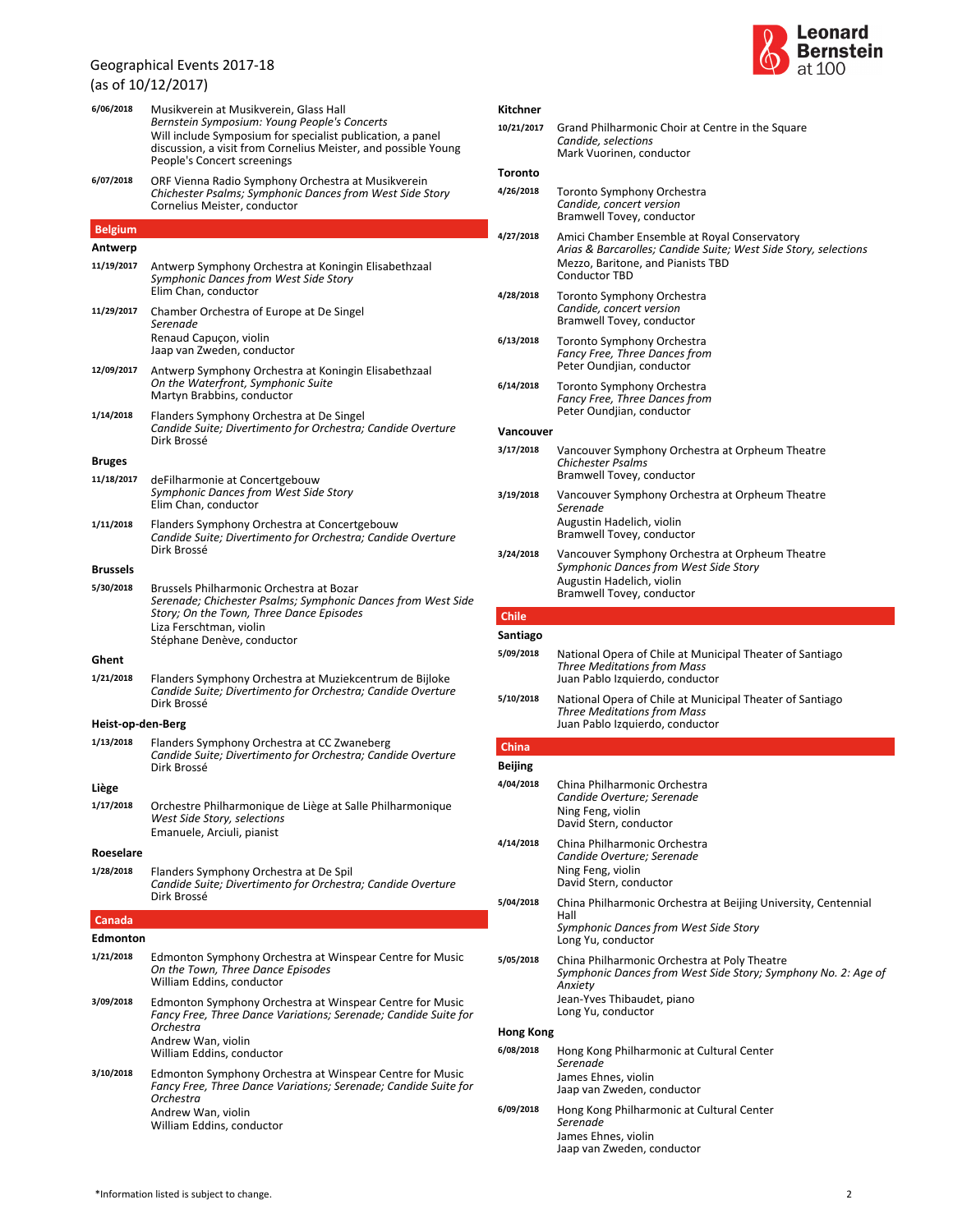**6/06/2018** Musikverein at Musikverein, Glass Hall

(as of 10/12/2017)



|  | Kitchner |  |
|--|----------|--|
|  |          |  |

| Musikverein at Musikverein, Glass Hall                                                                                                                                                                      | Kitchner                |                                                                                                                                                                              |
|-------------------------------------------------------------------------------------------------------------------------------------------------------------------------------------------------------------|-------------------------|------------------------------------------------------------------------------------------------------------------------------------------------------------------------------|
| Bernstein Symposium: Young People's Concerts<br>Will include Symposium for specialist publication, a panel<br>discussion, a visit from Cornelius Meister, and possible Young<br>People's Concert screenings | 10/21/2017              | Grand Philharmonic Choir at Centre in the Square<br>Candide, selections<br>Mark Vuorinen, conductor                                                                          |
| ORF Vienna Radio Symphony Orchestra at Musikverein                                                                                                                                                          | Toronto                 |                                                                                                                                                                              |
| Chichester Psalms; Symphonic Dances from West Side Story<br>Cornelius Meister, conductor                                                                                                                    | 4/26/2018               | Toronto Symphony Orchestra<br>Candide, concert version<br>Bramwell Tovey, conductor                                                                                          |
| Antwerp Symphony Orchestra at Koningin Elisabethzaal<br>Symphonic Dances from West Side Story                                                                                                               | 4/27/2018               | Amici Chamber Ensemble at Royal Conservatory<br>Arias & Barcarolles; Candide Suite; West Side Story, selections<br>Mezzo, Baritone, and Pianists TBD<br><b>Conductor TBD</b> |
| Elim Chan, conductor<br>Chamber Orchestra of Europe at De Singel<br>Serenade                                                                                                                                | 4/28/2018               | Toronto Symphony Orchestra<br>Candide, concert version<br>Bramwell Tovey, conductor                                                                                          |
| Renaud Capuçon, violin<br>Jaap van Zweden, conductor                                                                                                                                                        | 6/13/2018               | Toronto Symphony Orchestra<br>Fancy Free, Three Dances from<br>Peter Oundjian, conductor                                                                                     |
| Antwerp Symphony Orchestra at Koningin Elisabethzaal<br>On the Waterfront, Symphonic Suite<br>Martyn Brabbins, conductor                                                                                    | 6/14/2018               | Toronto Symphony Orchestra<br>Fancy Free, Three Dances from                                                                                                                  |
| Flanders Symphony Orchestra at De Singel                                                                                                                                                                    |                         | Peter Oundjian, conductor                                                                                                                                                    |
| Candide Suite; Divertimento for Orchestra; Candide Overture<br>Dirk Brossé                                                                                                                                  | Vancouver               |                                                                                                                                                                              |
| deFilharmonie at Concertgebouw                                                                                                                                                                              | 3/17/2018               | Vancouver Symphony Orchestra at Orpheum Theatre<br><b>Chichester Psalms</b><br>Bramwell Tovey, conductor                                                                     |
| Symphonic Dances from West Side Story<br>Elim Chan, conductor<br>Flanders Symphony Orchestra at Concertgebouw                                                                                               | 3/19/2018               | Vancouver Symphony Orchestra at Orpheum Theatre<br>Serenade<br>Augustin Hadelich, violin                                                                                     |
| Candide Suite; Divertimento for Orchestra; Candide Overture                                                                                                                                                 |                         | Bramwell Tovey, conductor                                                                                                                                                    |
| Dirk Brossé<br>Brussels Philharmonic Orchestra at Bozar                                                                                                                                                     | 3/24/2018               | Vancouver Symphony Orchestra at Orpheum Theatre<br>Symphonic Dances from West Side Story<br>Augustin Hadelich, violin                                                        |
| Serenade; Chichester Psalms; Symphonic Dances from West Side                                                                                                                                                |                         | Bramwell Tovey, conductor                                                                                                                                                    |
| Story; On the Town, Three Dance Episodes                                                                                                                                                                    | <b>Chile</b>            |                                                                                                                                                                              |
| Liza Ferschtman, violin<br>Stéphane Denève, conductor                                                                                                                                                       | Santiago                |                                                                                                                                                                              |
| Flanders Symphony Orchestra at Muziekcentrum de Bijloke                                                                                                                                                     | 5/09/2018               | National Opera of Chile at Municipal Theater of Santiago<br><b>Three Meditations from Mass</b><br>Juan Pablo Izquierdo, conductor                                            |
| Candide Suite; Divertimento for Orchestra; Candide Overture<br>Dirk Brossé                                                                                                                                  | 5/10/2018               | National Opera of Chile at Municipal Theater of Santiago<br><b>Three Meditations from Mass</b>                                                                               |
| n-Berg                                                                                                                                                                                                      |                         | Juan Pablo Izquierdo, conductor                                                                                                                                              |
| Flanders Symphony Orchestra at CC Zwaneberg<br>Candide Suite; Divertimento for Orchestra; Candide Overture<br>Dirk Brossé                                                                                   | China<br><b>Beijing</b> |                                                                                                                                                                              |
|                                                                                                                                                                                                             | 4/04/2018               | China Philharmonic Orchestra                                                                                                                                                 |
| Orchestre Philharmonique de Liège at Salle Philharmonique<br>West Side Story, selections                                                                                                                    |                         | Candide Overture; Serenade<br>Ning Feng, violin<br>David Stern, conductor                                                                                                    |
| Emanuele, Arciuli, pianist<br>Flanders Symphony Orchestra at De Spil                                                                                                                                        | 4/14/2018               | China Philharmonic Orchestra<br>Candide Overture; Serenade<br>Ning Feng, violin                                                                                              |
| Candide Suite; Divertimento for Orchestra; Candide Overture                                                                                                                                                 |                         | David Stern, conductor                                                                                                                                                       |
| Dirk Brossé                                                                                                                                                                                                 | 5/04/2018               | China Philharmonic Orchestra at Beijing University, Centennial<br>Hall<br>Symphonic Dances from West Side Story                                                              |
|                                                                                                                                                                                                             |                         | Long Yu, conductor                                                                                                                                                           |
| Edmonton Symphony Orchestra at Winspear Centre for Music<br>On the Town, Three Dance Episodes<br>William Eddins, conductor                                                                                  | 5/05/2018               | China Philharmonic Orchestra at Poly Theatre<br>Symphonic Dances from West Side Story; Symphony No. 2: Age of<br>Anxiety                                                     |
| Edmonton Symphony Orchestra at Winspear Centre for Music<br>Fancy Free, Three Dance Variations; Serenade; Candide Suite for                                                                                 |                         | Jean-Yves Thibaudet, piano<br>Long Yu, conductor                                                                                                                             |
| Orchestra<br>Andrew Wan, violin                                                                                                                                                                             | <b>Hong Kong</b>        |                                                                                                                                                                              |
| William Eddins, conductor                                                                                                                                                                                   | 6/08/2018               | Hong Kong Philharmonic at Cultural Center                                                                                                                                    |
| Edmonton Symphony Orchestra at Winspear Centre for Music<br>Fancy Free, Three Dance Variations; Serenade; Candide Suite for<br>Orchestra                                                                    |                         | Serenade<br>James Ehnes, violin<br>Jaap van Zweden, conductor                                                                                                                |
| Andrew Wan, violin<br>William Eddins, conductor                                                                                                                                                             | 6/09/2018               | Hong Kong Philharmonic at Cultural Center<br>Serenade<br>James Ehnes, violin<br>Jaap van Zweden, conductor                                                                   |

### People's Concert screenings *Chichester Psalms; Symphonic Dances from West Side Story* Cornelius Meister, conductor **6/07/2018** ORF Vienna Radio Symphony Orchestra at Musikverein **Belgium**

### **Antwerp**

| יונייכוף          |                                                                                                                                                                                                               |
|-------------------|---------------------------------------------------------------------------------------------------------------------------------------------------------------------------------------------------------------|
| 11/19/2017        | Antwerp Symphony Orchestra at Koningin Elisabethzaal<br>Symphonic Dances from West Side Story<br>Elim Chan, conductor                                                                                         |
| 11/29/2017        | Chamber Orchestra of Europe at De Singel<br>Serenade<br>Renaud Capuçon, violin<br>Jaap van Zweden, conductor                                                                                                  |
| 12/09/2017        | Antwerp Symphony Orchestra at Koningin Elisabethzaal<br>On the Waterfront, Symphonic Suite<br>Martyn Brabbins, conductor                                                                                      |
| 1/14/2018         | Flanders Symphony Orchestra at De Singel<br>Candide Suite; Divertimento for Orchestra; Candide Overture<br>Dirk Brossé                                                                                        |
| <b>Bruges</b>     |                                                                                                                                                                                                               |
| 11/18/2017        | deFilharmonie at Concertgebouw<br>Symphonic Dances from West Side Story<br>Elim Chan, conductor                                                                                                               |
| 1/11/2018         | Flanders Symphony Orchestra at Concertgebouw<br>Candide Suite; Divertimento for Orchestra; Candide Overture<br>Dirk Brossé                                                                                    |
| <b>Brussels</b>   |                                                                                                                                                                                                               |
| 5/30/2018         | Brussels Philharmonic Orchestra at Bozar<br>Serenade; Chichester Psalms; Symphonic Dances from West Side<br>Story; On the Town, Three Dance Episodes<br>Liza Ferschtman, violin<br>Stéphane Denève, conductor |
| Ghent             |                                                                                                                                                                                                               |
| 1/21/2018         | Flanders Symphony Orchestra at Muziekcentrum de Bijloke<br>Candide Suite; Divertimento for Orchestra; Candide Overture<br>Dirk Brossé                                                                         |
| Heist-op-den-Berg |                                                                                                                                                                                                               |
| 1/13/2018         | Flanders Symphony Orchestra at CC Zwaneberg<br>Candide Suite; Divertimento for Orchestra; Candide Overture<br>Dirk Brossé                                                                                     |
| Liège             |                                                                                                                                                                                                               |
| 1/17/2018         | Orchestre Philharmonique de Liège at Salle Philharmonique<br>West Side Story, selections<br>Emanuele, Arciuli, pianist                                                                                        |
| Roeselare         |                                                                                                                                                                                                               |
| 1/28/2018         | Flanders Symphony Orchestra at De Spil<br>Candide Suite; Divertimento for Orchestra; Candide Overture<br>Dirk Brossé                                                                                          |
| Canada            |                                                                                                                                                                                                               |
| Edmonton          |                                                                                                                                                                                                               |
| 1/21/2018         | Edmonton Symphony Orchestra at Winspear Centre for Music<br>On the Town, Three Dance Episodes<br>William Eddins, conductor                                                                                    |
| 3/09/2018         | Edmonton Symphony Orchestra at Winspear Centre for Music<br>Fancy Free, Three Dance Variations; Serenade; Candide Suite for<br>Orchestra<br>Andrew Wan, violin<br>William Eddins, conductor                   |
| 3/10/2018         | Edmonton Symphony Orchestra at Winspear Centre for Music<br>Fancy Free, Three Dance Variations; Serenade; Candide Suite for<br>Orchestra<br>Andrew Wan, violin<br>William Eddins, conductor                   |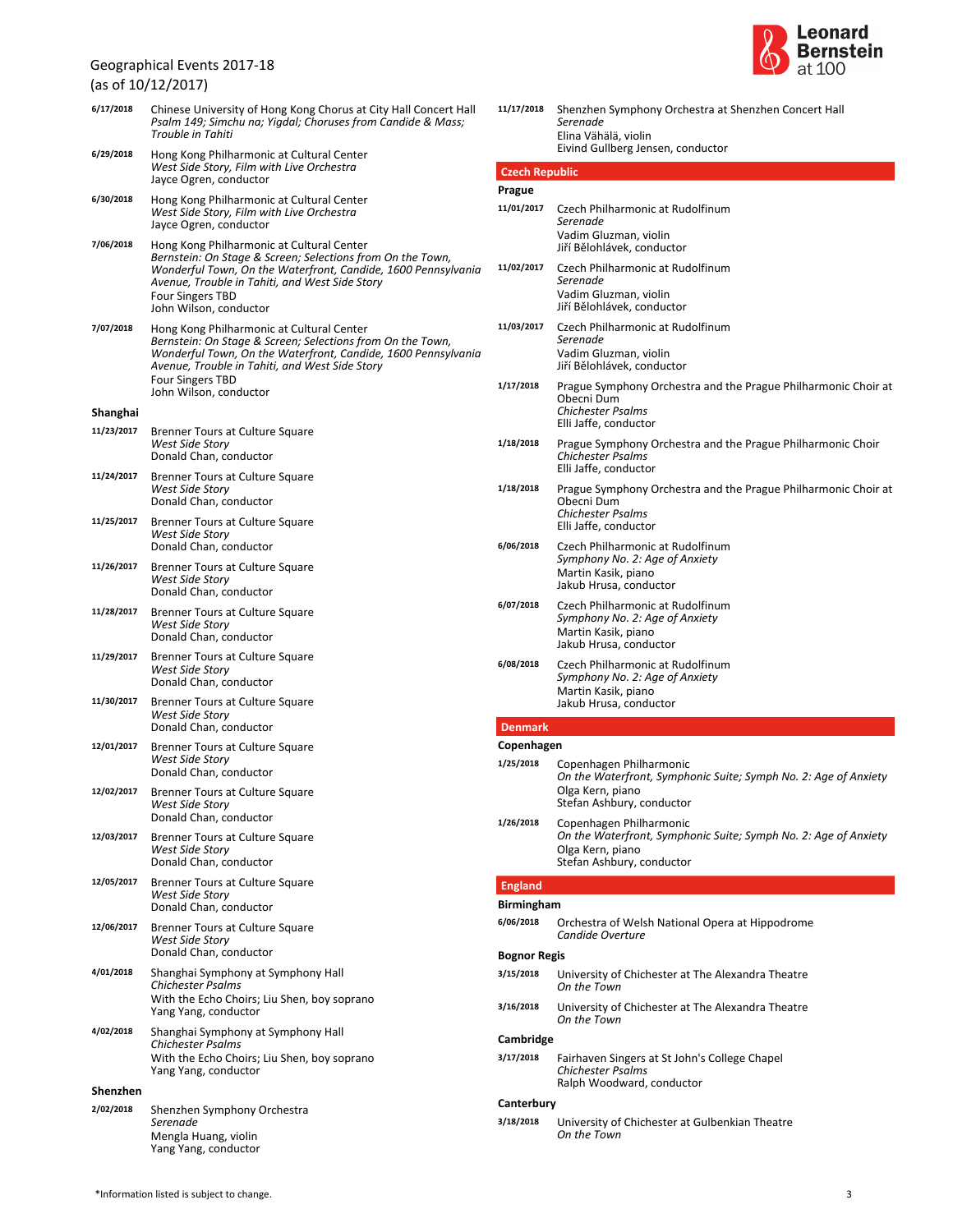(as of 10/12/2017)



| 6/17/2018  | Chinese University of Hong Kong Chorus at City Hall Concert Hall<br>Psalm 149; Simchu na; Yigdal; Choruses from Candide & Mass;<br>Trouble in Tahiti                                                                                                                            | 11/17/2018              | Shenzhen S<br>Serenade<br>Elina Vähäl                                          |
|------------|---------------------------------------------------------------------------------------------------------------------------------------------------------------------------------------------------------------------------------------------------------------------------------|-------------------------|--------------------------------------------------------------------------------|
| 6/29/2018  | Hong Kong Philharmonic at Cultural Center<br>West Side Story, Film with Live Orchestra                                                                                                                                                                                          | <b>Czech Republic</b>   | <b>Eivind Gullb</b>                                                            |
|            | Jayce Ogren, conductor                                                                                                                                                                                                                                                          | Prague                  |                                                                                |
| 6/30/2018  | Hong Kong Philharmonic at Cultural Center<br>West Side Story, Film with Live Orchestra<br>Jayce Ogren, conductor                                                                                                                                                                | 11/01/2017              | <b>Czech Philh</b><br>Serenade<br>Vadim Gluz                                   |
| 7/06/2018  | Hong Kong Philharmonic at Cultural Center<br>Bernstein: On Stage & Screen; Selections from On the Town,<br>Wonderful Town, On the Waterfront, Candide, 1600 Pennsylvania<br>Avenue, Trouble in Tahiti, and West Side Story<br><b>Four Singers TBD</b><br>John Wilson, conductor | 11/02/2017              | Jiří Bělohláv<br><b>Czech Philh</b><br>Serenade<br>Vadim Gluz<br>Jiří Bělohláv |
| 7/07/2018  | Hong Kong Philharmonic at Cultural Center<br>Bernstein: On Stage & Screen; Selections from On the Town,<br>Wonderful Town, On the Waterfront, Candide, 1600 Pennsylvania<br>Avenue, Trouble in Tahiti, and West Side Story<br><b>Four Singers TBD</b>                           | 11/03/2017              | <b>Czech Philh</b><br>Serenade<br>Vadim Gluz<br>Jiří Bělohláv                  |
| Shanghai   | John Wilson, conductor                                                                                                                                                                                                                                                          | 1/17/2018               | Prague Sym<br>Obecni Dur<br>Chichester                                         |
| 11/23/2017 | Brenner Tours at Culture Square                                                                                                                                                                                                                                                 |                         | Elli Jaffe, co                                                                 |
|            | West Side Story<br>Donald Chan, conductor                                                                                                                                                                                                                                       | 1/18/2018               | Prague Sym<br>Chichester<br>Elli Jaffe, co                                     |
| 11/24/2017 | Brenner Tours at Culture Square<br><b>West Side Story</b><br>Donald Chan, conductor                                                                                                                                                                                             | 1/18/2018               | Prague Sym<br>Obecni Dur<br>Chichester                                         |
| 11/25/2017 | Brenner Tours at Culture Square<br><b>West Side Story</b><br>Donald Chan, conductor                                                                                                                                                                                             | 6/06/2018               | Elli Jaffe, co<br>Czech Philh                                                  |
| 11/26/2017 | Brenner Tours at Culture Square<br><b>West Side Story</b><br>Donald Chan, conductor                                                                                                                                                                                             |                         | Symphony<br>Martin Kasi<br>Jakub Hrus                                          |
| 11/28/2017 | Brenner Tours at Culture Square<br>West Side Story<br>Donald Chan, conductor                                                                                                                                                                                                    | 6/07/2018               | <b>Czech Philh</b><br>، Symphony<br>Martin Kasi<br>Jakub Hrus                  |
| 11/29/2017 | Brenner Tours at Culture Square<br>West Side Story<br>Donald Chan, conductor                                                                                                                                                                                                    | 6/08/2018               | Czech Philh<br>Symphony<br><b>Martin Kasi</b>                                  |
| 11/30/2017 | Brenner Tours at Culture Square<br>West Side Story<br>Donald Chan, conductor                                                                                                                                                                                                    | <b>Denmark</b>          | Jakub Hrus                                                                     |
| 12/01/2017 | Brenner Tours at Culture Square                                                                                                                                                                                                                                                 | Copenhagen              |                                                                                |
|            | West Side Story<br>Donald Chan, conductor                                                                                                                                                                                                                                       | 1/25/2018               | Copenhage<br>On the Wat                                                        |
| 12/02/2017 | Brenner Tours at Culture Square<br><b>West Side Story</b><br>Donald Chan, conductor                                                                                                                                                                                             | 1/26/2018               | Olga Kern,<br>Stefan Ashl                                                      |
| 12/03/2017 | Brenner Tours at Culture Square<br><b>West Side Story</b><br>Donald Chan, conductor                                                                                                                                                                                             |                         | Copenhage<br>On the Wat<br>Olga Kern,<br>Stefan Ashl                           |
| 12/05/2017 | Brenner Tours at Culture Square                                                                                                                                                                                                                                                 | <b>England</b>          |                                                                                |
|            | <b>West Side Story</b><br>Donald Chan, conductor                                                                                                                                                                                                                                | <b>Birmingham</b>       |                                                                                |
| 12/06/2017 | Brenner Tours at Culture Square<br><b>West Side Story</b>                                                                                                                                                                                                                       | 6/06/2018               | Orchestra c<br>Candide Ov                                                      |
|            | Donald Chan, conductor                                                                                                                                                                                                                                                          | <b>Bognor Regis</b>     |                                                                                |
| 4/01/2018  | Shanghai Symphony at Symphony Hall<br><b>Chichester Psalms</b><br>With the Echo Choirs; Liu Shen, boy soprano                                                                                                                                                                   | 3/15/2018               | University o<br>On the Tow                                                     |
|            | Yang Yang, conductor                                                                                                                                                                                                                                                            | 3/16/2018               | University o<br>On the Tow                                                     |
| 4/02/2018  | Shanghai Symphony at Symphony Hall<br><b>Chichester Psalms</b>                                                                                                                                                                                                                  | Cambridge               |                                                                                |
|            | With the Echo Choirs; Liu Shen, boy soprano<br>Yang Yang, conductor                                                                                                                                                                                                             | 3/17/2018               | Fairhaven S<br>Chichester<br>Ralph Woo                                         |
| Shenzhen   |                                                                                                                                                                                                                                                                                 |                         |                                                                                |
| 2/02/2018  | Shenzhen Symphony Orchestra<br>Serenade<br>Mengla Huang, violin<br>Yang Yang, conductor                                                                                                                                                                                         | Canterbury<br>3/18/2018 | University o<br>On the Tow                                                     |
|            |                                                                                                                                                                                                                                                                                 |                         |                                                                                |

| 11/17/2018            | Shenzhen Symphony Orchestra at Shenzhen Concert Hall<br>Serenade<br>Elina Vähälä, violin<br>Eivind Gullberg Jensen, conductor               |
|-----------------------|---------------------------------------------------------------------------------------------------------------------------------------------|
| <b>Czech Republic</b> |                                                                                                                                             |
| Prague                |                                                                                                                                             |
| 11/01/2017            | Czech Philharmonic at Rudolfinum<br>Serenade<br>Vadim Gluzman, violin<br>Jiří Bělohlávek, conductor                                         |
| 11/02/2017            | Czech Philharmonic at Rudolfinum<br>Serenade<br>Vadim Gluzman, violin<br>Jiří Bělohlávek, conductor                                         |
| 11/03/2017            | Czech Philharmonic at Rudolfinum<br>Serenade<br>Vadim Gluzman, violin<br>Jiří Bělohlávek, conductor                                         |
| 1/17/2018             | Prague Symphony Orchestra and the Prague Philharmonic Choir at<br>Obecni Dum<br>Chichester Psalms<br>Elli Jaffe, conductor                  |
| 1/18/2018             | Prague Symphony Orchestra and the Prague Philharmonic Choir<br><b>Chichester Psalms</b><br>Elli Jaffe, conductor                            |
| 1/18/2018             | Prague Symphony Orchestra and the Prague Philharmonic Choir at<br>Obecni Dum<br><b>Chichester Psalms</b><br>Elli Jaffe, conductor           |
| 6/06/2018             | Czech Philharmonic at Rudolfinum<br>Symphony No. 2: Age of Anxiety<br>Martin Kasik, piano<br>Jakub Hrusa, conductor                         |
| 6/07/2018             | Czech Philharmonic at Rudolfinum<br>Symphony No. 2: Age of Anxiety<br>Martin Kasik, piano<br>Jakub Hrusa, conductor                         |
| 6/08/2018             | Czech Philharmonic at Rudolfinum<br>Symphony No. 2: Age of Anxiety<br>Martin Kasik, piano<br>Jakub Hrusa, conductor                         |
| <b>Denmark</b>        |                                                                                                                                             |
| Copenhagen            |                                                                                                                                             |
| 1/25/2018             | Copenhagen Philharmonic<br>On the Waterfront, Symphonic Suite; Symph No. 2: Age of Anxiety<br>Olga Kern, piano<br>Stefan Ashbury, conductor |
| 1/26/2018             | Copenhagen Philharmonic<br>On the Waterfront, Symphonic Suite; Symph No. 2: Age of Anxiety<br>Olga Kern, piano<br>Stefan Ashbury, conductor |
| <b>England</b>        |                                                                                                                                             |
| Birmingham            |                                                                                                                                             |
| 6/06/2018             | Orchestra of Welsh National Opera at Hippodrome                                                                                             |
|                       | Candide Overture                                                                                                                            |

| 3/15/2018 | University of Chichester at The Alexandra Theatre<br>On the Town |
|-----------|------------------------------------------------------------------|
| 3/16/2018 | University of Chichester at The Alexandra Theatre<br>On the Town |
| Cambridge |                                                                  |

*Chichester Psalms* dward, conductor **3/17/2018** Fairhaven Singers at St John's College Chapel

*On the Town* of Chichester at Gulbenkian Theatre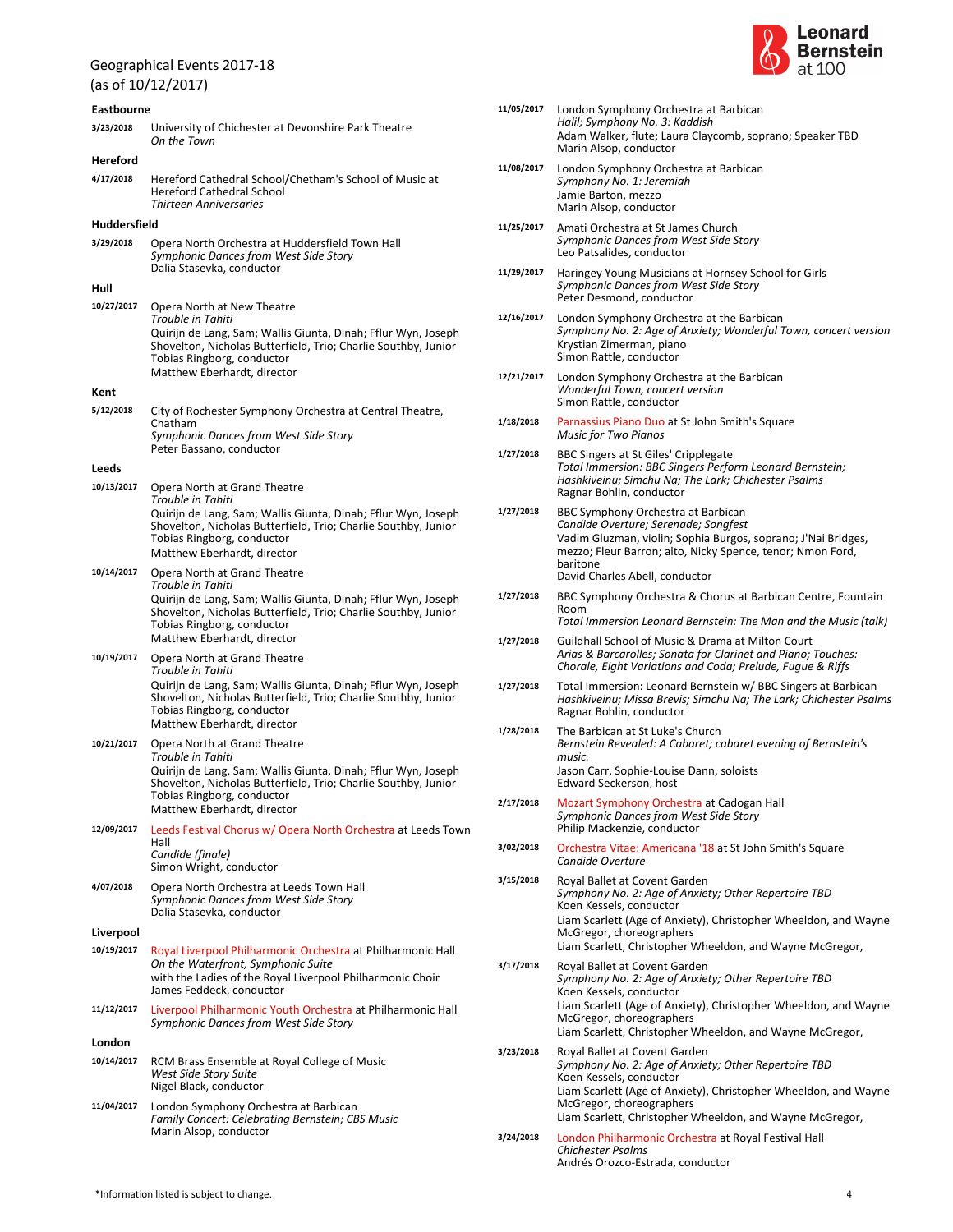### (as of 10/12/2017) **Eastbourne** *On the Town* **3/23/2018** University of Chichester at Devonshire Park Theatre **Hereford** *Thirteen Anniversaries* **4/17/2018** Hereford Cathedral School/Chetham's School of Music at Hereford Cathedral School **Huddersfield** *Symphonic Dances from West Side Story* Dalia Stasevka, conductor **3/29/2018** Opera North Orchestra at Huddersfield Town Hall **Hull** *Trouble in Tahiti* Tobias Ringborg, conductor Quirijn de Lang, Sam; Wallis Giunta, Dinah; Fflur Wyn, Joseph Shovelton, Nicholas Butterfield, Trio; Charlie Southby, Junior Matthew Eberhardt, director **10/27/2017** Opera North at New Theatre **Kent** *Symphonic Dances from West Side Story* Peter Bassano, conductor **5/12/2018** City of Rochester Symphony Orchestra at Central Theatre, Chatham **Leeds** *Trouble in Tahiti* Tobias Ringborg, conductor Quirijn de Lang, Sam; Wallis Giunta, Dinah; Fflur Wyn, Joseph Shovelton, Nicholas Butterfield, Trio; Charlie Southby, Junior Matthew Eberhardt, director **10/13/2017** Opera North at Grand Theatre *Trouble in Tahiti* Tobias Ringborg, conductor Quirijn de Lang, Sam; Wallis Giunta, Dinah; Fflur Wyn, Joseph Shovelton, Nicholas Butterfield, Trio; Charlie Southby, Junior Matthew Eberhardt, director **10/14/2017** Opera North at Grand Theatre *Trouble in Tahiti* Tobias Ringborg, conductor Quirijn de Lang, Sam; Wallis Giunta, Dinah; Fflur Wyn, Joseph Shovelton, Nicholas Butterfield, Trio; Charlie Southby, Junior Matthew Eberhardt, director **10/19/2017** Opera North at Grand Theatre *Trouble in Tahiti* Tobias Ringborg, conductor Quirijn de Lang, Sam; Wallis Giunta, Dinah; Fflur Wyn, Joseph Shovelton, Nicholas Butterfield, Trio; Charlie Southby, Junior Matthew Eberhardt, director **10/21/2017** Opera North at Grand Theatre *Candide (finale)* Simon Wright, conductor **12/09/2017** Leeds Festival Chorus w/ Opera North Orchestra at Leeds Town Hall *Symphonic Dances from West Side Story* Dalia Stasevka, conductor **4/07/2018** Opera North Orchestra at Leeds Town Hall **Liverpool** *On the Waterfront, Symphonic Suite* James Feddeck, conductor with the Ladies of the Royal Liverpool Philharmonic Choir **10/19/2017** Royal Liverpool Philharmonic Orchestra at Philharmonic Hall *Symphonic Dances from West Side Story* **11/12/2017** Liverpool Philharmonic Youth Orchestra at Philharmonic Hall **London** *West Side Story Suite* Nigel Black, conductor **10/14/2017** RCM Brass Ensemble at Royal College of Music *Family Concert: Celebrating Bernstein; CBS Music* Marin Alsop, conductor **11/04/2017** London Symphony Orchestra at Barbican



|           | 11/05/2017 | London Symphony Orchestra at Barbican<br>Halil; Symphony No. 3: Kaddish<br>Adam Walker, flute; Laura Claycomb, soprano; Speaker TBD<br>Marin Alsop, conductor                                                                                                               |
|-----------|------------|-----------------------------------------------------------------------------------------------------------------------------------------------------------------------------------------------------------------------------------------------------------------------------|
|           | 11/08/2017 | London Symphony Orchestra at Barbican<br>Symphony No. 1: Jeremiah<br>Jamie Barton, mezzo<br>Marin Alsop, conductor                                                                                                                                                          |
|           | 11/25/2017 | Amati Orchestra at St James Church<br>Symphonic Dances from West Side Story<br>Leo Patsalides, conductor                                                                                                                                                                    |
|           | 11/29/2017 | Haringey Young Musicians at Hornsey School for Girls<br>Symphonic Dances from West Side Story<br>Peter Desmond, conductor                                                                                                                                                   |
|           | 12/16/2017 | London Symphony Orchestra at the Barbican<br>Symphony No. 2: Age of Anxiety; Wonderful Town, concert version<br>Krystian Zimerman, piano<br>Simon Rattle, conductor                                                                                                         |
|           | 12/21/2017 | London Symphony Orchestra at the Barbican<br>Wonderful Town, concert version<br>Simon Rattle, conductor                                                                                                                                                                     |
| 1/18/2018 |            | Parnassius Piano Duo at St John Smith's Square<br>Music for Two Pianos                                                                                                                                                                                                      |
| 1/27/2018 |            | BBC Singers at St Giles' Cripplegate<br>Total Immersion: BBC Singers Perform Leonard Bernstein;<br>Hashkiveinu; Simchu Na; The Lark; Chichester Psalms<br>Ragnar Bohlin, conductor                                                                                          |
| 1/27/2018 |            | BBC Symphony Orchestra at Barbican<br>Candide Overture; Serenade; Songfest<br>Vadim Gluzman, violin; Sophia Burgos, soprano; J'Nai Bridges,<br>mezzo; Fleur Barron; alto, Nicky Spence, tenor; Nmon Ford,<br>baritone<br>David Charles Abell, conductor                     |
| 1/27/2018 |            | BBC Symphony Orchestra & Chorus at Barbican Centre, Fountain<br>Room<br>Total Immersion Leonard Bernstein: The Man and the Music (talk)                                                                                                                                     |
|           | 1/27/2018  | Guildhall School of Music & Drama at Milton Court<br>Arias & Barcarolles; Sonata for Clarinet and Piano; Touches:<br>Chorale, Eight Variations and Coda; Prelude, Fugue & Riffs                                                                                             |
| 1/27/2018 |            | Total Immersion: Leonard Bernstein w/ BBC Singers at Barbican<br>Hashkiveinu; Missa Brevis; Simchu Na; The Lark; Chichester Psalms<br>Ragnar Bohlin, conductor                                                                                                              |
| 1/28/2018 |            | The Barbican at St Luke's Church<br>Bernstein Revealed: A Cabaret; cabaret evening of Bernstein's<br>music.                                                                                                                                                                 |
|           |            | Jason Carr, Sophie-Louise Dann, soloists<br>Edward Seckerson, host                                                                                                                                                                                                          |
| 2/17/2018 |            | Mozart Symphony Orchestra at Cadogan Hall<br>Symphonic Dances from West Side Story<br>Philip Mackenzie, conductor                                                                                                                                                           |
|           | 3/02/2018  | Orchestra Vitae: Americana '18 at St John Smith's Square<br>Candide Overture                                                                                                                                                                                                |
|           | 3/15/2018  | Royal Ballet at Covent Garden<br>Symphony No. 2: Age of Anxiety; Other Repertoire TBD<br>Koen Kessels, conductor<br>Liam Scarlett (Age of Anxiety), Christopher Wheeldon, and Wayne<br>McGregor, choreographers<br>Liam Scarlett, Christopher Wheeldon, and Wayne McGregor, |
| 3/17/2018 |            | Royal Ballet at Covent Garden<br>Symphony No. 2: Age of Anxiety; Other Repertoire TBD<br>Koen Kessels, conductor<br>Liam Scarlett (Age of Anxiety), Christopher Wheeldon, and Wayne<br>McGregor, choreographers<br>Liam Scarlett, Christopher Wheeldon, and Wayne McGregor, |
| 3/23/2018 |            | Royal Ballet at Covent Garden<br>Symphony No. 2: Age of Anxiety; Other Repertoire TBD<br>Koen Kessels, conductor<br>Liam Scarlett (Age of Anxiety), Christopher Wheeldon, and Wayne<br>McGregor, choreographers<br>Liam Scarlett, Christopher Wheeldon, and Wayne McGregor, |
|           | 3/24/2018  | London Philharmonic Orchestra at Royal Festival Hall<br>Chichester Psalms<br>Andrés Orozco-Estrada, conductor                                                                                                                                                               |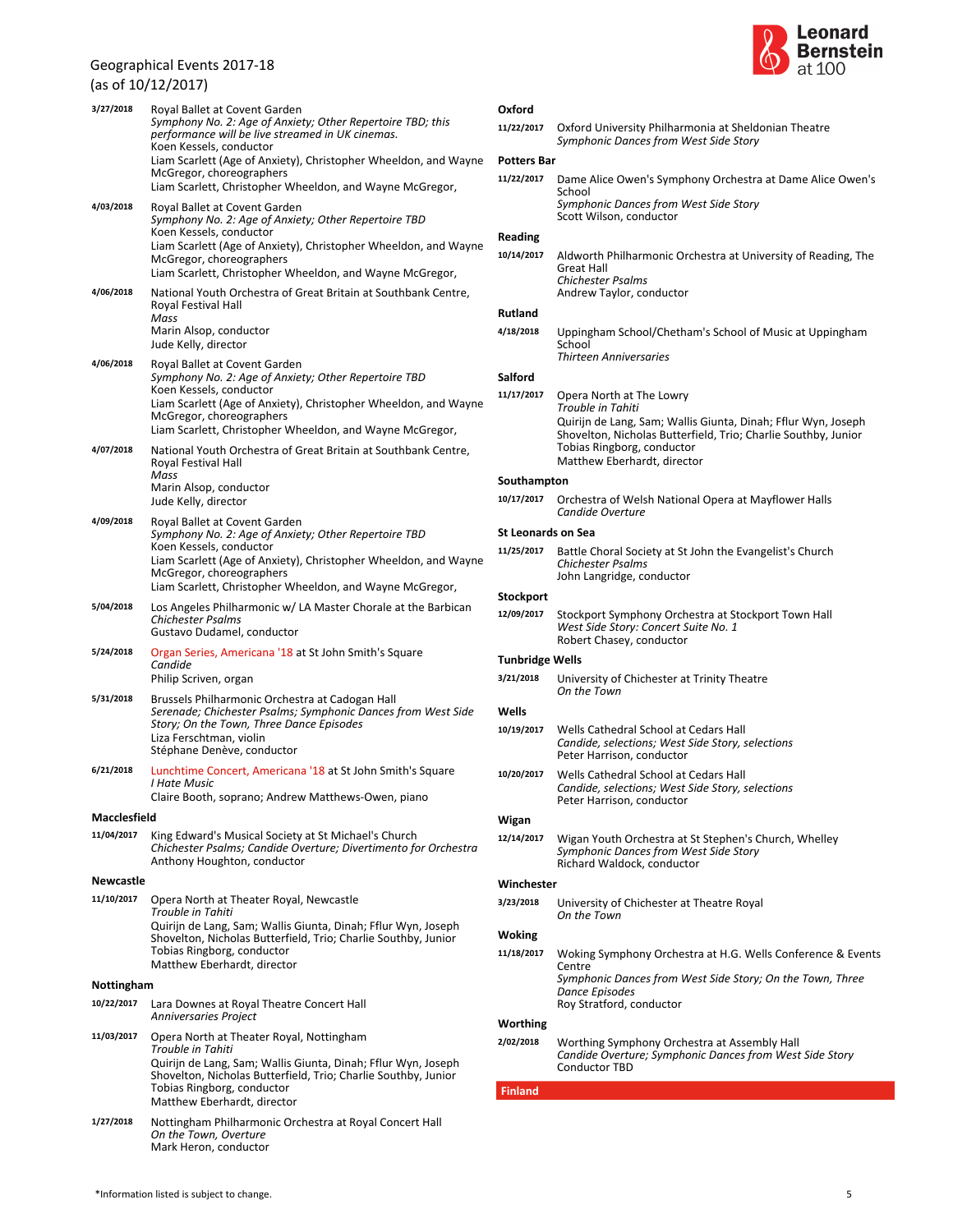### $(1, 2)$

|                  | (as of 10/12/2017)                                                                                                                                                                                                                                                                                                                    |
|------------------|---------------------------------------------------------------------------------------------------------------------------------------------------------------------------------------------------------------------------------------------------------------------------------------------------------------------------------------|
| 3/27/2018        | Royal Ballet at Covent Garden<br>Symphony No. 2: Age of Anxiety; Other Repertoire TBD; this<br>performance will be live streamed in UK cinemas.<br>Koen Kessels, conductor<br>Liam Scarlett (Age of Anxiety), Christopher Wheeldon, and Wayne<br>McGregor, choreographers<br>Liam Scarlett, Christopher Wheeldon, and Wayne McGregor, |
| 4/03/2018        | Royal Ballet at Covent Garden<br>Symphony No. 2: Age of Anxiety; Other Repertoire TBD<br>Koen Kessels, conductor<br>Liam Scarlett (Age of Anxiety), Christopher Wheeldon, and Wayne<br>McGregor, choreographers<br>Liam Scarlett, Christopher Wheeldon, and Wayne McGregor,                                                           |
| 4/06/2018        | National Youth Orchestra of Great Britain at Southbank Centre,<br>Royal Festival Hall<br>Mass<br>Marin Alsop, conductor<br>Jude Kelly, director                                                                                                                                                                                       |
| 4/06/2018        | Royal Ballet at Covent Garden<br>Symphony No. 2: Age of Anxiety; Other Repertoire TBD<br>Koen Kessels, conductor<br>Liam Scarlett (Age of Anxiety), Christopher Wheeldon, and Wayne<br>McGregor, choreographers<br>Liam Scarlett, Christopher Wheeldon, and Wayne McGregor,                                                           |
| 4/07/2018        | National Youth Orchestra of Great Britain at Southbank Centre,<br>Royal Festival Hall<br>Mass<br>Marin Alsop, conductor<br>Jude Kelly, director                                                                                                                                                                                       |
| 4/09/2018        | Royal Ballet at Covent Garden<br>Symphony No. 2: Age of Anxiety; Other Repertoire TBD<br>Koen Kessels, conductor<br>Liam Scarlett (Age of Anxiety), Christopher Wheeldon, and Wayne<br>McGregor, choreographers<br>Liam Scarlett, Christopher Wheeldon, and Wayne McGregor,                                                           |
| 5/04/2018        | Los Angeles Philharmonic w/ LA Master Chorale at the Barbican<br>Chichester Psalms<br>Gustavo Dudamel, conductor                                                                                                                                                                                                                      |
| 5/24/2018        | Organ Series, Americana '18 at St John Smith's Square<br>Candide<br>Philip Scriven, organ                                                                                                                                                                                                                                             |
| 5/31/2018        | Brussels Philharmonic Orchestra at Cadogan Hall<br>Serenade; Chichester Psalms; Symphonic Dances from West Side<br>Story; On the Town, Three Dance Episodes<br>Liza Ferschtman, violin<br>Stéphane Denève, conductor                                                                                                                  |
| 6/21/2018        | Lunchtime Concert, Americana '18 at St John Smith's Square<br>I Hate Music<br>Claire Booth, soprano; Andrew Matthews-Owen, piano                                                                                                                                                                                                      |
| Macclesfield     |                                                                                                                                                                                                                                                                                                                                       |
| 11/04/2017       | King Edward's Musical Society at St Michael's Church<br>Chichester Psalms; Candide Overture; Divertimento for Orchestra<br>Anthony Houghton, conductor                                                                                                                                                                                |
| <b>Newcastle</b> |                                                                                                                                                                                                                                                                                                                                       |
| 11/10/2017       | Opera North at Theater Royal, Newcastle<br>Trouble in Tahiti<br>Quirijn de Lang, Sam; Wallis Giunta, Dinah; Fflur Wyn, Joseph<br>Shovelton, Nicholas Butterfield, Trio; Charlie Southby, Junior<br>Tobias Ringborg, conductor<br>Matthew Eberhardt, director                                                                          |
| Nottingham       |                                                                                                                                                                                                                                                                                                                                       |
| 10/22/2017       | Lara Downes at Royal Theatre Concert Hall<br><b>Anniversaries Project</b>                                                                                                                                                                                                                                                             |
| 11/03/2017       | Opera North at Theater Royal, Nottingham<br>Trouble in Tahiti<br>Quirijn de Lang, Sam; Wallis Giunta, Dinah; Fflur Wyn, Joseph<br>Shovelton, Nicholas Butterfield, Trio; Charlie Southby, Junior<br>Tobias Ringborg, conductor<br>Matthew Eberhardt, director                                                                         |
| 1/27/2018        | Nottingham Philharmonic Orchestra at Royal Concert Hall<br>On the Town, Overture                                                                                                                                                                                                                                                      |



### **Oxford**

*Symphonic Dances from West Side Story* **11/22/2017** Oxford University Philharmonia at Sheldonian Theatre

### **Potters Bar**

*Symphonic Dances from West Side Story* **11/22/2017** Dame Alice Owen's Symphony Orchestra at Dame Alice Owen's School

Scott Wilson, conductor

### **Reading**

*Chichester Psalms* Andrew Taylor, conductor **10/14/2017** Aldworth Philharmonic Orchestra at University of Reading, The Great Hall

### **Rutland**

*Thirteen Anniversaries* **4/18/2018** Uppingham School/Chetham's School of Music at Uppingham School

### **Salford**

*Trouble in Tahiti* Tobias Ringborg, conductor Quirijn de Lang, Sam; Wallis Giunta, Dinah; Fflur Wyn, Joseph Shovelton, Nicholas Butterfield, Trio; Charlie Southby, Junior Matthew Eberhardt, director **11/17/2017** Opera North at The Lowry

#### **Southampton**

*Candide Overture* **10/17/2017** Orchestra of Welsh National Opera at Mayflower Halls

### **St Leonards on Sea**

*Chichester Psalms* John Langridge, conductor **11/25/2017** Battle Choral Society at St John the Evangelist's Church

# **Stockport**

*West Side Story: Concert Suite No. 1* Robert Chasey, conductor **12/09/2017** Stockport Symphony Orchestra at Stockport Town Hall

#### **Tunbridge Wells**

*On the Town* **3/21/2018** University of Chichester at Trinity Theatre

### **Wells**

- *Candide, selections; West Side Story, selections* Peter Harrison, conductor **10/19/2017** Wells Cathedral School at Cedars Hall
- *Candide, selections; West Side Story, selections* Peter Harrison, conductor **10/20/2017** Wells Cathedral School at Cedars Hall

### **Wigan**

*Symphonic Dances from West Side Story* Richard Waldock, conductor **12/14/2017** Wigan Youth Orchestra at St Stephen's Church, Whelley

#### **Winchester**

*On the Town* **3/23/2018** University of Chichester at Theatre Royal

#### **Woking**

*Symphonic Dances from West Side Story; On the Town, Three Dance Episodes* Roy Stratford, conductor **11/18/2017** Woking Symphony Orchestra at H.G. Wells Conference & Events **Centre** 

### **Worthing**

#### *Candide Overture; Symphonic Dances from West Side Story* Conductor TBD **2/02/2018** Worthing Symphony Orchestra at Assembly Hall

**Finland**

Mark Heron, conductor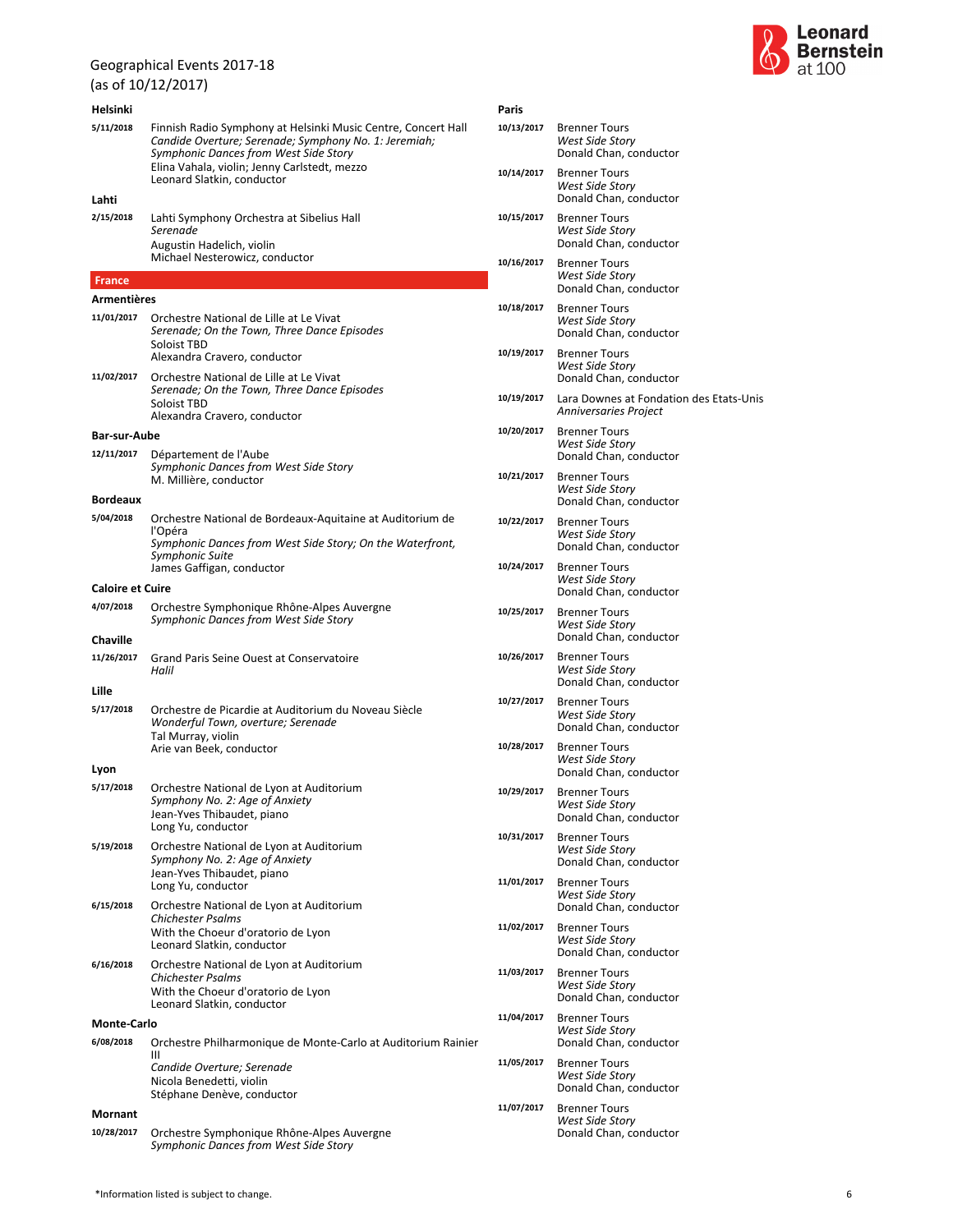# (as of 10/12/2017)

| Helsinki                |                                                                                                                                                                 | Pa |
|-------------------------|-----------------------------------------------------------------------------------------------------------------------------------------------------------------|----|
| 5/11/2018               | Finnish Radio Symphony at Helsinki Music Centre, Concert Hall<br>Candide Overture; Serenade; Symphony No. 1: Jeremiah;<br>Symphonic Dances from West Side Story | 10 |
|                         | Elina Vahala, violin; Jenny Carlstedt, mezzo<br>Leonard Slatkin, conductor                                                                                      | 10 |
| Lahti                   |                                                                                                                                                                 |    |
| 2/15/2018               | Lahti Symphony Orchestra at Sibelius Hall<br>Serenade                                                                                                           | 10 |
|                         | Augustin Hadelich, violin<br>Michael Nesterowicz, conductor                                                                                                     | 10 |
| <b>France</b>           |                                                                                                                                                                 |    |
| Armentières             |                                                                                                                                                                 | 10 |
| 11/01/2017              | Orchestre National de Lille at Le Vivat<br>Serenade; On the Town, Three Dance Episodes<br>Soloist TBD                                                           | 10 |
| 11/02/2017              | Alexandra Cravero, conductor<br>Orchestre National de Lille at Le Vivat                                                                                         |    |
|                         | Serenade; On the Town, Three Dance Episodes<br>Soloist TBD<br>Alexandra Cravero, conductor                                                                      | 10 |
| Bar-sur-Aube            |                                                                                                                                                                 | 10 |
| 12/11/2017              | Département de l'Aube<br>Symphonic Dances from West Side Story<br>M. Millière, conductor                                                                        | 10 |
| <b>Bordeaux</b>         |                                                                                                                                                                 |    |
| 5/04/2018               | Orchestre National de Bordeaux-Aquitaine at Auditorium de<br>l'Opéra<br>Symphonic Dances from West Side Story; On the Waterfront,<br>Symphonic Suite            | 10 |
|                         | James Gaffigan, conductor                                                                                                                                       | 10 |
| <b>Caloire et Cuire</b> |                                                                                                                                                                 |    |
| 4/07/2018               | Orchestre Symphonique Rhône-Alpes Auvergne<br>Symphonic Dances from West Side Story                                                                             | 10 |
| <b>Chaville</b>         |                                                                                                                                                                 |    |
| 11/26/2017              | Grand Paris Seine Ouest at Conservatoire<br>Halil                                                                                                               | 10 |
| Lille                   |                                                                                                                                                                 | 10 |
| 5/17/2018               | Orchestre de Picardie at Auditorium du Noveau Siècle<br>Wonderful Town, overture; Serenade<br>Tal Murray, violin<br>Arie van Beek, conductor                    | 10 |
|                         |                                                                                                                                                                 |    |
| Lyon<br>5/17/2018       | Orchestre National de Lyon at Auditorium<br>Symphony No. 2: Age of Anxiety<br>Jean-Yves Thibaudet, piano                                                        | 10 |
|                         | Long Yu, conductor                                                                                                                                              |    |
| 5/19/2018               | Orchestre National de Lyon at Auditorium<br>Symphony No. 2: Age of Anxiety<br>Jean-Yves Thibaudet, piano                                                        | 10 |
|                         | Long Yu, conductor                                                                                                                                              | 11 |
| 6/15/2018               | Orchestre National de Lyon at Auditorium<br>Chichester Psalms<br>With the Choeur d'oratorio de Lyon<br>Leonard Slatkin, conductor                               | 11 |
| 6/16/2018               | Orchestre National de Lyon at Auditorium<br><b>Chichester Psalms</b><br>With the Choeur d'oratorio de Lyon<br>Leonard Slatkin, conductor                        | 11 |
| Monte-Carlo             |                                                                                                                                                                 | 11 |
| 6/08/2018               | Orchestre Philharmonique de Monte-Carlo at Auditorium Rainier                                                                                                   |    |
|                         | Ш<br>Candide Overture; Serenade<br>Nicola Benedetti, violin<br>Stéphane Denève, conductor                                                                       | 11 |
| Mornant                 |                                                                                                                                                                 | 11 |
| 10/28/2017              | Orchestre Symphonique Rhône-Alpes Auvergne<br>Symphonic Dances from West Side Story                                                                             |    |



| Paris      |                                                                          |
|------------|--------------------------------------------------------------------------|
| 10/13/2017 | <b>Brenner Tours</b><br><b>West Side Story</b><br>Donald Chan, conductor |
| 10/14/2017 | <b>Brenner Tours</b><br>West Side Story<br>Donald Chan, conductor        |
| 10/15/2017 | <b>Brenner Tours</b><br>West Side Story<br>Donald Chan, conductor        |
| 10/16/2017 | <b>Brenner Tours</b><br>West Side Story<br>Donald Chan, conductor        |
| 10/18/2017 | <b>Brenner Tours</b><br><b>West Side Story</b><br>Donald Chan, conductor |
| 10/19/2017 | <b>Brenner Tours</b><br>West Side Story<br>Donald Chan, conductor        |
| 10/19/2017 | Lara Downes at Fondation des Etats-Unis<br><b>Anniversaries Project</b>  |
| 10/20/2017 | <b>Brenner Tours</b><br>West Side Story<br>Donald Chan, conductor        |
| 10/21/2017 | <b>Brenner Tours</b><br><b>West Side Story</b><br>Donald Chan, conductor |
| 10/22/2017 | <b>Brenner Tours</b><br>West Side Story<br>Donald Chan, conductor        |
| 10/24/2017 | <b>Brenner Tours</b><br>West Side Story<br>Donald Chan, conductor        |
| 10/25/2017 | <b>Brenner Tours</b><br>West Side Story<br>Donald Chan, conductor        |
| 10/26/2017 | <b>Brenner Tours</b><br>West Side Story<br>Donald Chan, conductor        |
| 10/27/2017 | <b>Brenner Tours</b><br><b>West Side Story</b><br>Donald Chan, conductor |
| 10/28/2017 | <b>Brenner Tours</b><br>West Side Story<br>Donald Chan, conductor        |
| 10/29/2017 | <b>Brenner Tours</b><br>west side story<br>Donald Chan, conductor        |
| 10/31/2017 | <b>Brenner Tours</b><br>West Side Story<br>Donald Chan, conductor        |
| 11/01/2017 | <b>Brenner Tours</b><br>West Side Story<br>Donald Chan, conductor        |
| 11/02/2017 | <b>Brenner Tours</b><br><b>West Side Story</b><br>Donald Chan, conductor |
| 11/03/2017 | <b>Brenner Tours</b><br>West Side Story<br>Donald Chan, conductor        |
| 11/04/2017 | <b>Brenner Tours</b><br>West Side Story<br>Donald Chan, conductor        |
| 11/05/2017 | <b>Brenner Tours</b><br>West Side Story<br>Donald Chan, conductor        |
| 11/07/2017 | <b>Brenner Tours</b><br><b>West Side Story</b><br>Donald Chan, conductor |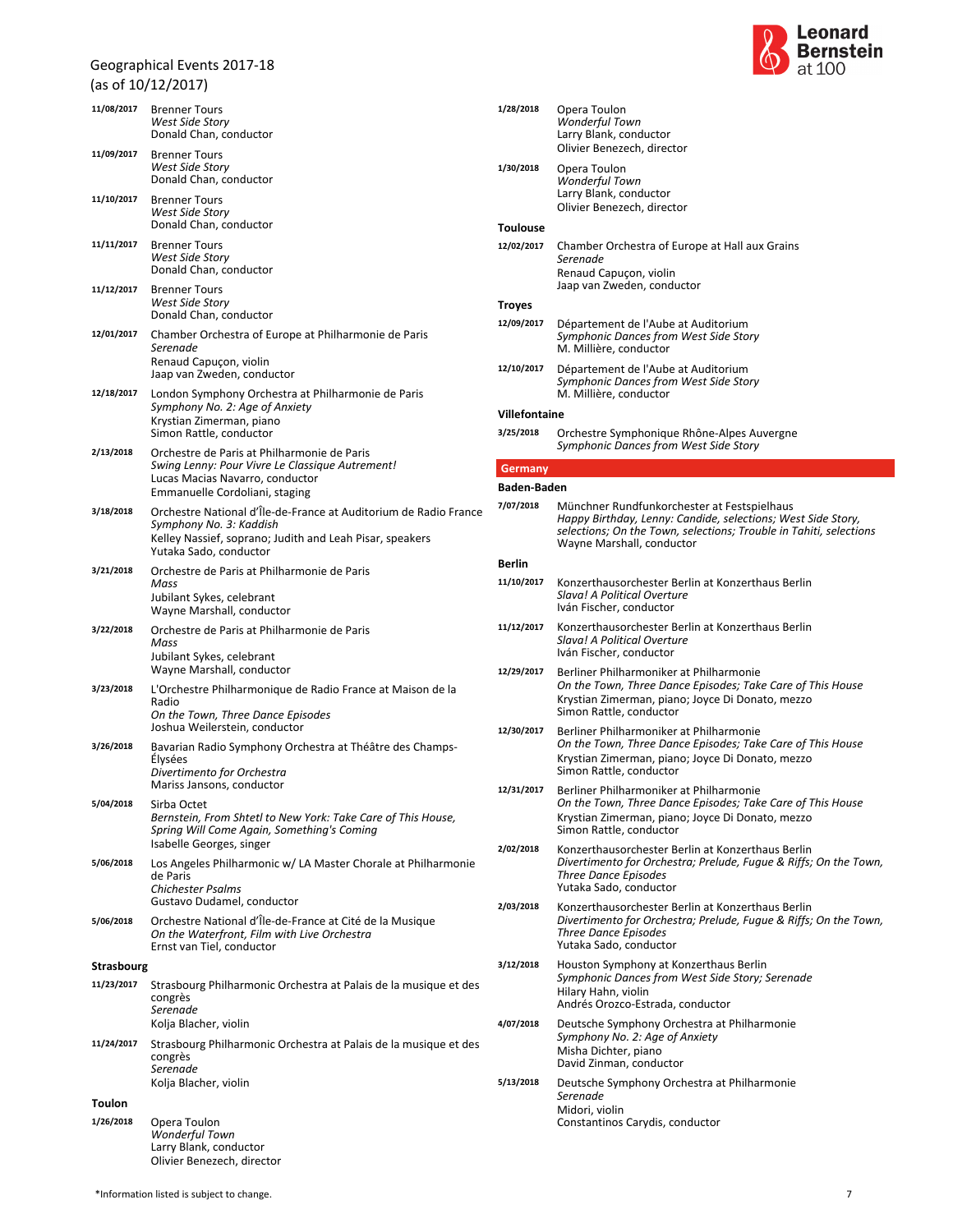|                   | <b>Brenner Tours</b>                                                                                                                                                              |
|-------------------|-----------------------------------------------------------------------------------------------------------------------------------------------------------------------------------|
| 11/08/2017        | West Side Story<br>Donald Chan, conductor                                                                                                                                         |
| 11/09/2017        | <b>Brenner Tours</b><br>West Side Story<br>Donald Chan, conductor                                                                                                                 |
| 11/10/2017        | <b>Brenner Tours</b><br>West Side Story<br>Donald Chan, conductor                                                                                                                 |
| 11/11/2017        | <b>Brenner Tours</b><br>West Side Story<br>Donald Chan, conductor                                                                                                                 |
| 11/12/2017        | <b>Brenner Tours</b><br>West Side Story<br>Donald Chan, conductor                                                                                                                 |
| 12/01/2017        | Chamber Orchestra of Europe at Philharmonie de Paris<br>Serenade<br>Renaud Capuçon, violin<br>Jaap van Zweden, conductor                                                          |
| 12/18/2017        | London Symphony Orchestra at Philharmonie de Paris<br>Symphony No. 2: Age of Anxiety<br>Krystian Zimerman, piano<br>Simon Rattle, conductor                                       |
| 2/13/2018         | Orchestre de Paris at Philharmonie de Paris<br>Swing Lenny: Pour Vivre Le Classique Autrement!<br>Lucas Macias Navarro, conductor<br>Emmanuelle Cordoliani, staging               |
| 3/18/2018         | Orchestre National d'Île-de-France at Auditorium de Radio France<br>Symphony No. 3: Kaddish<br>Kelley Nassief, soprano; Judith and Leah Pisar, speakers<br>Yutaka Sado, conductor |
| 3/21/2018         | Orchestre de Paris at Philharmonie de Paris<br>Mass<br>Jubilant Sykes, celebrant<br>Wayne Marshall, conductor                                                                     |
| 3/22/2018         | Orchestre de Paris at Philharmonie de Paris<br>Mass<br>Jubilant Sykes, celebrant<br>Wayne Marshall, conductor                                                                     |
| 3/23/2018         | L'Orchestre Philharmonique de Radio France at Maison de la<br>Radio<br>On the Town, Three Dance Episodes<br>Joshua Weilerstein, conductor                                         |
| 3/26/2018         | Bavarian Radio Symphony Orchestra at Théâtre des Champs-<br>Élysées<br>Divertimento for Orchestra<br>Mariss Jansons, conductor                                                    |
| 5/04/2018         | Sirba Octet<br>Bernstein, From Shtetl to New York: Take Care of This House,<br>Spring Will Come Again, Something's Coming<br>Isabelle Georges, singer                             |
| 5/06/2018         | Los Angeles Philharmonic w/ LA Master Chorale at Philharmonie<br>de Paris<br><b>Chichester Psalms</b><br>Gustavo Dudamel, conductor                                               |
| 5/06/2018         | Orchestre National d'Île-de-France at Cité de la Musique<br>On the Waterfront, Film with Live Orchestra<br>Ernst van Tiel, conductor                                              |
| <b>Strasbourg</b> |                                                                                                                                                                                   |
| 11/23/2017        | Strasbourg Philharmonic Orchestra at Palais de la musique et des<br>congrès<br>Serenade<br>Kolja Blacher, violin                                                                  |
| 11/24/2017        | Strasbourg Philharmonic Orchestra at Palais de la musique et des<br>congrès<br>Serenade<br>Kolja Blacher, violin                                                                  |
| <b>Toulon</b>     |                                                                                                                                                                                   |
| 1/26/2018         | Opera Toulon<br>Wonderful Town<br>Larry Blank, conductor                                                                                                                          |



| 1/28/2018            | Opera Toulon<br>Wonderful Town<br>Larry Blank, conductor<br>Olivier Benezech, director                                                                                                                         |
|----------------------|----------------------------------------------------------------------------------------------------------------------------------------------------------------------------------------------------------------|
| 1/30/2018            | Opera Toulon<br>Wonderful Town<br>Larry Blank, conductor<br>Olivier Benezech, director                                                                                                                         |
| <b>Toulouse</b>      |                                                                                                                                                                                                                |
| 12/02/2017           | Chamber Orchestra of Europe at Hall aux Grains<br>Serenade<br>Renaud Capucon, violin<br>Jaap van Zweden, conductor                                                                                             |
| <b>Troyes</b>        |                                                                                                                                                                                                                |
| 12/09/2017           | Département de l'Aube at Auditorium<br>Symphonic Dances from West Side Story<br>M. Millière, conductor                                                                                                         |
| 12/10/2017           | Département de l'Aube at Auditorium<br>Symphonic Dances from West Side Story<br>M. Millière, conductor                                                                                                         |
| <b>Villefontaine</b> |                                                                                                                                                                                                                |
| 3/25/2018            | Orchestre Symphonique Rhône-Alpes Auvergne<br>Symphonic Dances from West Side Story                                                                                                                            |
| Germany              |                                                                                                                                                                                                                |
| <b>Baden-Baden</b>   |                                                                                                                                                                                                                |
| 7/07/2018            | Münchner Rundfunkorchester at Festspielhaus<br>Happy Birthday, Lenny: Candide, selections; West Side Story,<br>selections; On the Town, selections; Trouble in Tahiti, selections<br>Wayne Marshall, conductor |
| <b>Berlin</b>        |                                                                                                                                                                                                                |
| 11/10/2017           | Konzerthausorchester Berlin at Konzerthaus Berlin<br>Slava! A Political Overture<br>Iván Fischer, conductor                                                                                                    |
| 11/12/2017           | Konzerthausorchester Berlin at Konzerthaus Berlin<br>Slava! A Political Overture<br>Iván Fischer, conductor                                                                                                    |
| 12/29/2017           | Berliner Philharmoniker at Philharmonie<br>On the Town, Three Dance Episodes; Take Care of This House<br>Krystian Zimerman, piano; Joyce Di Donato, mezzo<br>Simon Rattle, conductor                           |
| 12/30/2017           | Berliner Philharmoniker at Philharmonie<br>On the Town, Three Dance Episodes; Take Care of This House<br>Krystian Zimerman, piano; Joyce Di Donato, mezzo<br>Simon Rattle, conductor                           |
| 12/31/2017           | Berliner Philharmoniker at Philharmonie<br>On the Town, Three Dance Episodes; Take Care of This House<br>Krystian Zimerman, piano; Joyce Di Donato, mezzo<br>Simon Rattle, conductor                           |
| 2/02/2018            | Konzerthausorchester Berlin at Konzerthaus Berlin<br>Divertimento for Orchestra; Prelude, Fugue & Riffs; On the Town,<br><b>Three Dance Episodes</b><br>Yutaka Sado, conductor                                 |
| 2/03/2018            | Konzerthausorchester Berlin at Konzerthaus Berlin<br>Divertimento for Orchestra; Prelude, Fugue & Riffs; On the Town,<br>Three Dance Episodes<br>Yutaka Sado, conductor                                        |
| 3/12/2018            | Houston Symphony at Konzerthaus Berlin<br>Symphonic Dances from West Side Story; Serenade<br>Hilary Hahn, violin<br>Andrés Orozco-Estrada, conductor                                                           |
| 4/07/2018            | Deutsche Symphony Orchestra at Philharmonie<br>Symphony No. 2: Age of Anxiety<br>Misha Dichter, piano<br>David Zinman, conductor                                                                               |
| 5/13/2018            | Deutsche Symphony Orchestra at Philharmonie<br>Serenade<br>Midori, violin<br>Constantinos Carydis, conductor                                                                                                   |

Olivier Benezech, director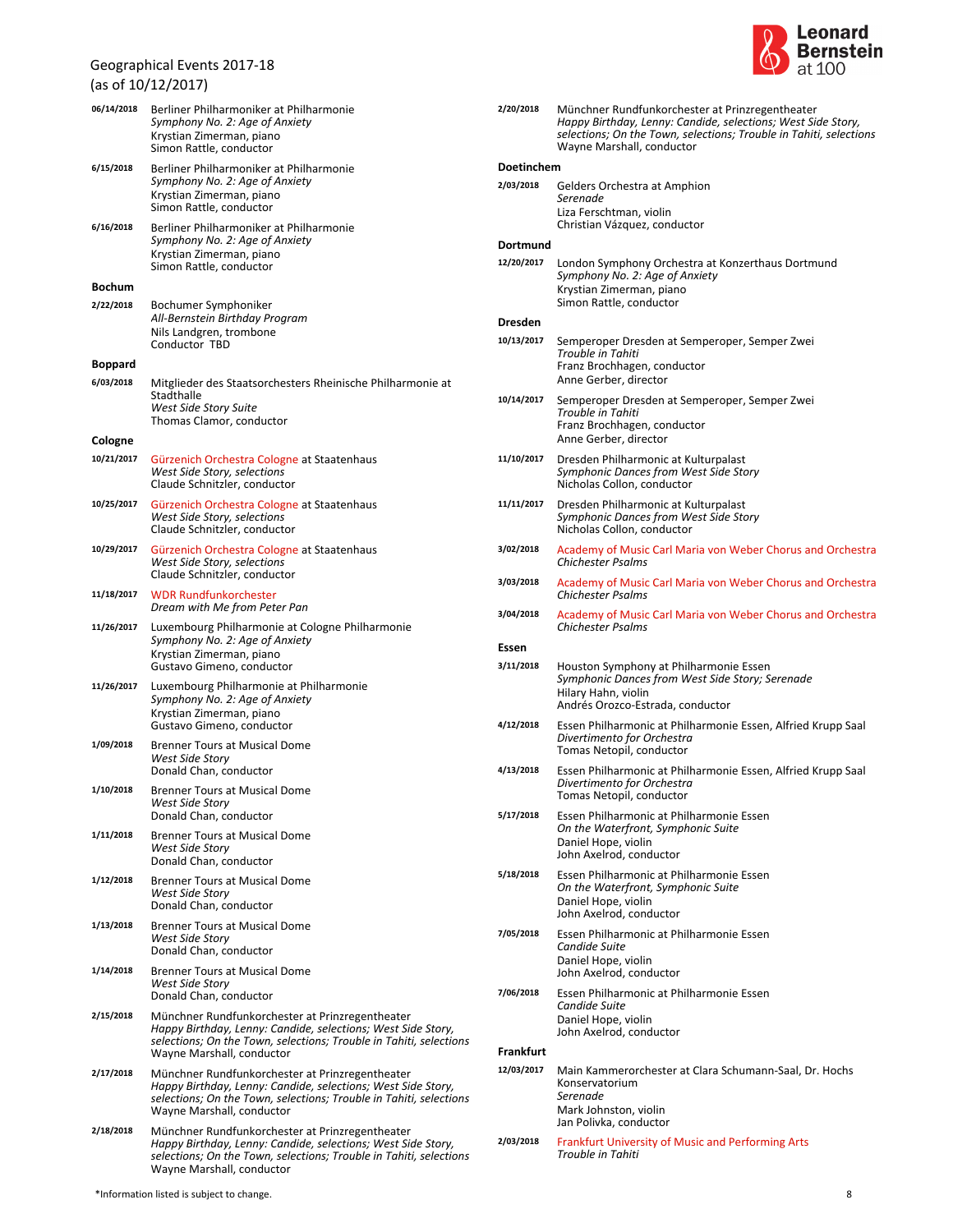

|                | (as ul 10/12/2017)                                                                                                                                                                                                 |
|----------------|--------------------------------------------------------------------------------------------------------------------------------------------------------------------------------------------------------------------|
| 06/14/2018     | Berliner Philharmoniker at Philharmonie<br>Symphony No. 2: Age of Anxiety<br>Krystian Zimerman, piano<br>Simon Rattle, conductor                                                                                   |
| 6/15/2018      | Berliner Philharmoniker at Philharmonie<br>Symphony No. 2: Age of Anxiety<br>Krystian Zimerman, piano<br>Simon Rattle, conductor                                                                                   |
| 6/16/2018      | Berliner Philharmoniker at Philharmonie<br>Symphony No. 2: Age of Anxiety<br>Krystian Zimerman, piano<br>Simon Rattle, conductor                                                                                   |
| <b>Bochum</b>  |                                                                                                                                                                                                                    |
| 2/22/2018      | Bochumer Symphoniker<br>All-Bernstein Birthday Program<br>Nils Landgren, trombone<br>Conductor TBD                                                                                                                 |
| <b>Boppard</b> |                                                                                                                                                                                                                    |
| 6/03/2018      | Mitglieder des Staatsorchesters Rheinische Philharmonie at<br>Stadthalle<br><b>West Side Story Suite</b><br>Thomas Clamor, conductor                                                                               |
| Cologne        |                                                                                                                                                                                                                    |
| 10/21/2017     | Gürzenich Orchestra Cologne at Staatenhaus<br>West Side Story, selections<br>Claude Schnitzler, conductor                                                                                                          |
| 10/25/2017     | Gürzenich Orchestra Cologne at Staatenhaus<br>West Side Story, selections<br>Claude Schnitzler, conductor                                                                                                          |
| 10/29/2017     | Gürzenich Orchestra Cologne at Staatenhaus<br>West Side Story, selections<br>Claude Schnitzler, conductor                                                                                                          |
| 11/18/2017     | <b>WDR Rundfunkorchester</b><br>Dream with Me from Peter Pan                                                                                                                                                       |
| 11/26/2017     | Luxembourg Philharmonie at Cologne Philharmonie<br>Symphony No. 2: Age of Anxiety<br>Krystian Zimerman, piano<br>Gustavo Gimeno, conductor                                                                         |
| 11/26/2017     | Luxembourg Philharmonie at Philharmonie<br>Symphony No. 2: Age of Anxiety<br>Krystian Zimerman, piano<br>Gustavo Gimeno, conductor                                                                                 |
| 1/09/2018      | <b>Brenner Tours at Musical Dome</b><br><b>West Side Story</b><br>Donald Chan, conductor                                                                                                                           |
| 1/10/2018      | <b>Brenner Tours at Musical Dome</b><br><b>West Side Story</b>                                                                                                                                                     |
|                | Donald Chan, conductor                                                                                                                                                                                             |
| 1/11/2018      | <b>Brenner Tours at Musical Dome</b><br><b>West Side Story</b><br>Donald Chan, conductor                                                                                                                           |
| 1/12/2018      | <b>Brenner Tours at Musical Dome</b><br>West Side Story<br>Donald Chan, conductor                                                                                                                                  |
| 1/13/2018      | <b>Brenner Tours at Musical Dome</b><br><b>West Side Story</b><br>Donald Chan, conductor                                                                                                                           |
| 1/14/2018      | <b>Brenner Tours at Musical Dome</b><br>West Side Story<br>Donald Chan, conductor                                                                                                                                  |
| 2/15/2018      | Münchner Rundfunkorchester at Prinzregentheater<br>Happy Birthday, Lenny: Candide, selections; West Side Story,<br>selections; On the Town, selections; Trouble in Tahiti, selections<br>Wayne Marshall, conductor |
| 2/17/2018      | Münchner Rundfunkorchester at Prinzregentheater<br>Happy Birthday, Lenny: Candide, selections; West Side Story,<br>selections; On the Town, selections; Trouble in Tahiti, selections<br>Wayne Marshall, conductor |
| 2/18/2018      | Münchner Rundfunkorchester at Prinzregentheater<br>Happy Birthday, Lenny: Candide, selections; West Side Story,<br>selections; On the Town, selections; Trouble in Tahiti, selections                              |



| 2/20/2018        | Münchner Rundfunkorchester at Prinzregentheater<br>Happy Birthday, Lenny: Candide, selections; West Side Story,<br>selections; On the Town, selections; Trouble in Tahiti, selections<br>Wayne Marshall, conductor |
|------------------|--------------------------------------------------------------------------------------------------------------------------------------------------------------------------------------------------------------------|
| Doetinchem       |                                                                                                                                                                                                                    |
| 2/03/2018        | Gelders Orchestra at Amphion<br>Serenade<br>Liza Ferschtman, violin<br>Christian Vázquez, conductor                                                                                                                |
| Dortmund         |                                                                                                                                                                                                                    |
| 12/20/2017       | London Symphony Orchestra at Konzerthaus Dortmund<br>Symphony No. 2: Age of Anxiety<br>Krystian Zimerman, piano<br>Simon Rattle, conductor                                                                         |
| <b>Dresden</b>   |                                                                                                                                                                                                                    |
| 10/13/2017       | Semperoper Dresden at Semperoper, Semper Zwei<br>Trouble in Tahiti<br>Franz Brochhagen, conductor<br>Anne Gerber, director                                                                                         |
| 10/14/2017       | Semperoper Dresden at Semperoper, Semper Zwei<br>Trouble in Tahiti<br>Franz Brochhagen, conductor<br>Anne Gerber, director                                                                                         |
| 11/10/2017       | Dresden Philharmonic at Kulturpalast<br>Symphonic Dances from West Side Story<br>Nicholas Collon, conductor                                                                                                        |
| 11/11/2017       | Dresden Philharmonic at Kulturpalast<br>Symphonic Dances from West Side Story<br>Nicholas Collon, conductor                                                                                                        |
| 3/02/2018        | Academy of Music Carl Maria von Weber Chorus and Orchestra<br><b>Chichester Psalms</b>                                                                                                                             |
| 3/03/2018        | Academy of Music Carl Maria von Weber Chorus and Orchestra<br><b>Chichester Psalms</b>                                                                                                                             |
| 3/04/2018        | Academy of Music Carl Maria von Weber Chorus and Orchestra<br><b>Chichester Psalms</b>                                                                                                                             |
| Essen            |                                                                                                                                                                                                                    |
| 3/11/2018        | Houston Symphony at Philharmonie Essen<br>Symphonic Dances from West Side Story; Serenade<br>Hilary Hahn, violin<br>Andrés Orozco-Estrada, conductor                                                               |
| 4/12/2018        | Essen Philharmonic at Philharmonie Essen, Alfried Krupp Saal<br>Divertimento for Orchestra<br>Tomas Netopil, conductor                                                                                             |
| 4/13/2018        | Essen Philharmonic at Philharmonie Essen, Alfried Krupp Saal<br>Divertimento for Orchestra<br>Tomas Netopil, conductor                                                                                             |
| 5/17/2018        | Essen Philharmonic at Philharmonie Essen<br>On the Waterfront, Symphonic Suite<br>Daniel Hope, violin<br>John Axelrod, conductor                                                                                   |
| 5/18/2018        | Essen Philharmonic at Philharmonie Essen<br>On the Waterfront, Symphonic Suite<br>Daniel Hope, violin<br>John Axelrod, conductor                                                                                   |
| 7/05/2018        | Essen Philharmonic at Philharmonie Essen<br>Candide Suite<br>Daniel Hope, violin<br>John Axelrod, conductor                                                                                                        |
| 7/06/2018        | Essen Philharmonic at Philharmonie Essen<br>Candide Suite<br>Daniel Hope, violin<br>John Axelrod, conductor                                                                                                        |
| <b>Frankfurt</b> |                                                                                                                                                                                                                    |
| 12/03/2017       | Main Kammerorchester at Clara Schumann-Saal, Dr. Hochs<br>Konservatorium<br>Serenade<br>Mark Johnston, violin                                                                                                      |

*Trouble in Tahiti* **2/03/2018** Frankfurt University of Music and Performing Arts

Jan Polivka, conductor

Wayne Marshall, conductor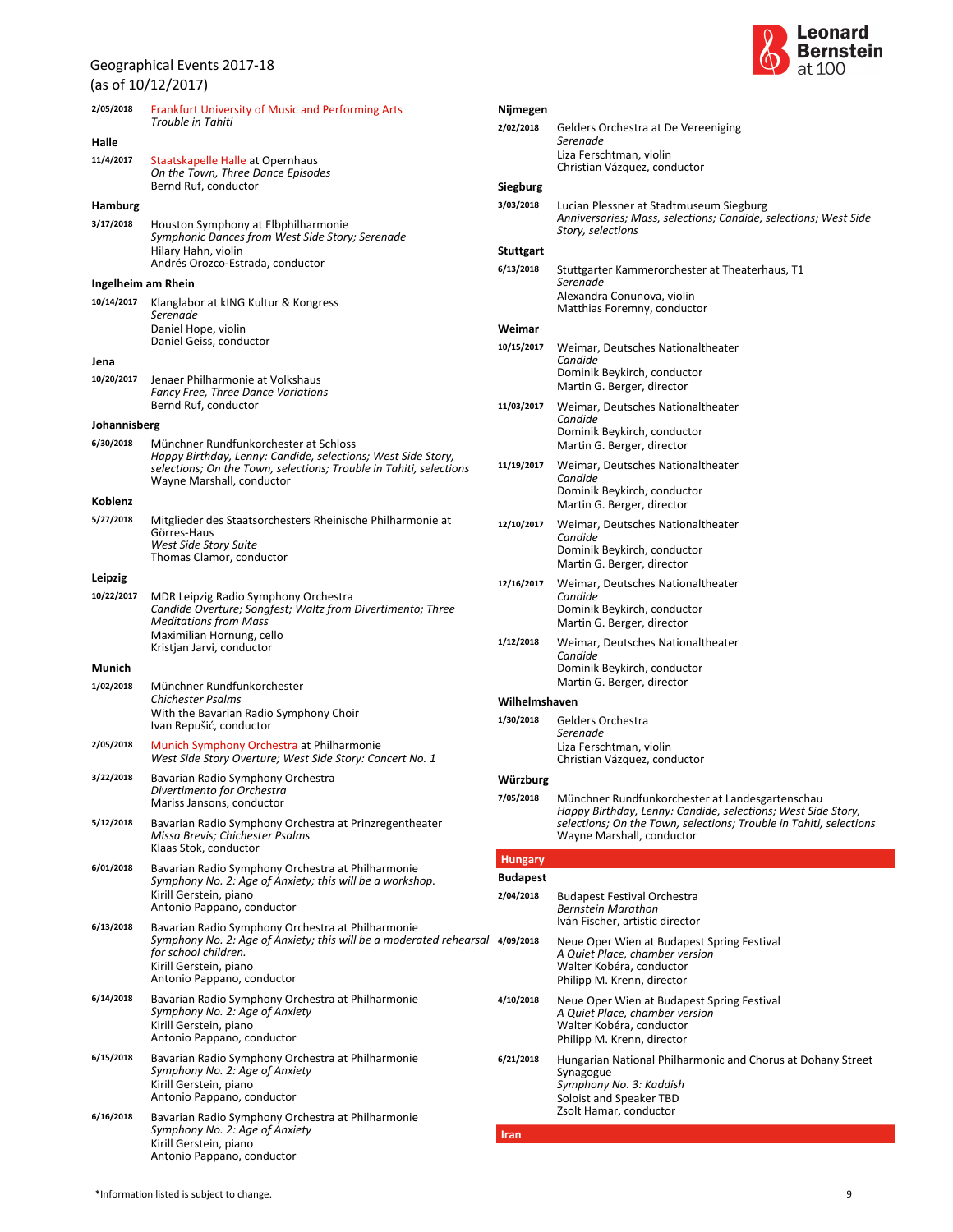(as of 10/12/2017)

| 2/05/2018    | <b>Frankfurt University of Music and Performing Arts</b><br>Trouble in Tahiti                                                                                                                            |  |  |
|--------------|----------------------------------------------------------------------------------------------------------------------------------------------------------------------------------------------------------|--|--|
| Halle        |                                                                                                                                                                                                          |  |  |
| 11/4/2017    | Staatskapelle Halle at Opernhaus<br>On the Town, Three Dance Episodes<br>Bernd Ruf, conductor                                                                                                            |  |  |
| Hamburg      |                                                                                                                                                                                                          |  |  |
| 3/17/2018    | Houston Symphony at Elbphilharmonie<br>Symphonic Dances from West Side Story; Serenade<br>Hilary Hahn, violin<br>Andrés Orozco-Estrada, conductor                                                        |  |  |
|              | Ingelheim am Rhein                                                                                                                                                                                       |  |  |
| 10/14/2017   | Klanglabor at kING Kultur & Kongress<br>Serenade<br>Daniel Hope, violin<br>Daniel Geiss, conductor                                                                                                       |  |  |
| Jena         |                                                                                                                                                                                                          |  |  |
| 10/20/2017   | Jenaer Philharmonie at Volkshaus<br><b>Fancy Free, Three Dance Variations</b><br>Bernd Ruf, conductor                                                                                                    |  |  |
| Johannisberg |                                                                                                                                                                                                          |  |  |
| 6/30/2018    | Münchner Rundfunkorchester at Schloss<br>Happy Birthday, Lenny: Candide, selections; West Side Story,<br>selections; On the Town, selections; Trouble in Tahiti, selections<br>Wayne Marshall, conductor |  |  |
| Koblenz      |                                                                                                                                                                                                          |  |  |
| 5/27/2018    | Mitglieder des Staatsorchesters Rheinische Philharmonie at<br>Görres-Haus<br>West Side Story Suite<br>Thomas Clamor, conductor                                                                           |  |  |
| Leipzig      |                                                                                                                                                                                                          |  |  |
| 10/22/2017   | MDR Leipzig Radio Symphony Orchestra<br>Candide Overture; Songfest; Waltz from Divertimento; Three<br>Meditations from Mass<br>Maximilian Hornung, cello<br>Kristjan Jarvi, conductor                    |  |  |
| Munich       |                                                                                                                                                                                                          |  |  |
| 1/02/2018    | Münchner Rundfunkorchester<br>Chichester Psalms<br>With the Bavarian Radio Symphony Choir<br>Ivan Repušić, conductor                                                                                     |  |  |
| 2/05/2018    | Munich Symphony Orchestra at Philharmonie<br>West Side Story Overture; West Side Story: Concert No. 1                                                                                                    |  |  |
| 3/22/2018    | Bavarian Radio Symphony Orchestra<br>Divertimento for Orchestra<br>Mariss Jansons, conductor                                                                                                             |  |  |
| 5/12/2018    | Bavarian Radio Symphony Orchestra at Prinzregentheater<br>Missa Brevis; Chichester Psalms<br>Klaas Stok, conductor                                                                                       |  |  |
| 6/01/2018    | Bavarian Radio Symphony Orchestra at Philharmonie<br>Symphony No. 2: Age of Anxiety; this will be a workshop.<br>Kirill Gerstein, piano<br>Antonio Pappano, conductor                                    |  |  |
| 6/13/2018    | Bavarian Radio Symphony Orchestra at Philharmonie<br>Symphony No. 2: Age of Anxiety; this will be a moderated rehearsal<br>for school children.<br>Kirill Gerstein, piano<br>Antonio Pappano, conductor  |  |  |
| 6/14/2018    | Bavarian Radio Symphony Orchestra at Philharmonie<br>Symphony No. 2: Age of Anxiety<br>Kirill Gerstein, piano<br>Antonio Pappano, conductor                                                              |  |  |
| 6/15/2018    | Bavarian Radio Symphony Orchestra at Philharmonie<br>Symphony No. 2: Age of Anxiety<br>Kirill Gerstein, piano<br>Antonio Pappano, conductor                                                              |  |  |
| 6/16/2018    | Bavarian Radio Symphony Orchestra at Philharmonie<br>Symphony No. 2: Age of Anxiety<br>Kirill Gerstein, piano<br>Antonio Pappano, conductor                                                              |  |  |
|              |                                                                                                                                                                                                          |  |  |



| Nijmegen        |                                                                                                            |
|-----------------|------------------------------------------------------------------------------------------------------------|
| 2/02/2018       | Gelders Orchestra at De Vereeniging<br>Serenade                                                            |
|                 | Liza Ferschtman, violin                                                                                    |
|                 | Christian Vázquez, conductor                                                                               |
| Siegburg        |                                                                                                            |
| 3/03/2018       | Lucian Plessner at Stadtmuseum Siegburg<br>Anniversaries; Mass, selections; Candide, selections; West Side |
|                 | Story, selections                                                                                          |
| Stuttgart       |                                                                                                            |
| 6/13/2018       | Stuttgarter Kammerorchester at Theaterhaus, T1<br>Serenade                                                 |
|                 | Alexandra Conunova, violin                                                                                 |
|                 | Matthias Foremny, conductor                                                                                |
| Weimar          |                                                                                                            |
| 10/15/2017      | Weimar, Deutsches Nationaltheater<br>Candide                                                               |
|                 | Dominik Beykirch, conductor                                                                                |
|                 | Martin G. Berger, director                                                                                 |
| 11/03/2017      | Weimar, Deutsches Nationaltheater<br>Candide                                                               |
|                 | Dominik Beykirch, conductor                                                                                |
|                 | Martin G. Berger, director                                                                                 |
| 11/19/2017      | Weimar, Deutsches Nationaltheater<br>Candide                                                               |
|                 | Dominik Beykirch, conductor                                                                                |
|                 | Martin G. Berger, director                                                                                 |
| 12/10/2017      | Weimar, Deutsches Nationaltheater<br>Candide                                                               |
|                 | Dominik Beykirch, conductor                                                                                |
|                 | Martin G. Berger, director                                                                                 |
| 12/16/2017      | Weimar, Deutsches Nationaltheater<br>Candide                                                               |
|                 | Dominik Beykirch, conductor                                                                                |
|                 | Martin G. Berger, director                                                                                 |
| 1/12/2018       | Weimar, Deutsches Nationaltheater<br>Candide                                                               |
|                 | Dominik Beykirch, conductor                                                                                |
| Wilhelmshaven   | Martin G. Berger, director                                                                                 |
| 1/30/2018       | Gelders Orchestra                                                                                          |
|                 | Serenade                                                                                                   |
|                 | Liza Ferschtman, violin<br>Christian Vázquez, conductor                                                    |
| Wurzburg        |                                                                                                            |
| 7/05/2018       | Münchner Rundfunkorchester at Landesgartenschau                                                            |
|                 | Happy Birthday, Lenny: Candide, selections; West Side Story,                                               |
|                 | selections; On the Town, selections; Trouble in Tahiti, selections<br>Wayne Marshall, conductor            |
| <b>Hungary</b>  |                                                                                                            |
| <b>Budapest</b> |                                                                                                            |
| 2/04/2018       | <b>Budapest Festival Orchestra</b>                                                                         |
|                 | <b>Bernstein Marathon</b><br>Iván Fischer, artistic director                                               |
| 4/09/2018       | Neue Oper Wien at Budapest Spring Festival                                                                 |
|                 | A Quiet Place, chamber version<br>Walter Kobéra, conductor                                                 |
|                 | Philipp M. Krenn, director                                                                                 |
| 4/10/2018       | Neue Oper Wien at Budapest Spring Festival                                                                 |
|                 | A Quiet Place, chamber version<br>Walter Kobéra, conductor                                                 |
|                 | Philipp M. Krenn, director                                                                                 |
| 6/21/2018       | Hungarian National Philharmonic and Chorus at Dohany Street                                                |
|                 | Synagogue                                                                                                  |
|                 | Symphony No. 3: Kaddish<br>Soloist and Speaker TBD                                                         |
|                 | Zsolt Hamar, conductor                                                                                     |
| Iran            |                                                                                                            |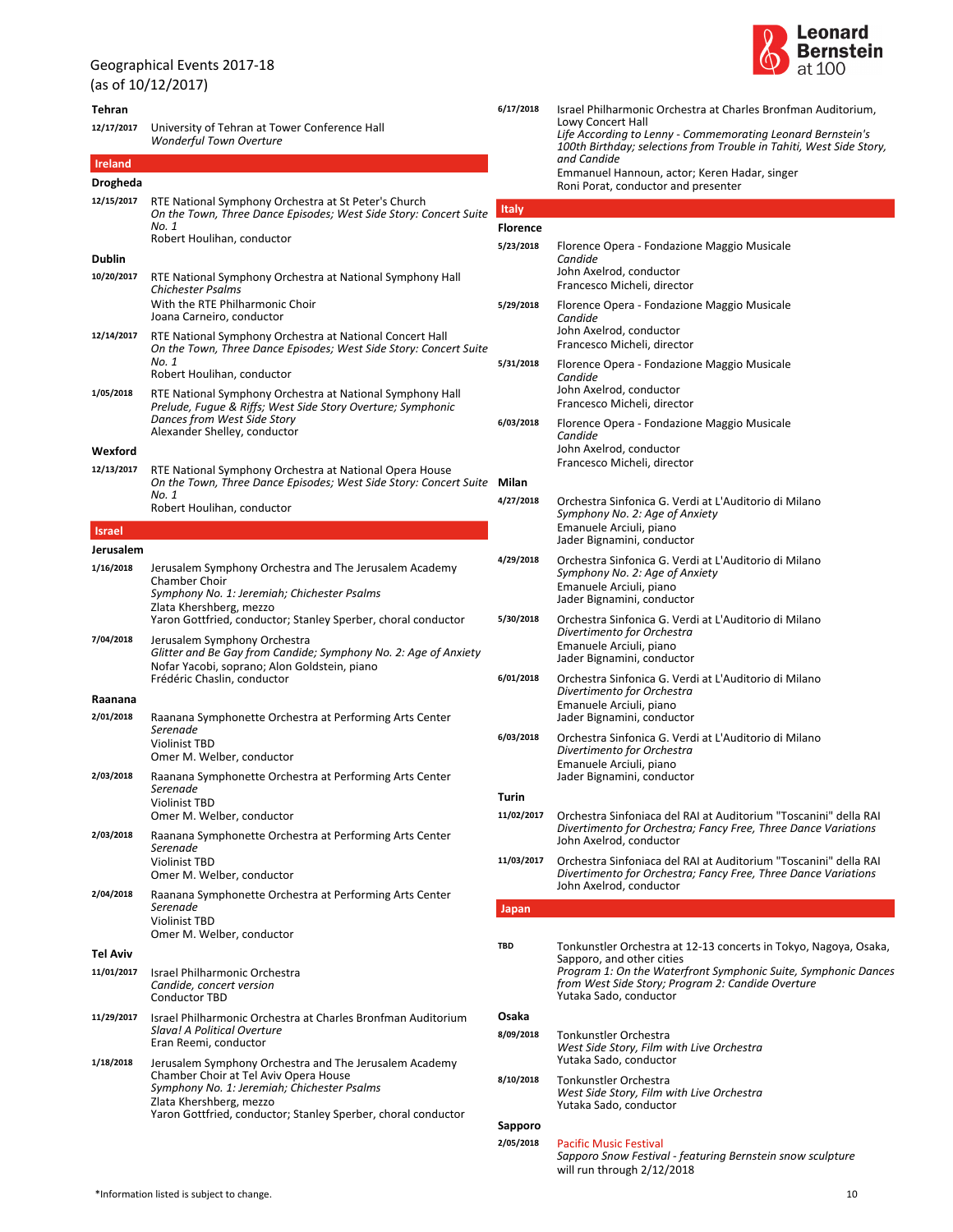### Geographical Events 2017-18 (as of 10/12/2017) **Tehran** *Wonderful Town Overture* **12/17/2017** University of Tehran at Tower Conference Hall **Ireland Drogheda On the Town, Three Dance Episodes; West Side Story: Concert Suite** *No. 1* Robert Houlihan, conductor **12/15/2017** RTE National Symphony Orchestra at St Peter's Church **Dublin** *Chichester Psalms* Joana Carneiro, conductor With the RTE Philharmonic Choir **10/20/2017** RTE National Symphony Orchestra at National Symphony Hall **On the Town, Three Dance Episodes; West Side Story: Concert Suite** *No. 1* Robert Houlihan, conductor **12/14/2017** RTE National Symphony Orchestra at National Concert Hall *Prelude, Fugue & Riffs; West Side Story Overture; Symphonic Dances from West Side Story* Alexander Shelley, conductor **1/05/2018** RTE National Symphony Orchestra at National Symphony Hall **Wexford On the Town, Three Dance Episodes; West Side Story: Concert Suite** *No. 1* Robert Houlihan, conductor **12/13/2017** RTE National Symphony Orchestra at National Opera House **Israel Jerusalem** *Symphony No. 1: Jeremiah; Chichester Psalms* Yaron Gottfried, conductor; Stanley Sperber, choral conductor Zlata Khershberg, mezzo **1/16/2018** Jerusalem Symphony Orchestra and The Jerusalem Academy Chamber Choir Glitter and Be Gay from Candide; Symphony No. 2: Age of Anxiet Frédéric Chaslin, conductor Nofar Yacobi, soprano; Alon Goldstein, piano **7/04/2018** Jerusalem Symphony Orchestra **Raanana** *Serenade* Omer M. Welber, conductor Violinist TBD **2/01/2018** Raanana Symphonette Orchestra at Performing Arts Center *Serenade* Omer M. Welber, conductor Violinist TBD **2/03/2018** Raanana Symphonette Orchestra at Performing Arts Center *Serenade* Omer M. Welber, conductor Violinist TBD **2/03/2018** Raanana Symphonette Orchestra at Performing Arts Center *Serenade* Omer M. Welber, conductor Violinist TBD **2/04/2018** Raanana Symphonette Orchestra at Performing Arts Center **Tel Aviv** *Candide, concert version* Conductor TBD **11/01/2017** Israel Philharmonic Orchestra *Slava! A Political Overture* Eran Reemi, conductor **11/29/2017** Israel Philharmonic Orchestra at Charles Bronfman Auditorium *Symphony No. 1: Jeremiah; Chichester Psalms* Yaron Gottfried, conductor; Stanley Sperber, choral conductor Zlata Khershberg, mezzo **1/18/2018** Jerusalem Symphony Orchestra and The Jerusalem Academy Chamber Choir at Tel Aviv Opera House



|     | 6/17/2018       | Israel Philharmonic Orchestra at Charles Bronfman Auditorium,<br><b>Lowy Concert Hall</b><br>Life According to Lenny - Commemorating Leonard Bernstein's<br>100th Birthday; selections from Trouble in Tahiti, West Side Story,<br>and Candide<br>Emmanuel Hannoun, actor; Keren Hadar, singer<br>Roni Porat, conductor and presenter |
|-----|-----------------|---------------------------------------------------------------------------------------------------------------------------------------------------------------------------------------------------------------------------------------------------------------------------------------------------------------------------------------|
| ite | Italy           |                                                                                                                                                                                                                                                                                                                                       |
|     | <b>Florence</b> |                                                                                                                                                                                                                                                                                                                                       |
|     | 5/23/2018       | Florence Opera - Fondazione Maggio Musicale<br>Candide<br>John Axelrod, conductor<br>Francesco Micheli, director                                                                                                                                                                                                                      |
| ite | 5/29/2018       | Florence Opera - Fondazione Maggio Musicale<br>Candide<br>John Axelrod, conductor<br>Francesco Micheli, director                                                                                                                                                                                                                      |
|     | 5/31/2018       | Florence Opera - Fondazione Maggio Musicale<br>Candide<br>John Axelrod, conductor<br>Francesco Micheli, director                                                                                                                                                                                                                      |
|     | 6/03/2018       | Florence Opera - Fondazione Maggio Musicale<br>Candide<br>John Axelrod, conductor<br>Francesco Micheli, director                                                                                                                                                                                                                      |
| ite | Milan           |                                                                                                                                                                                                                                                                                                                                       |
|     | 4/27/2018       | Orchestra Sinfonica G. Verdi at L'Auditorio di Milano<br>Symphony No. 2: Age of Anxiety<br>Emanuele Arciuli, piano<br>Jader Bignamini, conductor                                                                                                                                                                                      |
|     | 4/29/2018       | Orchestra Sinfonica G. Verdi at L'Auditorio di Milano<br>Symphony No. 2: Age of Anxiety<br>Emanuele Arciuli, piano<br>Jader Bignamini, conductor                                                                                                                                                                                      |
|     | 5/30/2018       | Orchestra Sinfonica G. Verdi at L'Auditorio di Milano<br>Divertimento for Orchestra<br>Emanuele Arciuli, piano<br>Jader Bignamini, conductor                                                                                                                                                                                          |
|     | 6/01/2018       | Orchestra Sinfonica G. Verdi at L'Auditorio di Milano<br>Divertimento for Orchestra<br>Emanuele Arciuli, piano<br>Jader Bignamini, conductor                                                                                                                                                                                          |
|     | 6/03/2018       | Orchestra Sinfonica G. Verdi at L'Auditorio di Milano<br>Divertimento for Orchestra<br>Emanuele Arciuli, piano<br>Jader Bignamini, conductor                                                                                                                                                                                          |
|     | Turin           |                                                                                                                                                                                                                                                                                                                                       |
|     | 11/02/2017      | Orchestra Sinfoniaca del RAI at Auditorium "Toscanini" della RAI<br>Divertimento for Orchestra; Fancy Free, Three Dance Variations<br>John Axelrod, conductor                                                                                                                                                                         |
|     | 11/03/2017      | Orchestra Sinfoniaca del RAI at Auditorium "Toscanini" della RAI<br>Divertimento for Orchestra; Fancy Free, Three Dance Variations<br>John Axelrod, conductor                                                                                                                                                                         |
|     | Japan           |                                                                                                                                                                                                                                                                                                                                       |
|     |                 |                                                                                                                                                                                                                                                                                                                                       |
|     | TBD             | Tonkunstler Orchestra at 12-13 concerts in Tokyo, Nagoya, Osaka,<br>Sapporo, and other cities<br>Program 1: On the Waterfront Symphonic Suite, Symphonic Dances<br>from West Side Story; Program 2: Candide Overture<br>Yutaka Sado, conductor                                                                                        |
|     | Osaka           |                                                                                                                                                                                                                                                                                                                                       |
|     | 8/09/2018       | Tonkunstler Orchestra<br>West Side Story, Film with Live Orchestra<br>Yutaka Sado, conductor                                                                                                                                                                                                                                          |
|     | 8/10/2018       | Tonkunstler Orchestra<br>West Side Story, Film with Live Orchestra<br>Yutaka Sado, conductor                                                                                                                                                                                                                                          |
|     | Sapporo         |                                                                                                                                                                                                                                                                                                                                       |
|     | 2/05/2018       | <b>Pacific Music Festival</b><br>Sapporo Snow Festival - featuring Bernstein snow sculpture<br>will run through 2/12/2018                                                                                                                                                                                                             |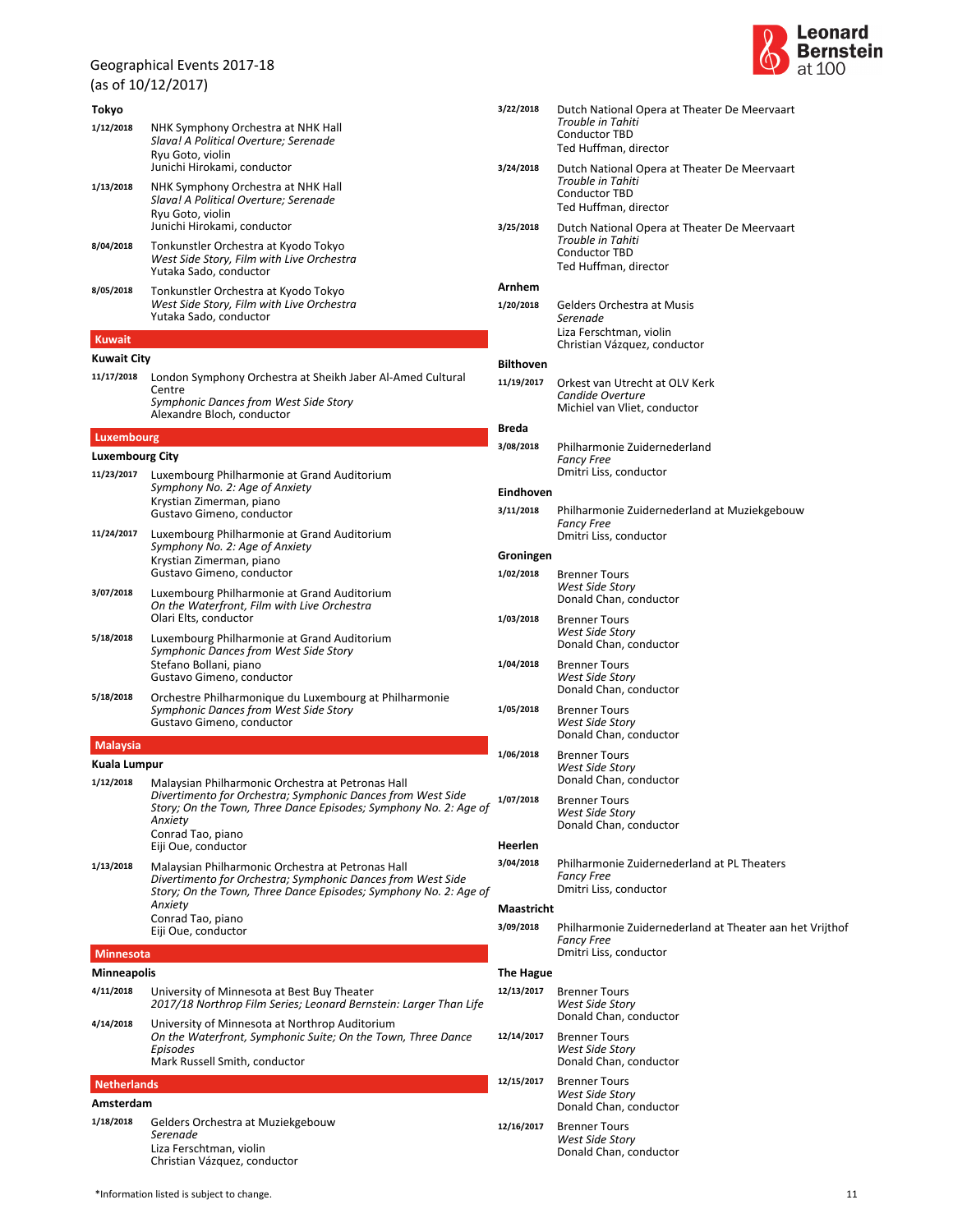(as of 10/12/2017)

# **Tokyo**

| 1/12/2018     | NHK Symphony Orchestra at NHK Hall<br>Slava! A Political Overture; Serenade<br>Ryu Goto, violin<br>Junichi Hirokami, conductor |
|---------------|--------------------------------------------------------------------------------------------------------------------------------|
| 1/13/2018     | NHK Symphony Orchestra at NHK Hall<br>Slava! A Political Overture: Serenade<br>Ryu Goto, violin<br>Junichi Hirokami, conductor |
| 8/04/2018     | Tonkunstler Orchestra at Kyodo Tokyo<br>West Side Story, Film with Live Orchestra<br>Yutaka Sado, conductor                    |
| 8/05/2018     | Tonkunstler Orchestra at Kyodo Tokyo<br>West Side Story, Film with Live Orchestra<br>Yutaka Sado, conductor                    |
| <b>Kuwait</b> |                                                                                                                                |

### **Kuwait City**

| London Symphony Orchestra at Sheikh Jaber Al-Amed Cultural |
|------------------------------------------------------------|
| Centre                                                     |
| Symphonic Dances from West Side Story                      |
| Alexandre Bloch, conductor                                 |
|                                                            |

### **Luxembourg**

**Luxembourg City**

| 11/23/2017 | Luxembourg Philharmonie at Grand Auditorium<br>Symphony No. 2: Age of Anxiety<br>Krystian Zimerman, piano<br>Gustavo Gimeno, conductor      |
|------------|---------------------------------------------------------------------------------------------------------------------------------------------|
| 11/24/2017 | Luxembourg Philharmonie at Grand Auditorium<br>Symphony No. 2: Age of Anxiety<br>Krystian Zimerman, piano<br>Gustavo Gimeno, conductor      |
| 3/07/2018  | Luxembourg Philharmonie at Grand Auditorium<br>On the Waterfront, Film with Live Orchestra<br>Olari Elts. conductor                         |
| 5/18/2018  | Luxembourg Philharmonie at Grand Auditorium<br>Symphonic Dances from West Side Story<br>Stefano Bollani, piano<br>Gustavo Gimeno, conductor |
| 5/18/2018  | Orchestre Philharmonique du Luxembourg at Philharm                                                                                          |

### *Symphonic Dances from West Side Story* Gustavo Gimeno, conductor **5/18/2018** Orchestre Philharmonique du Luxembourg at Philharmonie

**Malaysia**

# **Kuala Lumpur**

| 1/12/2018 | Malaysian Philharmonic Orchestra at Petronas Hall<br>Divertimento for Orchestra; Symphonic Dances from West Side<br>1/0<br>Story; On the Town, Three Dance Episodes; Symphony No. 2: Age of<br>Anxietv |       |
|-----------|--------------------------------------------------------------------------------------------------------------------------------------------------------------------------------------------------------|-------|
|           | Conrad Tao, piano<br>Eiji Oue, conductor                                                                                                                                                               | He    |
| 1/13/2018 | Malaysian Philharmonic Orchestra at Petronas Hall<br>Divertimento for Orchestra; Symphonic Dances from West Side<br>Story; On the Town, Three Dance Episodes; Symphony No. 2: Age of                   | 3/04  |
|           | Anxiety                                                                                                                                                                                                | Ma    |
|           | Conrad Tao, piano                                                                                                                                                                                      | - - - |

### **Minnesota**

**Minneapolis** *2017/18 Northrop Film Series; Leonard Bernstein: Larger Than Life* **4/11/2018** University of Minnesota at Best Buy Theater *On the Waterfront, Symphonic Suite; On the Town, Three Dance Episodes* **4/14/2018** University of Minnesota at Northrop Auditorium

Eiji Oue, conductor

Mark Russell Smith, conductor

# **Netherlands**

**Amsterdam** *Serenade* Christian Vázquez, conductor Liza Ferschtman, violin **1/18/2018** Gelders Orchestra at Muziekgebouw



| 3/22/2018        | Dutch National Opera at Theater De Meervaart<br>Trouble in Tahiti<br><b>Conductor TBD</b><br>Ted Huffman, director |
|------------------|--------------------------------------------------------------------------------------------------------------------|
| 3/24/2018        | Dutch National Opera at Theater De Meervaart<br>Trouble in Tahiti<br><b>Conductor TBD</b><br>Ted Huffman, director |
| 3/25/2018        | Dutch National Opera at Theater De Meervaart<br>Trouble in Tahiti<br><b>Conductor TBD</b><br>Ted Huffman, director |
| Arnhem           |                                                                                                                    |
| 1/20/2018        | Gelders Orchestra at Musis<br>Serenade<br>Liza Ferschtman, violin                                                  |
|                  | Christian Vázquez, conductor                                                                                       |
| <b>Bilthoven</b> |                                                                                                                    |
| 11/19/2017       | Orkest van Utrecht at OLV Kerk<br>Candide Overture<br>Michiel van Vliet, conductor                                 |
| Breda            |                                                                                                                    |
| 3/08/2018        | Philharmonie Zuidernederland                                                                                       |
|                  | <b>Fancy Free</b><br>Dmitri Liss, conductor                                                                        |
| Eindhoven        |                                                                                                                    |
| 3/11/2018        | Philharmonie Zuidernederland at Muziekgebouw<br><b>Fancy Free</b><br>Dmitri Liss, conductor                        |
| Groningen        |                                                                                                                    |
| 1/02/2018        | <b>Brenner Tours</b><br>West Side Story<br>Donald Chan, conductor                                                  |
| 1/03/2018        | <b>Brenner Tours</b><br>West Side Story<br>Donald Chan, conductor                                                  |
| 1/04/2018        | <b>Brenner Tours</b><br>West Side Story<br>Donald Chan, conductor                                                  |
| 1/05/2018        | <b>Brenner Tours</b><br><b>West Side Story</b><br>Donald Chan, conductor                                           |
| 1/06/2018        | <b>Brenner Tours</b><br>West Side Story<br>Donald Chan, conductor                                                  |
| 1/07/2018        | <b>Brenner Tours</b><br><b>West Side Story</b><br>Donald Chan, conductor                                           |
| Heerlen          |                                                                                                                    |
| 3/04/2018        | Philharmonie Zuidernederland at PL Theaters<br><b>Fancy Free</b><br>Dmitri Liss, conductor                         |
| Maastricht       |                                                                                                                    |
| 3/09/2018        | Philharmonie Zuidernederland at Theater aan het Vrijthof<br><b>Fancy Free</b><br>Dmitri Liss, conductor            |
| <b>The Hague</b> |                                                                                                                    |
| 12/13/2017       | <b>Brenner Tours</b><br>West Side Story<br>Donald Chan, conductor                                                  |
| 12/14/2017       | <b>Brenner Tours</b><br><b>West Side Story</b><br>Donald Chan, conductor                                           |
| 12/15/2017       | <b>Brenner Tours</b><br>West Side Story<br>Donald Chan, conductor                                                  |
| 12/16/2017       | <b>Brenner Tours</b><br><b>West Side Story</b>                                                                     |

Donald Chan, conductor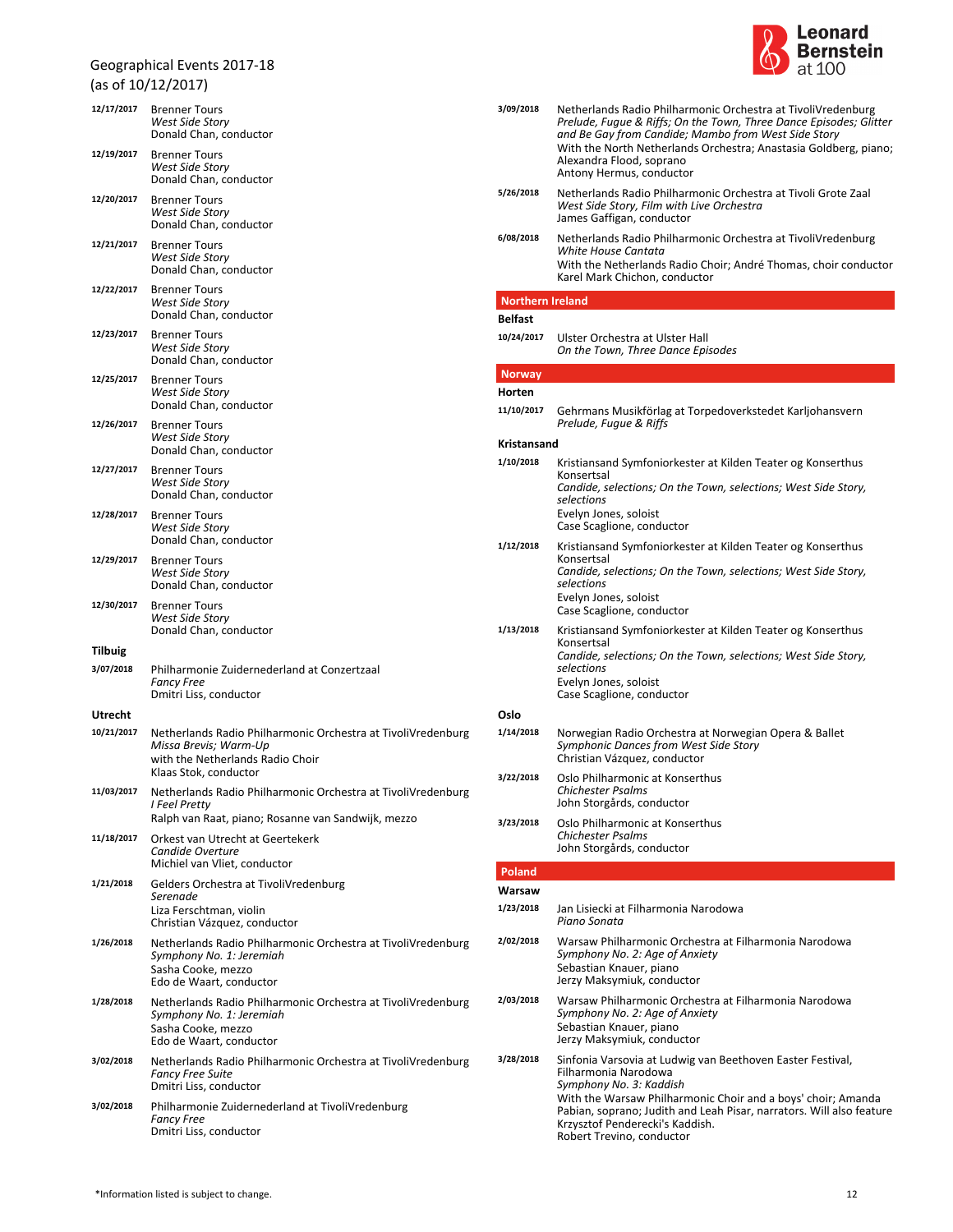# Geographical Events 2017-18 (as of 10/12/2017)

| 12/17/2017     | <b>Brenner Tours</b><br>West Side Story<br>Donald Chan, conductor                                                                                  |
|----------------|----------------------------------------------------------------------------------------------------------------------------------------------------|
| 12/19/2017     | <b>Brenner Tours</b><br>West Side Story<br>Donald Chan, conductor                                                                                  |
| 12/20/2017     | <b>Brenner Tours</b><br>West Side Story<br>Donald Chan, conductor                                                                                  |
| 12/21/2017     | <b>Brenner Tours</b><br><b>West Side Story</b><br>Donald Chan, conductor                                                                           |
| 12/22/2017     | <b>Brenner Tours</b><br>West Side Story<br>Donald Chan, conductor                                                                                  |
| 12/23/2017     | <b>Brenner Tours</b><br>West Side Story<br>Donald Chan, conductor                                                                                  |
| 12/25/2017     | <b>Brenner Tours</b><br>West Side Story<br>Donald Chan, conductor                                                                                  |
| 12/26/2017     | <b>Brenner Tours</b><br>West Side Story<br>Donald Chan, conductor                                                                                  |
| 12/27/2017     | <b>Brenner Tours</b><br><b>West Side Story</b><br>Donald Chan, conductor                                                                           |
| 12/28/2017     | <b>Brenner Tours</b><br>West Side Story<br>Donald Chan, conductor                                                                                  |
| 12/29/2017     | <b>Brenner Tours</b><br>West Side Story<br>Donald Chan, conductor                                                                                  |
| 12/30/2017     | <b>Brenner Tours</b><br>West Side Story<br>Donald Chan, conductor                                                                                  |
| Tilbuig        |                                                                                                                                                    |
| 3/07/2018      | Philharmonie Zuidernederland at Conzertzaal<br><b>Fancy Free</b><br>Dmitri Liss, conductor                                                         |
| <b>Utrecht</b> |                                                                                                                                                    |
| 10/21/2017     | Netherlands Radio Philharmonic Orchestra at TivoliVredenburg<br>Missa Brevis; Warm-Up<br>with the Netherlands Radio Choir<br>Klaas Stok, conductor |
| 11/03/2017     | Netherlands Radio Philharmonic Orchestra at TivoliVredenburg<br>I Feel Pretty<br>Ralph van Raat, piano; Rosanne van Sandwijk, mezzo                |
| 11/18/2017     | Orkest van Utrecht at Geertekerk<br>Candide Overture<br>Michiel van Vliet, conductor                                                               |
| 1/21/2018      | Gelders Orchestra at TivoliVredenburg<br>Serenade<br>Liza Ferschtman, violin<br>Christian Vázquez, conductor                                       |
| 1/26/2018      | Netherlands Radio Philharmonic Orchestra at TivoliVredenburg<br>Symphony No. 1: Jeremiah<br>Sasha Cooke, mezzo<br>Edo de Waart, conductor          |
| 1/28/2018      | Netherlands Radio Philharmonic Orchestra at TivoliVredenburg<br>Symphony No. 1: Jeremiah<br>Sasha Cooke, mezzo<br>Edo de Waart, conductor          |
| 3/02/2018      | Netherlands Radio Philharmonic Orchestra at TivoliVredenburg<br><b>Fancy Free Suite</b><br>Dmitri Liss, conductor                                  |
| 3/02/2018      | Philharmonie Zuidernederland at TivoliVredenburg<br>Fancy Free<br>Dmitri Liss, conductor                                                           |
|                |                                                                                                                                                    |



| 3/09/2018               | Netherlands Radio Philharmonic Orchestra at TivoliVredenburg<br>Prelude, Fugue & Riffs; On the Town, Three Dance Episodes; Glitter<br>and Be Gay from Candide; Mambo from West Side Story<br>With the North Netherlands Orchestra; Anastasia Goldberg, piano;<br>Alexandra Flood, soprano<br>Antony Hermus, conductor |
|-------------------------|-----------------------------------------------------------------------------------------------------------------------------------------------------------------------------------------------------------------------------------------------------------------------------------------------------------------------|
| 5/26/2018               | Netherlands Radio Philharmonic Orchestra at Tivoli Grote Zaal<br>West Side Story, Film with Live Orchestra<br>James Gaffigan, conductor                                                                                                                                                                               |
| 6/08/2018               | Netherlands Radio Philharmonic Orchestra at TivoliVredenburg<br>White House Cantata<br>With the Netherlands Radio Choir; André Thomas, choir conductor<br>Karel Mark Chichon, conductor                                                                                                                               |
| <b>Northern Ireland</b> |                                                                                                                                                                                                                                                                                                                       |
| <b>Belfast</b>          |                                                                                                                                                                                                                                                                                                                       |
| 10/24/2017              | Ulster Orchestra at Ulster Hall<br>On the Town, Three Dance Episodes                                                                                                                                                                                                                                                  |
| <b>Norway</b>           |                                                                                                                                                                                                                                                                                                                       |
| Horten                  |                                                                                                                                                                                                                                                                                                                       |
| 11/10/2017              | Gehrmans Musikförlag at Torpedoverkstedet Karljohansvern<br>Prelude, Fugue & Riffs                                                                                                                                                                                                                                    |
| Kristansand             |                                                                                                                                                                                                                                                                                                                       |
| 1/10/2018               | Kristiansand Symfoniorkester at Kilden Teater og Konserthus<br>Konsertsal<br>Candide, selections; On the Town, selections; West Side Story,<br>selections<br>Evelyn Jones, soloist<br>Case Scaglione, conductor                                                                                                       |
| 1/12/2018               | Kristiansand Symfoniorkester at Kilden Teater og Konserthus<br>Konsertsal<br>Candide, selections; On the Town, selections; West Side Story,<br>selections<br>Evelyn Jones, soloist<br>Case Scaglione, conductor                                                                                                       |
| 1/13/2018               | Kristiansand Symfoniorkester at Kilden Teater og Konserthus<br>Konsertsal<br>Candide, selections; On the Town, selections; West Side Story,<br>selections<br>Evelyn Jones, soloist<br>Case Scaglione, conductor                                                                                                       |
| Oslo                    |                                                                                                                                                                                                                                                                                                                       |
| 1/14/2018               | Norwegian Radio Orchestra at Norwegian Opera & Ballet<br>Symphonic Dances from West Side Story<br>Christian Vázquez, conductor                                                                                                                                                                                        |
| 3/22/2018               | Oslo Philharmonic at Konserthus<br>Chichester Psalms<br>John Storgårds, conductor                                                                                                                                                                                                                                     |
| 3/23/2018               | Oslo Philharmonic at Konserthus<br><b>Chichester Psalms</b><br>John Storgårds, conductor                                                                                                                                                                                                                              |
| Poland                  |                                                                                                                                                                                                                                                                                                                       |
| Warsaw                  |                                                                                                                                                                                                                                                                                                                       |
| 1/23/2018               | Jan Lisiecki at Filharmonia Narodowa<br>Piano Sonata                                                                                                                                                                                                                                                                  |
| 2/02/2018               | Warsaw Philharmonic Orchestra at Filharmonia Narodowa<br>Symphony No. 2: Age of Anxiety<br>Sebastian Knauer, piano<br>Jerzy Maksymiuk, conductor                                                                                                                                                                      |
| 2/03/2018               | Warsaw Philharmonic Orchestra at Filharmonia Narodowa<br>Symphony No. 2: Age of Anxiety<br>Sebastian Knauer, piano<br>Jerzy Maksymiuk, conductor                                                                                                                                                                      |
| 3/28/2018               | Sinfonia Varsovia at Ludwig van Beethoven Easter Festival,<br>Filharmonia Narodowa<br>Symphony No. 3: Kaddish<br>With the Warsaw Philharmonic Choir and a boys' choir; Amanda<br>Pabian, soprano; Judith and Leah Pisar, narrators. Will also feature<br>Krzysztof Penderecki's Kaddish.<br>Robert Trevino, conductor |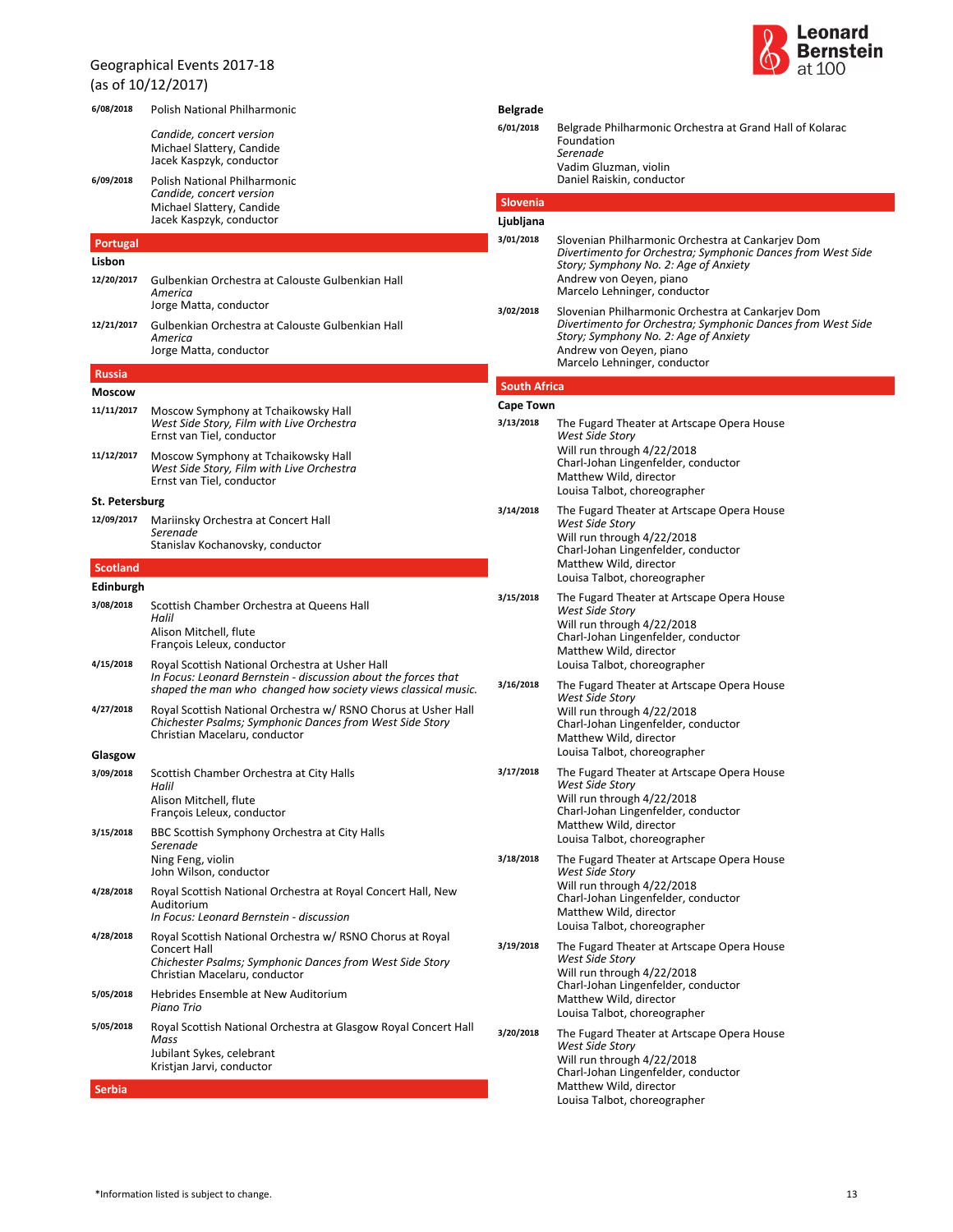# Geographical Events 2017-18 (as of 10/12/2017)



| 6/08/2018          | Polish National Philharmonic                                                                                                                                                       | <b>Belgrade</b>               |                                                                                                                                                                                      |
|--------------------|------------------------------------------------------------------------------------------------------------------------------------------------------------------------------------|-------------------------------|--------------------------------------------------------------------------------------------------------------------------------------------------------------------------------------|
|                    | Candide, concert version<br>Michael Slattery, Candide<br>Jacek Kaspzyk, conductor                                                                                                  | 6/01/2018                     | Belgrade Philharmonic Orchestra at Grand Hall of Kolarac<br>Foundation<br>Serenade<br>Vadim Gluzman, violin                                                                          |
| 6/09/2018          | Polish National Philharmonic                                                                                                                                                       |                               | Daniel Raiskin, conductor                                                                                                                                                            |
|                    | Candide, concert version<br>Michael Slattery, Candide                                                                                                                              | Slovenia                      |                                                                                                                                                                                      |
|                    | Jacek Kaspzyk, conductor                                                                                                                                                           | Ljubljana<br>3/01/2018        |                                                                                                                                                                                      |
| Portugal<br>Lisbon |                                                                                                                                                                                    |                               | Slovenian Philharmonic Orchestra at Cankarjev Dom<br>Divertimento for Orchestra; Symphonic Dances from West Side                                                                     |
| 12/20/2017         | Gulbenkian Orchestra at Calouste Gulbenkian Hall<br>America                                                                                                                        |                               | Story; Symphony No. 2: Age of Anxiety<br>Andrew von Oeyen, piano<br>Marcelo Lehninger, conductor                                                                                     |
| 12/21/2017         | Jorge Matta, conductor<br>Gulbenkian Orchestra at Calouste Gulbenkian Hall<br>America<br>Jorge Matta, conductor                                                                    | 3/02/2018                     | Slovenian Philharmonic Orchestra at Cankariev Dom<br>Divertimento for Orchestra; Symphonic Dances from West Side<br>Story; Symphony No. 2: Age of Anxiety<br>Andrew von Oeyen, piano |
| <b>Russia</b>      |                                                                                                                                                                                    |                               | Marcelo Lehninger, conductor                                                                                                                                                         |
| <b>Moscow</b>      |                                                                                                                                                                                    | <b>South Africa</b>           |                                                                                                                                                                                      |
| 11/11/2017         | Moscow Symphony at Tchaikowsky Hall<br>West Side Story, Film with Live Orchestra<br>Ernst van Tiel, conductor                                                                      | <b>Cape Town</b><br>3/13/2018 | The Fugard Theater at Artscape Opera House<br>West Side Story                                                                                                                        |
| 11/12/2017         | Moscow Symphony at Tchaikowsky Hall<br>West Side Story, Film with Live Orchestra<br>Ernst van Tiel, conductor                                                                      |                               | Will run through 4/22/2018<br>Charl-Johan Lingenfelder, conductor<br>Matthew Wild, director<br>Louisa Talbot, choreographer                                                          |
| St. Petersburg     |                                                                                                                                                                                    | 3/14/2018                     | The Fugard Theater at Artscape Opera House                                                                                                                                           |
| 12/09/2017         | Mariinsky Orchestra at Concert Hall<br>Serenade<br>Stanislav Kochanovsky, conductor                                                                                                |                               | <b>West Side Story</b><br>Will run through 4/22/2018<br>Charl-Johan Lingenfelder, conductor                                                                                          |
| Scotland           |                                                                                                                                                                                    |                               | Matthew Wild, director                                                                                                                                                               |
| Edinburgh          |                                                                                                                                                                                    | 3/15/2018                     | Louisa Talbot, choreographer<br>The Fugard Theater at Artscape Opera House                                                                                                           |
| 3/08/2018          | Scottish Chamber Orchestra at Queens Hall<br>Halil<br>Alison Mitchell, flute                                                                                                       |                               | West Side Story<br>Will run through 4/22/2018<br>Charl-Johan Lingenfelder, conductor                                                                                                 |
|                    | François Leleux, conductor                                                                                                                                                         |                               | Matthew Wild, director                                                                                                                                                               |
| 4/15/2018          | Royal Scottish National Orchestra at Usher Hall<br>In Focus: Leonard Bernstein - discussion about the forces that<br>shaped the man who changed how society views classical music. | 3/16/2018                     | Louisa Talbot, choreographer<br>The Fugard Theater at Artscape Opera House<br>West Side Story                                                                                        |
| 4/27/2018          | Royal Scottish National Orchestra w/ RSNO Chorus at Usher Hall<br>Chichester Psalms; Symphonic Dances from West Side Story<br>Christian Macelaru, conductor                        |                               | Will run through 4/22/2018<br>Charl-Johan Lingenfelder, conductor<br>Matthew Wild, director                                                                                          |
| Glasgow            |                                                                                                                                                                                    |                               | Louisa Talbot, choreographer                                                                                                                                                         |
| 3/09/2018          | Scottish Chamber Orchestra at City Halls<br>Halil<br>Alison Mitchell, flute                                                                                                        | 3/17/2018                     | The Fugard Theater at Artscape Opera House<br>West Side Story<br>Will run through 4/22/2018<br>Charl-Johan Lingenfelder, conductor                                                   |
| 3/15/2018          | François Leleux, conductor<br>BBC Scottish Symphony Orchestra at City Halls<br>Serenade                                                                                            |                               | Matthew Wild, director<br>Louisa Talbot, choreographer                                                                                                                               |
|                    | Ning Feng, violin<br>John Wilson, conductor                                                                                                                                        | 3/18/2018                     | The Fugard Theater at Artscape Opera House<br>West Side Story                                                                                                                        |
| 4/28/2018          | Royal Scottish National Orchestra at Royal Concert Hall, New<br>Auditorium<br>In Focus: Leonard Bernstein - discussion                                                             |                               | Will run through 4/22/2018<br>Charl-Johan Lingenfelder, conductor<br>Matthew Wild, director                                                                                          |
| 4/28/2018          | Royal Scottish National Orchestra w/ RSNO Chorus at Royal<br><b>Concert Hall</b><br>Chichester Psalms; Symphonic Dances from West Side Story<br>Christian Macelaru, conductor      | 3/19/2018                     | Louisa Talbot, choreographer<br>The Fugard Theater at Artscape Opera House<br>West Side Story<br>Will run through 4/22/2018                                                          |
| 5/05/2018          | Hebrides Ensemble at New Auditorium<br>Piano Trio                                                                                                                                  |                               | Charl-Johan Lingenfelder, conductor<br>Matthew Wild, director<br>Louisa Talbot, choreographer                                                                                        |
| 5/05/2018          | Royal Scottish National Orchestra at Glasgow Royal Concert Hall<br>Mass<br>Jubilant Sykes, celebrant<br>Kristjan Jarvi, conductor                                                  | 3/20/2018                     | The Fugard Theater at Artscape Opera House<br>West Side Story<br>Will run through 4/22/2018<br>Charl-Johan Lingenfelder, conductor                                                   |
| Serbia             |                                                                                                                                                                                    |                               | Matthew Wild, director<br>Louisa Talbot, choreographer                                                                                                                               |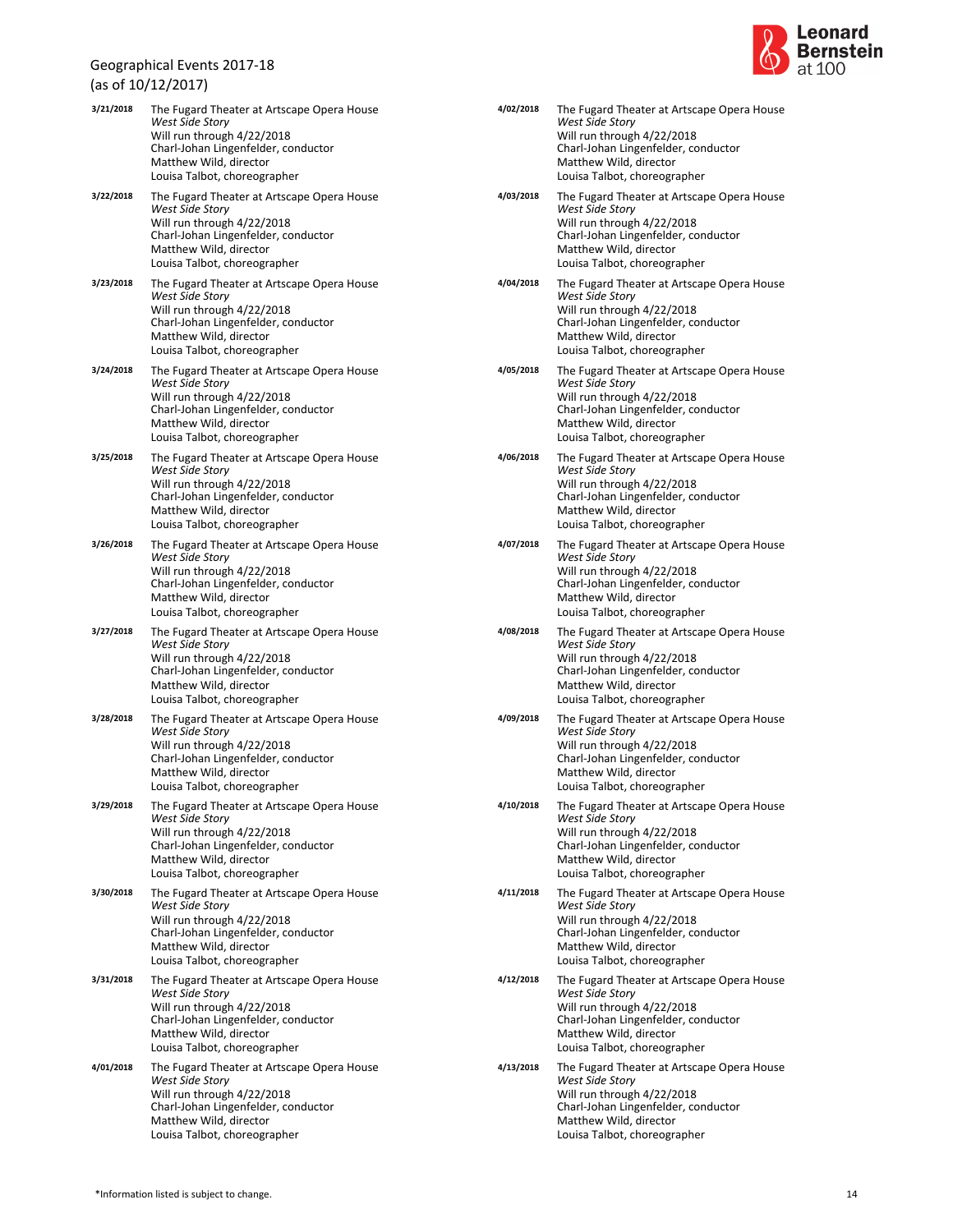(as of 10/12/2017)

|           | (dɔ UI 1U/ 1Z/ ZU17 )                                                                                                                                                                               |
|-----------|-----------------------------------------------------------------------------------------------------------------------------------------------------------------------------------------------------|
| 3/21/2018 | The Fugard Theater at Artscape Opera House<br>West Side Story<br>Will run through 4/22/2018<br>Charl-Johan Lingenfelder, conductor<br>Matthew Wild, director<br>Louisa Talbot, choreographer        |
| 3/22/2018 | The Fugard Theater at Artscape Opera House<br>West Side Story<br>Will run through 4/22/2018<br>Charl-Johan Lingenfelder, conductor<br>Matthew Wild, director<br>Louisa Talbot, choreographer        |
| 3/23/2018 | The Fugard Theater at Artscape Opera House<br>West Side Story<br>Will run through 4/22/2018<br>Charl-Johan Lingenfelder, conductor<br>Matthew Wild, director<br>Louisa Talbot, choreographer        |
| 3/24/2018 | The Fugard Theater at Artscape Opera House<br><b>West Side Story</b><br>Will run through 4/22/2018<br>Charl-Johan Lingenfelder, conductor<br>Matthew Wild, director<br>Louisa Talbot, choreographer |
| 3/25/2018 | The Fugard Theater at Artscape Opera House<br>West Side Story<br>Will run through 4/22/2018<br>Charl-Johan Lingenfelder, conductor<br>Matthew Wild, director<br>Louisa Talbot, choreographer        |
| 3/26/2018 | The Fugard Theater at Artscape Opera House<br>West Side Story<br>Will run through 4/22/2018<br>Charl-Johan Lingenfelder, conductor<br>Matthew Wild, director<br>Louisa Talbot, choreographer        |
| 3/27/2018 | The Fugard Theater at Artscape Opera House<br><b>West Side Story</b><br>Will run through 4/22/2018<br>Charl-Johan Lingenfelder, conductor<br>Matthew Wild, director<br>Louisa Talbot, choreographer |
| 3/28/2018 | The Fugard Theater at Artscape Opera House<br>West Side Story<br>Will run through 4/22/2018<br>Charl-Johan Lingenfelder, conductor<br>Matthew Wild, director<br>Louisa Talbot, choreographer        |
| 3/29/2018 | The Fugard Theater at Artscape Opera House<br><b>West Side Story</b><br>Will run through 4/22/2018<br>Charl-Johan Lingenfelder, conductor<br>Matthew Wild, director<br>Louisa Talbot, choreographer |
| 3/30/2018 | The Fugard Theater at Artscape Opera House<br><b>West Side Story</b><br>Will run through 4/22/2018<br>Charl-Johan Lingenfelder, conductor<br>Matthew Wild, director<br>Louisa Talbot, choreographer |
| 3/31/2018 | The Fugard Theater at Artscape Opera House<br>West Side Story<br>Will run through 4/22/2018<br>Charl-Johan Lingenfelder, conductor<br>Matthew Wild, director<br>Louisa Talbot, choreographer        |
| 4/01/2018 | The Fugard Theater at Artscape Opera House<br>West Side Story<br>Will run through 4/22/2018<br>Charl-Johan Lingenfelder, conductor<br>Matthew Wild, director<br>Louisa Talbot, choreographer        |



| 4/02/2018 | The Fugard Theater at Artscape Opera House<br>West Side Story<br>Will run through 4/22/2018<br>Charl-Johan Lingenfelder, conductor<br>Matthew Wild, director<br>Louisa Talbot, choreographer        |
|-----------|-----------------------------------------------------------------------------------------------------------------------------------------------------------------------------------------------------|
| 4/03/2018 | The Fugard Theater at Artscape Opera House<br>West Side Story<br>Will run through 4/22/2018<br>Charl-Johan Lingenfelder, conductor<br>Matthew Wild, director<br>Louisa Talbot, choreographer        |
| 4/04/2018 | The Fugard Theater at Artscape Opera House<br><b>West Side Story</b><br>Will run through 4/22/2018<br>Charl-Johan Lingenfelder, conductor<br>Matthew Wild, director<br>Louisa Talbot, choreographer |
| 4/05/2018 | The Fugard Theater at Artscape Opera House<br>West Side Story<br>Will run through 4/22/2018<br>Charl-Johan Lingenfelder, conductor<br>Matthew Wild, director<br>Louisa Talbot, choreographer        |
| 4/06/2018 | The Fugard Theater at Artscape Opera House<br>West Side Story<br>Will run through 4/22/2018<br>Charl-Johan Lingenfelder, conductor<br>Matthew Wild, director<br>Louisa Talbot, choreographer        |
| 4/07/2018 | The Fugard Theater at Artscape Opera House<br><b>West Side Story</b><br>Will run through 4/22/2018<br>Charl-Johan Lingenfelder, conductor<br>Matthew Wild, director<br>Louisa Talbot, choreographer |
| 4/08/2018 | The Fugard Theater at Artscape Opera House<br>West Side Story<br>Will run through 4/22/2018<br>Charl-Johan Lingenfelder, conductor<br>Matthew Wild, director<br>Louisa Talbot, choreographer        |
| 4/09/2018 | The Fugard Theater at Artscape Opera House<br>West Side Story<br>Will run through 4/22/2018<br>Charl-Johan Lingenfelder, conductor<br>Matthew Wild, director<br>Louisa Talbot, choreographer        |
| 4/10/2018 | The Fugard Theater at Artscape Opera House<br>West Side Story<br>Will run through 4/22/2018<br>Charl-Johan Lingenfelder, conductor<br>Matthew Wild, director<br>Louisa Talbot, choreographer        |
| 4/11/2018 | The Fugard Theater at Artscape Opera House<br><b>West Side Story</b><br>Will run through 4/22/2018<br>Charl-Johan Lingenfelder, conductor<br>Matthew Wild, director<br>Louisa Talbot, choreographer |
| 4/12/2018 | The Fugard Theater at Artscape Opera House<br>West Side Story<br>Will run through 4/22/2018<br>Charl-Johan Lingenfelder, conductor<br>Matthew Wild, director<br>Louisa Talbot, choreographer        |
| 4/13/2018 | The Fugard Theater at Artscape Opera House<br><b>West Side Story</b><br>Will run through 4/22/2018<br>Charl-Johan Lingenfelder, conductor<br>Matthew Wild, director<br>Louisa Talbot, choreographer |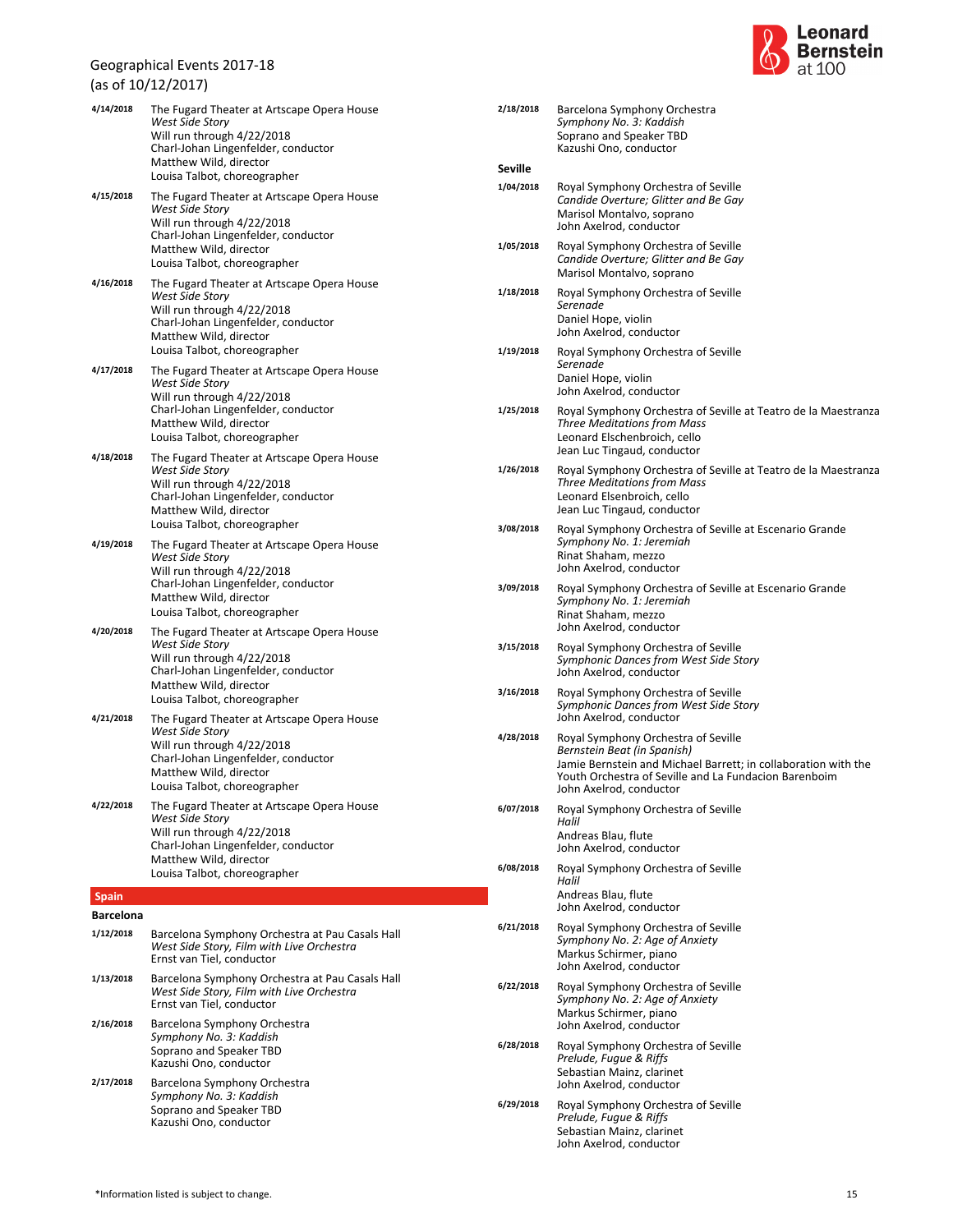(as of 10/12/2017)



| 2/18/2018      | Barcelona Symphony Orchestra<br>Symphony No. 3: Kaddish<br>Soprano and Speaker TBD<br>Kazushi Ono, conductor                                                                                                             |
|----------------|--------------------------------------------------------------------------------------------------------------------------------------------------------------------------------------------------------------------------|
| <b>Seville</b> |                                                                                                                                                                                                                          |
| 1/04/2018      | Royal Symphony Orchestra of Seville<br>Candide Overture; Glitter and Be Gay<br>Marisol Montalvo, soprano<br>John Axelrod, conductor                                                                                      |
| 1/05/2018      | Royal Symphony Orchestra of Seville<br>Candide Overture; Glitter and Be Gay<br>Marisol Montalvo, soprano                                                                                                                 |
| 1/18/2018      | Royal Symphony Orchestra of Seville<br>Serenade<br>Daniel Hope, violin<br>John Axelrod, conductor                                                                                                                        |
| 1/19/2018      | Royal Symphony Orchestra of Seville<br>Serenade<br>Daniel Hope, violin<br>John Axelrod, conductor                                                                                                                        |
| 1/25/2018      | Royal Symphony Orchestra of Seville at Teatro de la Maestranza<br><b>Three Meditations from Mass</b><br>Leonard Elschenbroich, cello<br>Jean Luc Tingaud, conductor                                                      |
| 1/26/2018      | Royal Symphony Orchestra of Seville at Teatro de la Maestranza<br><b>Three Meditations from Mass</b><br>Leonard Elsenbroich, cello<br>Jean Luc Tingaud, conductor                                                        |
| 3/08/2018      | Royal Symphony Orchestra of Seville at Escenario Grande<br>Symphony No. 1: Jeremiah<br>Rinat Shaham, mezzo<br>John Axelrod, conductor                                                                                    |
| 3/09/2018      | Royal Symphony Orchestra of Seville at Escenario Grande<br>Symphony No. 1: Jeremiah<br>Rinat Shaham, mezzo<br>John Axelrod, conductor                                                                                    |
| 3/15/2018      | Royal Symphony Orchestra of Seville<br>Symphonic Dances from West Side Story<br>John Axelrod, conductor                                                                                                                  |
| 3/16/2018      | Royal Symphony Orchestra of Seville<br>Symphonic Dances from West Side Story<br>John Axelrod, conductor                                                                                                                  |
| 4/28/2018      | Royal Symphony Orchestra of Seville<br>Bernstein Beat (in Spanish)<br>Jamie Bernstein and Michael Barrett; in collaboration with the<br>Youth Orchestra of Seville and La Fundacion Barenboim<br>John Axelrod. conductor |
| 6/07/2018      | Royal Symphony Orchestra of Seville<br>Halil<br>Andreas Blau, flute<br>John Axelrod, conductor                                                                                                                           |
| 6/08/2018      | Royal Symphony Orchestra of Seville<br>Halil<br>Andreas Blau, flute<br>John Axelrod, conductor                                                                                                                           |
| 6/21/2018      | Royal Symphony Orchestra of Seville<br>Symphony No. 2: Age of Anxiety<br>Markus Schirmer, piano<br>John Axelrod, conductor                                                                                               |
| 6/22/2018      | Royal Symphony Orchestra of Seville<br>Symphony No. 2: Age of Anxiety<br>Markus Schirmer, piano<br>John Axelrod, conductor                                                                                               |
| 6/28/2018      | Royal Symphony Orchestra of Seville<br>Prelude, Fugue & Riffs<br>Sebastian Mainz, clarinet<br>John Axelrod, conductor                                                                                                    |
| 6/29/2018      | Royal Symphony Orchestra of Seville<br>Prelude, Fugue & Riffs<br>Sebastian Mainz, clarinet<br>John Axelrod, conductor                                                                                                    |

| 4/14/2018                     | The Fugard Theater at Artscape Opera House<br>West Side Story                                                             |
|-------------------------------|---------------------------------------------------------------------------------------------------------------------------|
|                               | Will run through 4/22/2018                                                                                                |
|                               | Charl-Johan Lingenfelder, conductor<br>Matthew Wild, director                                                             |
|                               | Louisa Talbot, choreographer                                                                                              |
| 4/15/2018                     | The Fugard Theater at Artscape Opera House<br>West Side Story                                                             |
|                               | Will run through 4/22/2018<br>Charl-Johan Lingenfelder, conductor                                                         |
|                               | Matthew Wild, director                                                                                                    |
| 4/16/2018                     | Louisa Talbot, choreographer                                                                                              |
|                               | The Fugard Theater at Artscape Opera House<br>West Side Story                                                             |
|                               | Will run through 4/22/2018<br>Charl-Johan Lingenfelder, conductor                                                         |
|                               | Matthew Wild, director<br>Louisa Talbot, choreographer                                                                    |
| 4/17/2018                     | The Fugard Theater at Artscape Opera House                                                                                |
|                               | West Side Story<br>Will run through 4/22/2018                                                                             |
|                               | Charl-Johan Lingenfelder, conductor                                                                                       |
|                               | Matthew Wild, director<br>Louisa Talbot, choreographer                                                                    |
| 4/18/2018                     | The Fugard Theater at Artscape Opera House                                                                                |
|                               | West Side Story<br>Will run through 4/22/2018                                                                             |
|                               | Charl-Johan Lingenfelder, conductor<br>Matthew Wild, director                                                             |
|                               | Louisa Talbot, choreographer                                                                                              |
| 4/19/2018                     | The Fugard Theater at Artscape Opera House<br>West Side Story                                                             |
|                               | Will run through 4/22/2018<br>Charl-Johan Lingenfelder, conductor                                                         |
|                               | Matthew Wild, director                                                                                                    |
| 4/20/2018                     | Louisa Talbot, choreographer<br>The Fugard Theater at Artscape Opera House                                                |
|                               | <b>West Side Story</b>                                                                                                    |
|                               | Will run through 4/22/2018<br>Charl-Johan Lingenfelder, conductor                                                         |
|                               | Matthew Wild, director<br>Louisa Talbot, choreographer                                                                    |
| 4/21/2018                     | The Fugard Theater at Artscape Opera House                                                                                |
|                               | West Side Story<br>Will run through 4/22/2018                                                                             |
|                               | Charl-Johan Lingenfelder, conductor<br>Matthew Wild, director                                                             |
|                               | Louisa Talbot, choreographer                                                                                              |
| 4/22/2018                     | The Fugard Theater at Artscape Opera House<br><b>West Side Story</b>                                                      |
|                               | Will run through 4/22/2018                                                                                                |
|                               | Charl-Johan Lingenfelder, conductor<br>Matthew Wild, director                                                             |
|                               | Louisa Talbot, choreographer                                                                                              |
| <b>Spain</b>                  |                                                                                                                           |
| <b>Barcelona</b><br>1/12/2018 | Barcelona Symphony Orchestra at Pau Casals Hall                                                                           |
|                               | West Side Story, Film with Live Orchestra<br>Ernst van Tiel, conductor                                                    |
| 1/13/2018                     | Barcelona Symphony Orchestra at Pau Casals Hall<br>West Side Story, Film with Live Orchestra<br>Ernst van Tiel, conductor |
| 2/16/2018                     | Barcelona Symphony Orchestra<br>Symphony No. 3: Kaddish                                                                   |
|                               | Soprano and Speaker TBD                                                                                                   |
| 2/17/2018                     | Kazushi Ono, conductor<br>Barcelona Symphony Orchestra                                                                    |
|                               | Symphony No. 3: Kaddish                                                                                                   |
|                               | Soprano and Speaker TBD<br>Kazushi Ono, conductor                                                                         |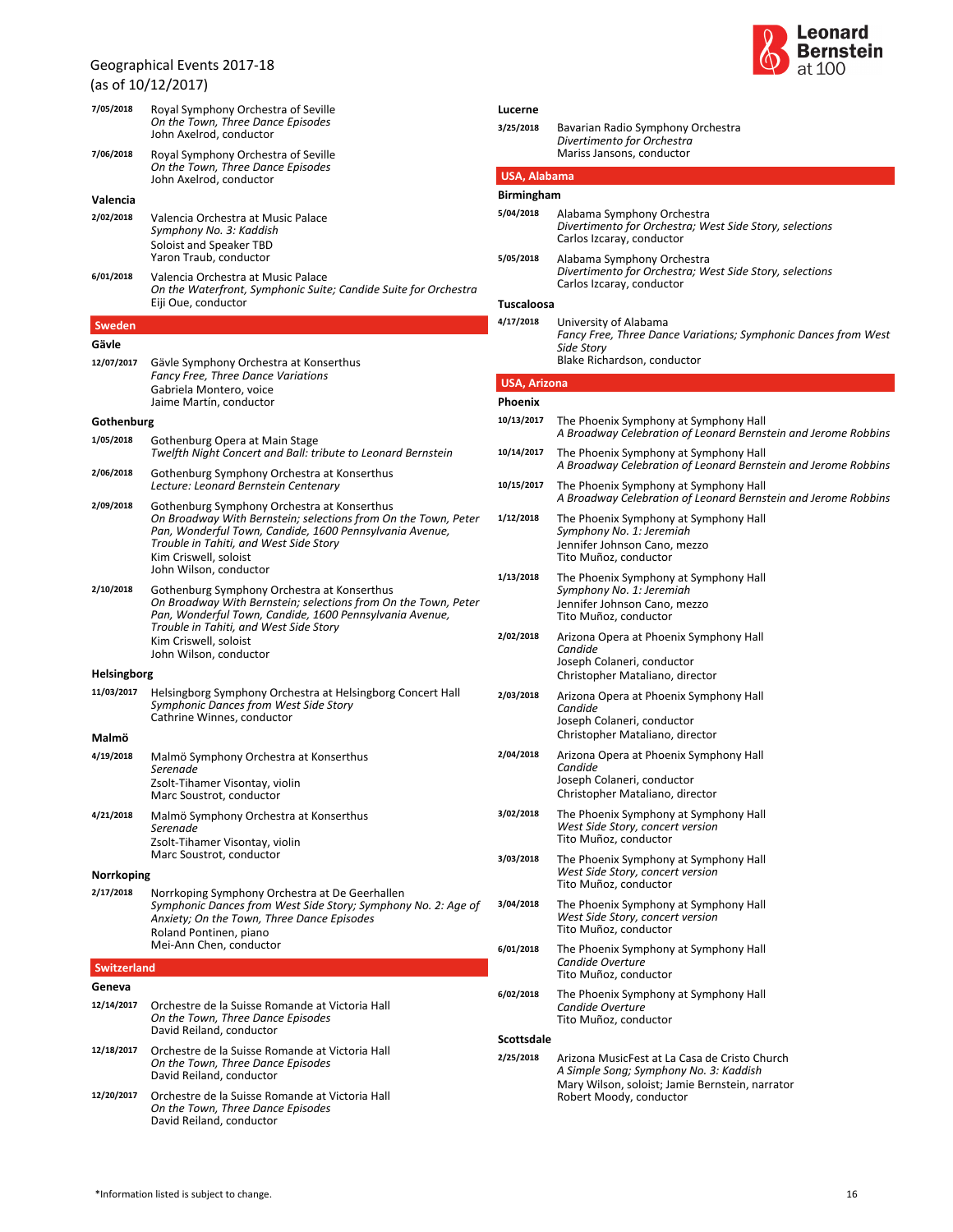



| 7/05/2018          | Royal Symphony Orchestra of Seville<br>On the Town, Three Dance Episodes<br>John Axelrod, conductor                                                                                          | Lucerne<br>3/25/2018 | Bavarian Radio Symphony Orchestra                                                                                          |  |
|--------------------|----------------------------------------------------------------------------------------------------------------------------------------------------------------------------------------------|----------------------|----------------------------------------------------------------------------------------------------------------------------|--|
| 7/06/2018          | Royal Symphony Orchestra of Seville<br>On the Town, Three Dance Episodes                                                                                                                     |                      | Divertimento for Orchestra<br>Mariss Jansons, conductor                                                                    |  |
|                    | John Axelrod, conductor                                                                                                                                                                      | <b>USA, Alabama</b>  |                                                                                                                            |  |
| Valencia           |                                                                                                                                                                                              | <b>Birmingham</b>    |                                                                                                                            |  |
| 2/02/2018          | Valencia Orchestra at Music Palace<br>Symphony No. 3: Kaddish<br>Soloist and Speaker TBD                                                                                                     | 5/04/2018            | Alabama Symphony Orchestra<br>Divertimento for Orchestra; West Side Story, selections<br>Carlos Izcaray, conductor         |  |
| 6/01/2018          | Yaron Traub, conductor<br>Valencia Orchestra at Music Palace                                                                                                                                 | 5/05/2018            | Alabama Symphony Orchestra<br>Divertimento for Orchestra; West Side Story, selections<br>Carlos Izcaray, conductor         |  |
|                    | On the Waterfront, Symphonic Suite; Candide Suite for Orchestra<br>Eiji Oue, conductor                                                                                                       | Tuscaloosa           |                                                                                                                            |  |
| <b>Sweden</b>      |                                                                                                                                                                                              | 4/17/2018            | University of Alabama                                                                                                      |  |
| Gävle              |                                                                                                                                                                                              |                      | Fancy Free, Three Dance Variations; Symphonic Dances from West                                                             |  |
| 12/07/2017         | Gävle Symphony Orchestra at Konserthus                                                                                                                                                       |                      | Side Story<br>Blake Richardson, conductor                                                                                  |  |
|                    | Fancy Free, Three Dance Variations                                                                                                                                                           | <b>USA, Arizona</b>  |                                                                                                                            |  |
|                    | Gabriela Montero, voice<br>Jaime Martín, conductor                                                                                                                                           | Phoenix              |                                                                                                                            |  |
| Gothenburg         |                                                                                                                                                                                              | 10/13/2017           | The Phoenix Symphony at Symphony Hall                                                                                      |  |
| 1/05/2018          | Gothenburg Opera at Main Stage                                                                                                                                                               |                      | A Broadway Celebration of Leonard Bernstein and Jerome Robbins                                                             |  |
| 2/06/2018          | Twelfth Night Concert and Ball: tribute to Leonard Bernstein<br>Gothenburg Symphony Orchestra at Konserthus                                                                                  | 10/14/2017           | The Phoenix Symphony at Symphony Hall<br>A Broadway Celebration of Leonard Bernstein and Jerome Robbins                    |  |
| 2/09/2018          | Lecture: Leonard Bernstein Centenary<br>Gothenburg Symphony Orchestra at Konserthus                                                                                                          | 10/15/2017           | The Phoenix Symphony at Symphony Hall<br>A Broadway Celebration of Leonard Bernstein and Jerome Robbins                    |  |
|                    | On Broadway With Bernstein; selections from On the Town, Peter<br>Pan, Wonderful Town, Candide, 1600 Pennsylvania Avenue,<br>Trouble in Tahiti, and West Side Story<br>Kim Criswell, soloist | 1/12/2018            | The Phoenix Symphony at Symphony Hall<br>Symphony No. 1: Jeremiah<br>Jennifer Johnson Cano, mezzo<br>Tito Muñoz, conductor |  |
|                    | John Wilson, conductor                                                                                                                                                                       | 1/13/2018            | The Phoenix Symphony at Symphony Hall                                                                                      |  |
| 2/10/2018          | Gothenburg Symphony Orchestra at Konserthus<br>On Broadway With Bernstein; selections from On the Town, Peter<br>Pan, Wonderful Town, Candide, 1600 Pennsylvania Avenue,                     |                      | Symphony No. 1: Jeremiah<br>Jennifer Johnson Cano, mezzo<br>Tito Muñoz, conductor                                          |  |
|                    | Trouble in Tahiti, and West Side Story<br>Kim Criswell, soloist<br>John Wilson, conductor                                                                                                    | 2/02/2018            | Arizona Opera at Phoenix Symphony Hall<br>Candide<br>Joseph Colaneri, conductor                                            |  |
| <b>Helsingborg</b> |                                                                                                                                                                                              |                      | Christopher Mataliano, director                                                                                            |  |
| 11/03/2017         | Helsingborg Symphony Orchestra at Helsingborg Concert Hall<br>Symphonic Dances from West Side Story<br>Cathrine Winnes, conductor                                                            | 2/03/2018            | Arizona Opera at Phoenix Symphony Hall<br>Candide<br>Joseph Colaneri, conductor                                            |  |
| Malmö              |                                                                                                                                                                                              |                      | Christopher Mataliano, director                                                                                            |  |
| 4/19/2018          | Malmö Symphony Orchestra at Konserthus<br>Serenade<br>Zsolt-Tihamer Visontay, violin                                                                                                         | 2/04/2018            | Arizona Opera at Phoenix Symphony Hall<br>Candide<br>Joseph Colaneri, conductor                                            |  |
|                    | Marc Soustrot, conductor                                                                                                                                                                     |                      | Christopher Mataliano, director                                                                                            |  |
| 4/21/2018          | Malmö Symphony Orchestra at Konserthus<br>Serenade                                                                                                                                           | 3/02/2018            | The Phoenix Symphony at Symphony Hall<br>West Side Story, concert version<br>Tito Muñoz, conductor                         |  |
|                    | Zsolt-Tihamer Visontay, violin<br>Marc Soustrot, conductor                                                                                                                                   | 3/03/2018            | The Phoenix Symphony at Symphony Hall                                                                                      |  |
| Norrkoping         |                                                                                                                                                                                              |                      | West Side Story, concert version<br>Tito Muñoz, conductor                                                                  |  |
| 2/17/2018          | Norrkoping Symphony Orchestra at De Geerhallen<br>Symphonic Dances from West Side Story; Symphony No. 2: Age of<br>Anxiety; On the Town, Three Dance Episodes<br>Roland Pontinen, piano      | 3/04/2018            | The Phoenix Symphony at Symphony Hall<br>West Side Story, concert version<br>Tito Muñoz, conductor                         |  |
| <b>Switzerland</b> | Mei-Ann Chen, conductor                                                                                                                                                                      | 6/01/2018            | The Phoenix Symphony at Symphony Hall<br>Candide Overture<br>Tito Muñoz, conductor                                         |  |
| Geneva             |                                                                                                                                                                                              | 6/02/2018            | The Phoenix Symphony at Symphony Hall                                                                                      |  |
| 12/14/2017         | Orchestre de la Suisse Romande at Victoria Hall<br>On the Town, Three Dance Episodes<br>David Reiland, conductor                                                                             |                      | Candide Overture<br>Tito Muñoz, conductor                                                                                  |  |
| 12/18/2017         |                                                                                                                                                                                              | Scottsdale           |                                                                                                                            |  |
|                    | Orchestre de la Suisse Romande at Victoria Hall<br>On the Town, Three Dance Episodes<br>David Reiland, conductor                                                                             | 2/25/2018            | Arizona MusicFest at La Casa de Cristo Church<br>A Simple Song; Symphony No. 3: Kaddish                                    |  |
| 12/20/2017         | Orchestre de la Suisse Romande at Victoria Hall<br>On the Town, Three Dance Episodes<br>David Reiland, conductor                                                                             |                      | Mary Wilson, soloist; Jamie Bernstein, narrator<br>Robert Moody, conductor                                                 |  |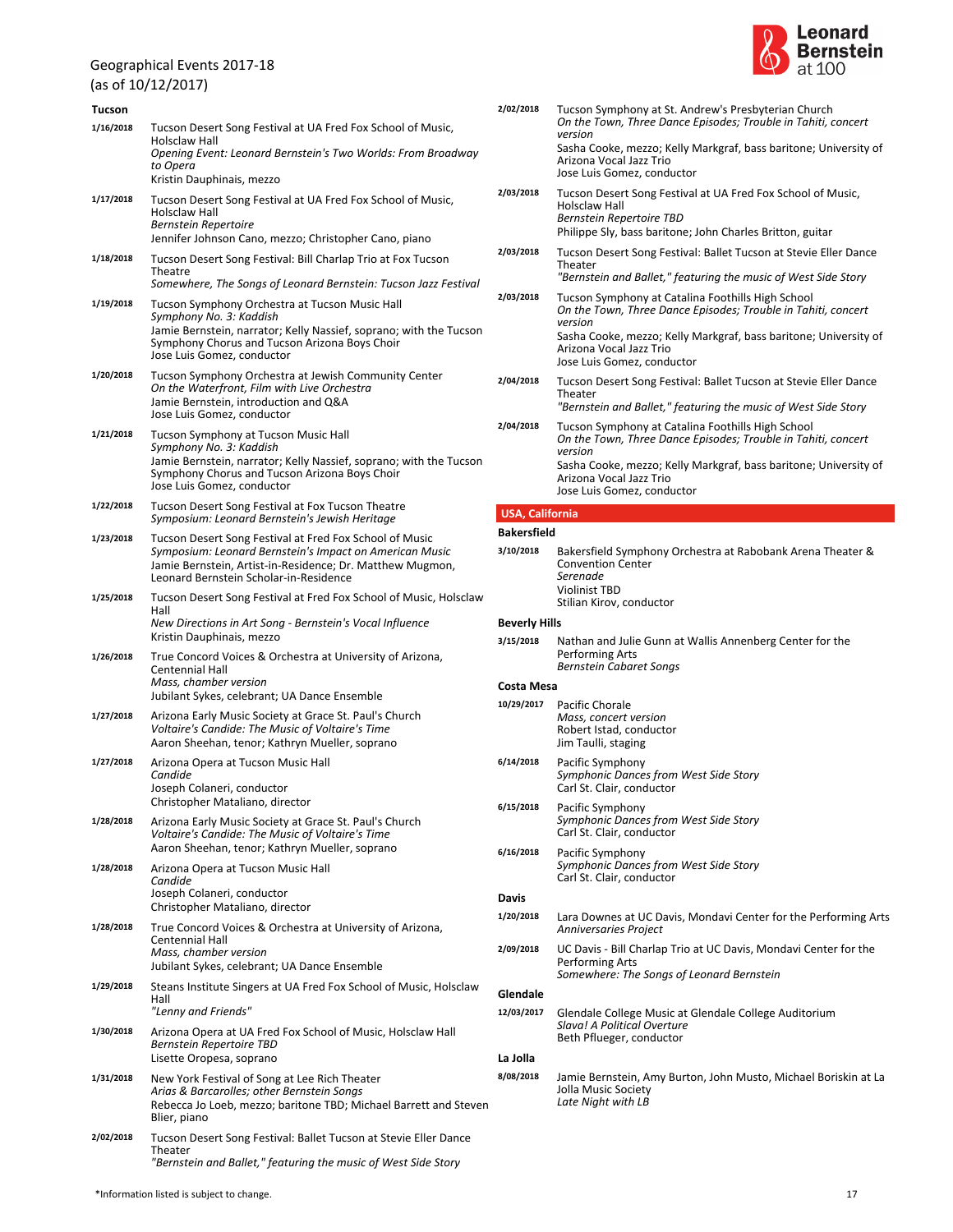$(10.1012)(2017)$ 

|               | (as of $10/12/2017$ )                                                                                                                                                                                                          |  |
|---------------|--------------------------------------------------------------------------------------------------------------------------------------------------------------------------------------------------------------------------------|--|
| <b>Tucson</b> |                                                                                                                                                                                                                                |  |
| 1/16/2018     | Tucson Desert Song Festival at UA Fred Fox School of Music,<br>Holsclaw Hall<br>Opening Event: Leonard Bernstein's Two Worlds: From Broadway<br>to Opera<br>Kristin Dauphinais, mezzo                                          |  |
| 1/17/2018     | Tucson Desert Song Festival at UA Fred Fox School of Music,<br>Holsclaw Hall<br>Bernstein Repertoire<br>Jennifer Johnson Cano, mezzo; Christopher Cano, piano                                                                  |  |
| 1/18/2018     | Tucson Desert Song Festival: Bill Charlap Trio at Fox Tucson<br>Theatre<br>Somewhere, The Songs of Leonard Bernstein: Tucson Jazz Festival                                                                                     |  |
| 1/19/2018     | Tucson Symphony Orchestra at Tucson Music Hall<br>Symphony No. 3: Kaddish<br>Jamie Bernstein, narrator; Kelly Nassief, soprano; with the Tucson<br>Symphony Chorus and Tucson Arizona Boys Choir<br>Jose Luis Gomez, conductor |  |
| 1/20/2018     | Tucson Symphony Orchestra at Jewish Community Center<br>On the Waterfront, Film with Live Orchestra<br>Jamie Bernstein, introduction and Q&A<br>Jose Luis Gomez, conductor                                                     |  |
| 1/21/2018     | Tucson Symphony at Tucson Music Hall<br>Symphony No. 3: Kaddish<br>Jamie Bernstein, narrator; Kelly Nassief, soprano; with the Tucson<br>Symphony Chorus and Tucson Arizona Boys Choir<br>Jose Luis Gomez, conductor           |  |
| 1/22/2018     | Tucson Desert Song Festival at Fox Tucson Theatre<br>Symposium: Leonard Bernstein's Jewish Heritage                                                                                                                            |  |
| 1/23/2018     | Tucson Desert Song Festival at Fred Fox School of Music<br>Symposium: Leonard Bernstein's Impact on American Music<br>Jamie Bernstein, Artist-in-Residence; Dr. Matthew Mugmon,<br>Leonard Bernstein Scholar-in-Residence      |  |
| 1/25/2018     | Tucson Desert Song Festival at Fred Fox School of Music, Holsclaw<br>Hall<br>New Directions in Art Song - Bernstein's Vocal Influence<br>Kristin Dauphinais, mezzo                                                             |  |
| 1/26/2018     | True Concord Voices & Orchestra at University of Arizona,<br>Centennial Hall<br>Mass, chamber version<br>Jubilant Sykes, celebrant; UA Dance Ensemble                                                                          |  |
| 1/27/2018     | Arizona Early Music Society at Grace St. Paul's Church<br>Voltaire's Candide: The Music of Voltaire's Time<br>Aaron Sheehan, tenor; Kathryn Mueller, soprano                                                                   |  |
| 1/27/2018     | Arizona Opera at Tucson Music Hall<br>Candide<br>Joseph Colaneri, conductor<br>Christopher Mataliano, director                                                                                                                 |  |
| 1/28/2018     | Arizona Early Music Society at Grace St. Paul's Church<br>Voltaire's Candide: The Music of Voltaire's Time<br>Aaron Sheehan, tenor; Kathryn Mueller, soprano                                                                   |  |
| 1/28/2018     | Arizona Opera at Tucson Music Hall<br>Candide<br>Joseph Colaneri, conductor<br>Christopher Mataliano, director                                                                                                                 |  |
| 1/28/2018     | True Concord Voices & Orchestra at University of Arizona,<br>Centennial Hall<br>Mass, chamber version<br>Jubilant Sykes, celebrant; UA Dance Ensemble                                                                          |  |
| 1/29/2018     | Steans Institute Singers at UA Fred Fox School of Music, Holsclaw<br>Hall<br>"Lenny and Friends"                                                                                                                               |  |
| 1/30/2018     | Arizona Opera at UA Fred Fox School of Music, Holsclaw Hall<br>Bernstein Repertoire TBD<br>Lisette Oropesa, soprano                                                                                                            |  |
| 1/31/2018     | New York Festival of Song at Lee Rich Theater<br>Arias & Barcarolles; other Bernstein Songs<br>Rebecca Jo Loeb, mezzo; baritone TBD; Michael Barrett and Steven<br>Blier, piano                                                |  |
| 2/02/2018     | Tucson Desert Song Festival: Ballet Tucson at Stevie Eller Dance<br>Theater<br>"Bernstein and Ballet," featuring the music of West Side Story                                                                                  |  |



| 2/02/2018              | Tucson Symphony at St. Andrew's Presbyterian Church<br>On the Town, Three Dance Episodes; Trouble in Tahiti, concert<br>version<br>Sasha Cooke, mezzo; Kelly Markgraf, bass baritone; University of<br>Arizona Vocal Jazz Trio<br>Jose Luis Gomez, conductor |
|------------------------|--------------------------------------------------------------------------------------------------------------------------------------------------------------------------------------------------------------------------------------------------------------|
| 2/03/2018              | Tucson Desert Song Festival at UA Fred Fox School of Music,<br>Holsclaw Hall<br><b>Bernstein Repertoire TBD</b><br>Philippe Sly, bass baritone; John Charles Britton, guitar                                                                                 |
| 2/03/2018              | Tucson Desert Song Festival: Ballet Tucson at Stevie Eller Dance<br>Theater<br>"Bernstein and Ballet," featuring the music of West Side Story                                                                                                                |
| 2/03/2018              | Tucson Symphony at Catalina Foothills High School<br>On the Town, Three Dance Episodes; Trouble in Tahiti, concert<br>version<br>Sasha Cooke, mezzo; Kelly Markgraf, bass baritone; University of<br>Arizona Vocal Jazz Trio<br>Jose Luis Gomez, conductor   |
| 2/04/2018              | Tucson Desert Song Festival: Ballet Tucson at Stevie Eller Dance<br>Theater<br>"Bernstein and Ballet," featuring the music of West Side Story                                                                                                                |
| 2/04/2018              | Tucson Symphony at Catalina Foothills High School<br>On the Town, Three Dance Episodes; Trouble in Tahiti, concert<br>version<br>Sasha Cooke, mezzo; Kelly Markgraf, bass baritone; University of<br>Arizona Vocal Jazz Trio<br>Jose Luis Gomez, conductor   |
| <b>USA, California</b> |                                                                                                                                                                                                                                                              |
| <b>Bakersfield</b>     |                                                                                                                                                                                                                                                              |
| 3/10/2018              | Bakersfield Symphony Orchestra at Rabobank Arena Theater &<br><b>Convention Center</b><br>Serenade                                                                                                                                                           |

| <b>Violinist TBD</b>     |
|--------------------------|
| Stilian Kirov, conductor |

### **Beverly Hills**

*Bernstein Cabaret Songs* **3/15/2018** Nathan and Julie Gunn at Wallis Annenberg Center for the Performing Arts

### **Costa Mesa**

| 10/29/2017 | Pacific Chorale         |  |  |
|------------|-------------------------|--|--|
|            | Mass, concert version   |  |  |
|            | Robert Istad, conductor |  |  |
|            | Jim Taulli, staging     |  |  |

- *Symphonic Dances from West Side Story* Carl St. Clair, conductor **6/14/2018** Pacific Symphony
- *Symphonic Dances from West Side Story* Carl St. Clair, conductor **6/15/2018** Pacific Symphony **6/16/2018** Pacific Symphony
	- *Symphonic Dances from West Side Story* Carl St. Clair, conductor

### **Davis**

- *Anniversaries Project* **1/20/2018** Lara Downes at UC Davis, Mondavi Center for the Performing Arts
- *Somewhere: The Songs of Leonard Bernstein* **2/09/2018** UC Davis - Bill Charlap Trio at UC Davis, Mondavi Center for the Performing Arts

# **Glendale**

*Slava! A Political Overture* Beth Pflueger, conductor **12/03/2017** Glendale College Music at Glendale College Auditorium

### **La Jolla**

*Late Night with LB* **8/08/2018** Jamie Bernstein, Amy Burton, John Musto, Michael Boriskin at La Jolla Music Society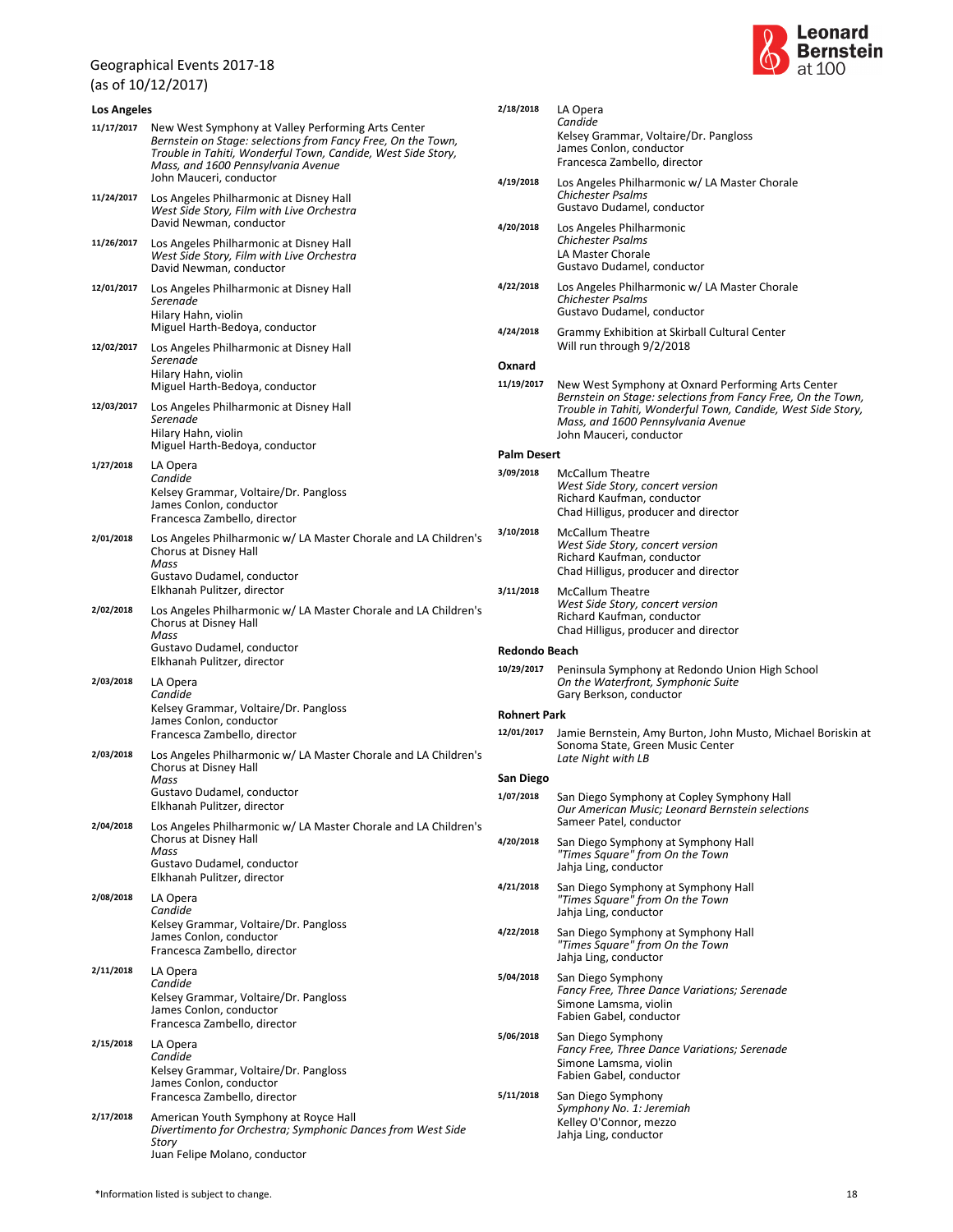(as of 10/12/2017)



| <b>Los Angeles</b> |                                                                                                                                                                                                                                                     | 2/18/2018            | LA Opera                                                                                                                          |  |
|--------------------|-----------------------------------------------------------------------------------------------------------------------------------------------------------------------------------------------------------------------------------------------------|----------------------|-----------------------------------------------------------------------------------------------------------------------------------|--|
| 11/17/2017         | New West Symphony at Valley Performing Arts Center<br>Bernstein on Stage: selections from Fancy Free, On the Town,<br>Trouble in Tahiti, Wonderful Town, Candide, West Side Story,<br>Mass, and 1600 Pennsylvania Avenue<br>John Mauceri, conductor |                      | Candide<br>Kelsey Grammar, Voltaire/Dr. Pangloss<br>James Conlon, conductor<br>Francesca Zambello, director                       |  |
| 11/24/2017         | Los Angeles Philharmonic at Disney Hall<br>West Side Story, Film with Live Orchestra<br>David Newman, conductor                                                                                                                                     | 4/19/2018            | Los Angeles Philharmonic w/ LA Master Chorale<br><b>Chichester Psalms</b><br>Gustavo Dudamel, conductor                           |  |
| 11/26/2017         | Los Angeles Philharmonic at Disney Hall<br>West Side Story, Film with Live Orchestra<br>David Newman, conductor                                                                                                                                     | 4/20/2018            | Los Angeles Philharmonic<br><b>Chichester Psalms</b><br>LA Master Chorale<br>Gustavo Dudamel, conductor                           |  |
| 12/01/2017         | Los Angeles Philharmonic at Disney Hall<br>Serenade<br>Hilary Hahn, violin                                                                                                                                                                          | 4/22/2018            | Los Angeles Philharmonic w/ LA Master Chorale<br><b>Chichester Psalms</b><br>Gustavo Dudamel, conductor                           |  |
| 12/02/2017         | Miguel Harth-Bedoya, conductor<br>Los Angeles Philharmonic at Disney Hall<br>Serenade                                                                                                                                                               | 4/24/2018            | Grammy Exhibition at Skirball Cultural Center<br>Will run through 9/2/2018                                                        |  |
|                    | Hilary Hahn, violin<br>Miguel Harth-Bedoya, conductor                                                                                                                                                                                               | Oxnard<br>11/19/2017 | New West Symphony at Oxnard Performing Arts Center<br>Bernstein on Stage: selections from Fancy Free, On the Town,                |  |
| 12/03/2017         | Los Angeles Philharmonic at Disney Hall<br>Serenade<br>Hilary Hahn, violin<br>Miguel Harth-Bedoya, conductor                                                                                                                                        |                      | Trouble in Tahiti, Wonderful Town, Candide, West Side Story,<br>Mass, and 1600 Pennsylvania Avenue<br>John Mauceri, conductor     |  |
|                    |                                                                                                                                                                                                                                                     | <b>Palm Desert</b>   |                                                                                                                                   |  |
| 1/27/2018          | LA Opera<br>Candide<br>Kelsey Grammar, Voltaire/Dr. Pangloss<br>James Conlon, conductor<br>Francesca Zambello, director                                                                                                                             | 3/09/2018            | <b>McCallum Theatre</b><br>West Side Story, concert version<br>Richard Kaufman, conductor<br>Chad Hilligus, producer and director |  |
| 2/01/2018          | Los Angeles Philharmonic w/ LA Master Chorale and LA Children's<br>Chorus at Disney Hall<br>Mass                                                                                                                                                    | 3/10/2018            | <b>McCallum Theatre</b><br>West Side Story, concert version<br>Richard Kaufman, conductor<br>Chad Hilligus, producer and director |  |
|                    | Gustavo Dudamel, conductor<br>Elkhanah Pulitzer, director                                                                                                                                                                                           | 3/11/2018            | <b>McCallum Theatre</b><br>West Side Story, concert version                                                                       |  |
| 2/02/2018          | Los Angeles Philharmonic w/ LA Master Chorale and LA Children's<br>Chorus at Disney Hall<br>Mass<br>Gustavo Dudamel, conductor                                                                                                                      |                      | Richard Kaufman, conductor<br>Chad Hilligus, producer and director                                                                |  |
|                    | Elkhanah Pulitzer, director                                                                                                                                                                                                                         | <b>Redondo Beach</b> |                                                                                                                                   |  |
| 2/03/2018          | LA Opera<br>Candide                                                                                                                                                                                                                                 | 10/29/2017           | Peninsula Symphony at Redondo Union High School<br>On the Waterfront, Symphonic Suite<br>Gary Berkson, conductor                  |  |
|                    | Kelsey Grammar, Voltaire/Dr. Pangloss<br>James Conlon, conductor                                                                                                                                                                                    | <b>Rohnert Park</b>  |                                                                                                                                   |  |
| 2/03/2018          | Francesca Zambello, director<br>Los Angeles Philharmonic w/ LA Master Chorale and LA Children's                                                                                                                                                     | 12/01/2017           | Jamie Bernstein, Amy Burton, John Musto, Michael Boriskin at<br>Sonoma State, Green Music Center<br>Late Night with LB            |  |
|                    | Chorus at Disney Hall<br>Mass                                                                                                                                                                                                                       | San Diego            |                                                                                                                                   |  |
|                    | Gustavo Dudamel, conductor<br>Elkhanah Pulitzer, director                                                                                                                                                                                           | 1/07/2018            | San Diego Symphony at Copley Symphony Hall<br>Our American Music; Leonard Bernstein selections<br>Sameer Patel, conductor         |  |
| 2/04/2018          | Los Angeles Philharmonic w/ LA Master Chorale and LA Children's<br>Chorus at Disney Hall<br>Mass<br>Gustavo Dudamel, conductor                                                                                                                      | 4/20/2018            | San Diego Symphony at Symphony Hall<br>"Times Square" from On the Town<br>Jahja Ling, conductor                                   |  |
| 2/08/2018          | Elkhanah Pulitzer, director<br>LA Opera                                                                                                                                                                                                             | 4/21/2018            | San Diego Symphony at Symphony Hall<br>"Times Square" from On the Town                                                            |  |
|                    | Candide<br>Kelsey Grammar, Voltaire/Dr. Pangloss<br>James Conlon, conductor                                                                                                                                                                         | 4/22/2018            | Jahja Ling, conductor<br>San Diego Symphony at Symphony Hall<br>"Times Square" from On the Town                                   |  |
| 2/11/2018          | Francesca Zambello, director<br>LA Opera                                                                                                                                                                                                            | 5/04/2018            | Jahja Ling, conductor                                                                                                             |  |
|                    | Candide<br>Kelsey Grammar, Voltaire/Dr. Pangloss<br>James Conlon, conductor<br>Francesca Zambello, director                                                                                                                                         |                      | San Diego Symphony<br>Fancy Free, Three Dance Variations; Serenade<br>Simone Lamsma, violin<br>Fabien Gabel, conductor            |  |
| 2/15/2018          | LA Opera<br>Candide<br>Kelsey Grammar, Voltaire/Dr. Pangloss                                                                                                                                                                                        | 5/06/2018            | San Diego Symphony<br>Fancy Free, Three Dance Variations; Serenade<br>Simone Lamsma, violin<br>Fabien Gabel, conductor            |  |
|                    | James Conlon, conductor<br>Francesca Zambello, director                                                                                                                                                                                             | 5/11/2018            | San Diego Symphony<br>Symphony No. 1: Jeremiah                                                                                    |  |
| 2/17/2018          | American Youth Symphony at Royce Hall                                                                                                                                                                                                               |                      | Kelley O'Connor, mezzo                                                                                                            |  |
|                    | Divertimento for Orchestra; Symphonic Dances from West Side<br>Story<br>Juan Felipe Molano, conductor                                                                                                                                               |                      | Jahja Ling, conductor                                                                                                             |  |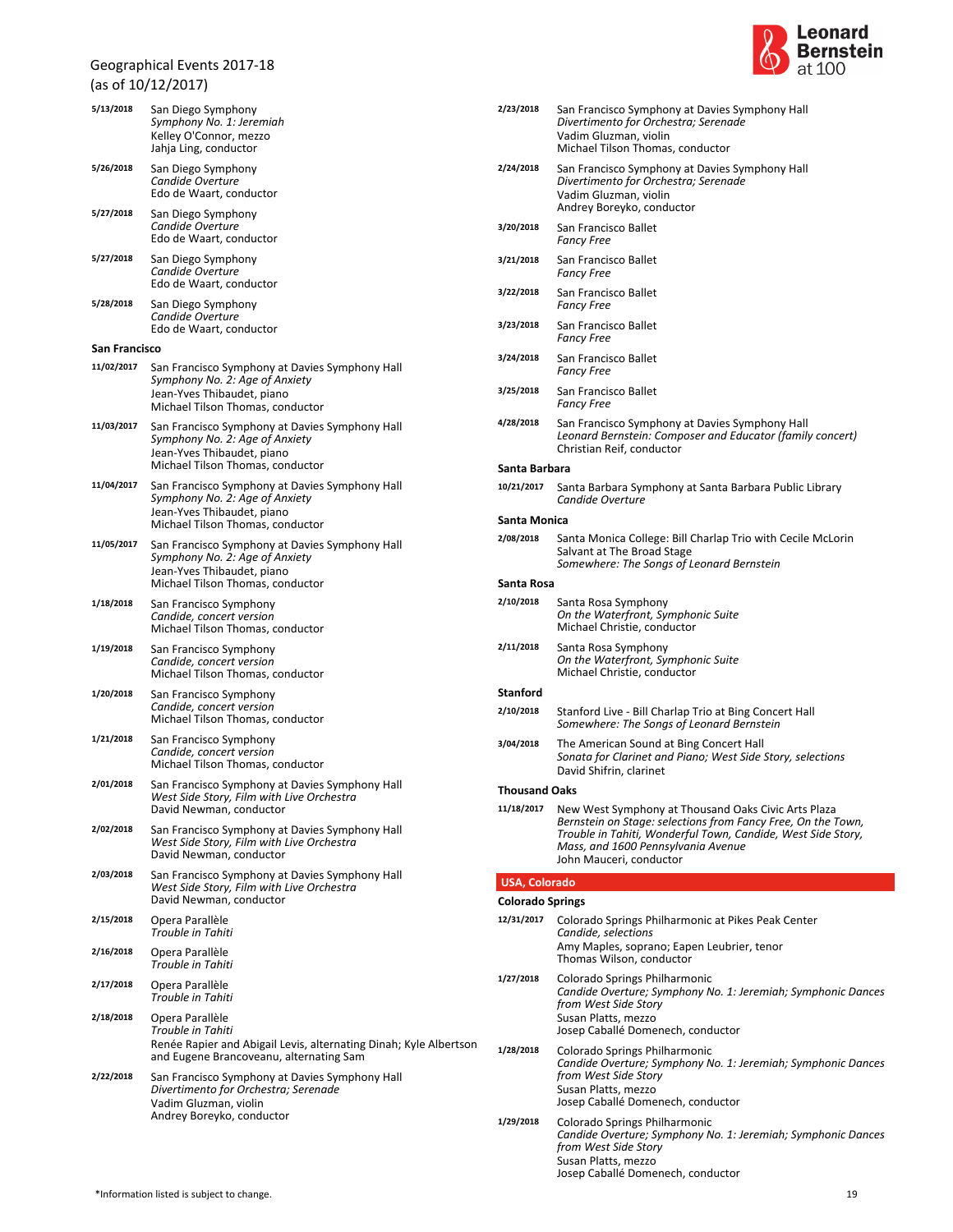# Geographical Events 2017-18 (as of 10/12/2017)

| 5/13/2018     | San Diego Symphony<br>Symphony No. 1: Jeremiah<br>Kelley O'Connor, mezzo<br>Jahja Ling, conductor                                                    |
|---------------|------------------------------------------------------------------------------------------------------------------------------------------------------|
| 5/26/2018     | San Diego Symphony<br>Candide Overture<br>Edo de Waart, conductor                                                                                    |
| 5/27/2018     | San Diego Symphony<br>Candide Overture<br>Edo de Waart, conductor                                                                                    |
| 5/27/2018     | San Diego Symphony<br>Candide Overture<br>Edo de Waart, conductor                                                                                    |
| 5/28/2018     | San Diego Symphony<br>Candide Overture<br>Edo de Waart, conductor                                                                                    |
| San Francisco |                                                                                                                                                      |
| 11/02/2017    | San Francisco Symphony at Davies Symphony Hall<br>Symphony No. 2: Age of Anxiety<br>Jean-Yves Thibaudet, piano<br>Michael Tilson Thomas, conductor   |
| 11/03/2017    | San Francisco Symphony at Davies Symphony Hall<br>Symphony No. 2: Age of Anxiety<br>Jean-Yves Thibaudet, piano<br>Michael Tilson Thomas, conductor   |
| 11/04/2017    | San Francisco Symphony at Davies Symphony Hall<br>Symphony No. 2: Age of Anxiety<br>Jean-Yves Thibaudet, piano<br>Michael Tilson Thomas, conductor   |
| 11/05/2017    | San Francisco Symphony at Davies Symphony Hall<br>Symphony No. 2: Age of Anxiety<br>Jean-Yves Thibaudet, piano<br>Michael Tilson Thomas, conductor   |
| 1/18/2018     | San Francisco Symphony<br>Candide, concert version<br>Michael Tilson Thomas, conductor                                                               |
| 1/19/2018     | San Francisco Symphony<br>Candide, concert version<br>Michael Tilson Thomas, conductor                                                               |
| 1/20/2018     | San Francisco Symphony<br>Candide, concert version<br>Michael Tilson Thomas, conductor                                                               |
| 1/21/2018     | San Francisco Symphony<br>Candide, concert version<br>Michael Tilson Thomas, conductor                                                               |
| 2/01/2018     | San Francisco Symphony at Davies Symphony Hall<br>West Side Story, Film with Live Orchestra<br>David Newman, conductor                               |
| 2/02/2018     | San Francisco Symphony at Davies Symphony Hall<br>West Side Story, Film with Live Orchestra<br>David Newman, conductor                               |
| 2/03/2018     | San Francisco Symphony at Davies Symphony Hall<br>West Side Story, Film with Live Orchestra<br>David Newman, conductor                               |
| 2/15/2018     | Opera Parallèle<br>Trouble in Tahiti                                                                                                                 |
| 2/16/2018     | Opera Parallèle<br>Trouble in Tahiti                                                                                                                 |
| 2/17/2018     | Opera Parallèle<br>Trouble in Tahiti                                                                                                                 |
| 2/18/2018     | Opera Parallèle<br>Trouble in Tahiti<br>Renée Rapier and Abigail Levis, alternating Dinah; Kyle Albertson<br>and Eugene Brancoveanu, alternating Sam |
| 2/22/2018     | San Francisco Symphony at Davies Symphony Hall<br>Divertimento for Orchestra; Serenade<br>Vadim Gluzman, violin<br>Andrey Boreyko, conductor         |



| 2/23/2018               | San Francisco Symphony at Davies Symphony Hall<br>Divertimento for Orchestra; Serenade<br>Vadim Gluzman, violin<br>Michael Tilson Thomas, conductor                                                                                                  |
|-------------------------|------------------------------------------------------------------------------------------------------------------------------------------------------------------------------------------------------------------------------------------------------|
| 2/24/2018               | San Francisco Symphony at Davies Symphony Hall<br>Divertimento for Orchestra; Serenade<br>Vadim Gluzman, violin<br>Andrey Boreyko, conductor                                                                                                         |
| 3/20/2018               | San Francisco Ballet<br><b>Fancy Free</b>                                                                                                                                                                                                            |
| 3/21/2018               | San Francisco Ballet<br><b>Fancy Free</b>                                                                                                                                                                                                            |
| 3/22/2018               | San Francisco Ballet<br><b>Fancy Free</b>                                                                                                                                                                                                            |
| 3/23/2018               | San Francisco Ballet<br><b>Fancy Free</b>                                                                                                                                                                                                            |
| 3/24/2018               | San Francisco Ballet<br><b>Fancy Free</b>                                                                                                                                                                                                            |
| 3/25/2018               | San Francisco Ballet<br><b>Fancy Free</b>                                                                                                                                                                                                            |
| 4/28/2018               | San Francisco Symphony at Davies Symphony Hall<br>Leonard Bernstein: Composer and Educator (family concert)<br>Christian Reif, conductor                                                                                                             |
| Santa Barbara           |                                                                                                                                                                                                                                                      |
| 10/21/2017              | Santa Barbara Symphony at Santa Barbara Public Library<br>Candide Overture                                                                                                                                                                           |
| Santa Monica            |                                                                                                                                                                                                                                                      |
| 2/08/2018               | Santa Monica College: Bill Charlap Trio with Cecile McLorin<br>Salvant at The Broad Stage<br>Somewhere: The Songs of Leonard Bernstein                                                                                                               |
| Santa Rosa              |                                                                                                                                                                                                                                                      |
| 2/10/2018               | Santa Rosa Symphony<br>On the Waterfront, Symphonic Suite<br>Michael Christie, conductor                                                                                                                                                             |
| 2/11/2018               | Santa Rosa Symphony<br>On the Waterfront, Symphonic Suite<br>Michael Christie, conductor                                                                                                                                                             |
| <b>Stanford</b>         |                                                                                                                                                                                                                                                      |
| 2/10/2018               | Stanford Live - Bill Charlap Trio at Bing Concert Hall<br>Somewhere: The Songs of Leonard Bernstein                                                                                                                                                  |
| 3/04/2018               | The American Sound at Bing Concert Hall<br>Sonata for Clarinet and Piano; West Side Story, selections<br>David Shifrin, clarinet                                                                                                                     |
| <b>Inousand Oaks</b>    |                                                                                                                                                                                                                                                      |
| 11/18/2017              | New West Symphony at Thousand Oaks Civic Arts Plaza<br>Bernstein on Stage: selections from Fancy Free, On the Town,<br>Trouble in Tahiti, Wonderful Town, Candide, West Side Story,<br>Mass, and 1600 Pennsylvania Avenue<br>John Mauceri, conductor |
| <b>USA, Colorado</b>    |                                                                                                                                                                                                                                                      |
| <b>Colorado Springs</b> |                                                                                                                                                                                                                                                      |
| 12/31/2017              | Colorado Springs Philharmonic at Pikes Peak Center<br>Candide, selections<br>Amy Maples, soprano; Eapen Leubrier, tenor                                                                                                                              |
|                         | Thomas Wilson, conductor                                                                                                                                                                                                                             |
| 1/27/2018               | Colorado Springs Philharmonic<br>Candide Overture; Symphony No. 1: Jeremiah; Symphonic Dances<br>from West Side Story<br>Susan Platts, mezzo<br>Josep Caballé Domenech, conductor                                                                    |
| 1/28/2018               | Colorado Springs Philharmonic<br>Candide Overture; Symphony No. 1: Jeremiah; Symphonic Dances<br>from West Side Story<br>Susan Platts, mezzo<br>Josep Caballé Domenech, conductor                                                                    |
| 1/29/2018               | Colorado Springs Philharmonic<br>Candide Overture; Symphony No. 1: Jeremiah; Symphonic Dances                                                                                                                                                        |

*from West Side Story*

Susan Platts, mezzo

Josep Caballé Domenech, conductor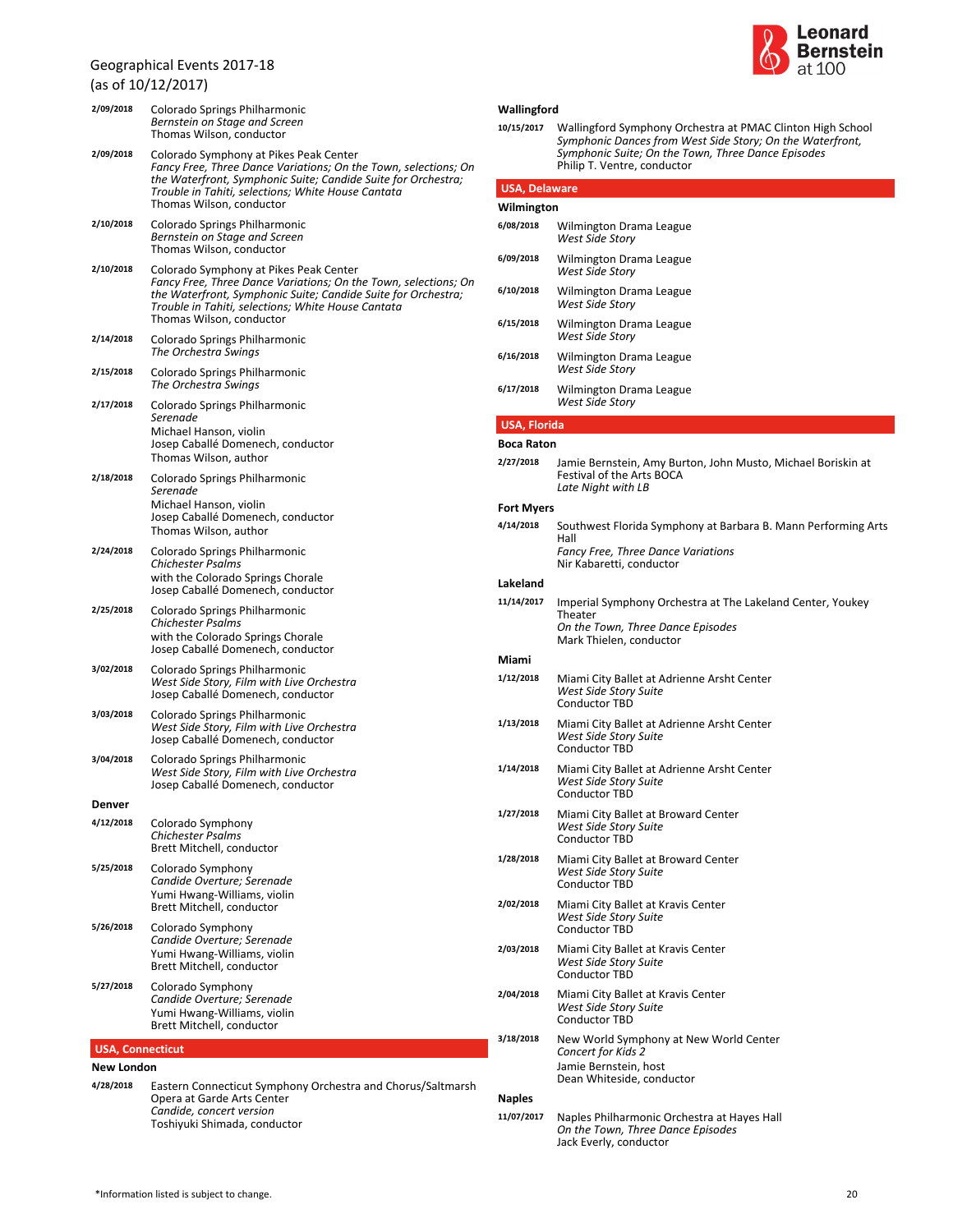(as of 10/12/2017)



| 2/09/2018               | Colorado Springs Philharmonic<br>Bernstein on Stage and Screen<br>Thomas Wilson, conductor                                                                                 | Wallingford<br>10/15/2017 | Walling                           |
|-------------------------|----------------------------------------------------------------------------------------------------------------------------------------------------------------------------|---------------------------|-----------------------------------|
| 2/09/2018               | Colorado Symphony at Pikes Peak Center<br>Fancy Free, Three Dance Variations; On the Town, selections; On<br>the Waterfront, Symphonic Suite; Candide Suite for Orchestra; | <b>USA, Delaware</b>      | Symph<br>Symph<br>Philip 1        |
|                         | Trouble in Tahiti, selections; White House Cantata<br>Thomas Wilson, conductor                                                                                             | Wilmington                |                                   |
| 2/10/2018               | Colorado Springs Philharmonic<br>Bernstein on Stage and Screen                                                                                                             | 6/08/2018                 | Wilmin<br>West S                  |
| 2/10/2018               | Thomas Wilson, conductor<br>Colorado Symphony at Pikes Peak Center<br>Fancy Free, Three Dance Variations; On the Town, selections; On                                      | 6/09/2018<br>6/10/2018    | Wilmin<br>West S<br>Wilmin        |
|                         | the Waterfront, Symphonic Suite; Candide Suite for Orchestra;<br>Trouble in Tahiti, selections; White House Cantata<br>Thomas Wilson, conductor                            | 6/15/2018                 | West S<br>Wilmin                  |
| 2/14/2018               | Colorado Springs Philharmonic<br>The Orchestra Swings                                                                                                                      | 6/16/2018                 | West S<br>Wilmin                  |
| 2/15/2018               | Colorado Springs Philharmonic<br>The Orchestra Swings                                                                                                                      | 6/17/2018                 | West S<br>Wilmin                  |
| 2/17/2018               | Colorado Springs Philharmonic<br>Serenade                                                                                                                                  | <b>USA, Florida</b>       | West S                            |
|                         | Michael Hanson, violin<br>Josep Caballé Domenech, conductor                                                                                                                | <b>Boca Raton</b>         |                                   |
| 2/18/2018               | Thomas Wilson, author<br>Colorado Springs Philharmonic                                                                                                                     | 2/27/2018                 | Jamie I<br>Festiva                |
|                         | Serenade                                                                                                                                                                   |                           | Late Ni                           |
|                         | Michael Hanson, violin<br>Josep Caballé Domenech, conductor                                                                                                                | <b>Fort Myers</b>         |                                   |
| 2/24/2018               | Thomas Wilson, author<br>Colorado Springs Philharmonic                                                                                                                     | 4/14/2018                 | Southy<br>Hall<br>Fancy I         |
|                         | <b>Chichester Psalms</b><br>with the Colorado Springs Chorale                                                                                                              | Lakeland                  | Nir Kab                           |
|                         | Josep Caballé Domenech, conductor                                                                                                                                          | 11/14/2017                | Imperia                           |
| 2/25/2018               | Colorado Springs Philharmonic<br><b>Chichester Psalms</b><br>with the Colorado Springs Chorale                                                                             |                           | Theate<br>On the<br>Mark T        |
|                         | Josep Caballé Domenech, conductor                                                                                                                                          | Miami                     |                                   |
| 3/02/2018               | Colorado Springs Philharmonic<br>West Side Story, Film with Live Orchestra<br>Josep Caballé Domenech, conductor                                                            | 1/12/2018                 | Miami<br>West S<br>Condu          |
| 3/03/2018               | Colorado Springs Philharmonic<br>West Side Story, Film with Live Orchestra<br>Josep Caballé Domenech, conductor                                                            | 1/13/2018                 | Miami<br>West S<br>Condu          |
| 3/04/2018               | Colorado Springs Philharmonic<br>West Side Story, Film with Live Orchestra<br>Josep Caballé Domenech, conductor                                                            | 1/14/2018                 | Miami<br>West S                   |
| Denver                  |                                                                                                                                                                            | 1/27/2018                 | Condu                             |
| 4/12/2018               | Colorado Symphony<br><b>Chichester Psalms</b><br>Brett Mitchell, conductor                                                                                                 |                           | Miami<br>West S<br>Condu          |
| 5/25/2018               | Colorado Symphony<br>Candide Overture; Serenade                                                                                                                            | 1/28/2018                 | Miami<br>West S<br>Condu          |
| 5/26/2018               | Yumi Hwang-Williams, violin<br>Brett Mitchell, conductor<br>Colorado Symphony                                                                                              | 2/02/2018                 | Miami<br>West S                   |
|                         | Candide Overture; Serenade<br>Yumi Hwang-Williams, violin<br>Brett Mitchell, conductor                                                                                     | 2/03/2018                 | Condu<br>Miami<br>West S<br>Condu |
| 5/27/2018               | Colorado Symphony<br>Candide Overture; Serenade<br>Yumi Hwang-Williams, violin<br>Brett Mitchell, conductor                                                                | 2/04/2018                 | Miami<br>West S<br>Condu          |
|                         |                                                                                                                                                                            | 3/18/2018                 | New W                             |
| <b>USA, Connecticut</b> |                                                                                                                                                                            |                           | Concer<br>Jamie I                 |
| New London<br>4/28/2018 | Eastern Connecticut Symphony Orchestra and Chorus/Saltmarsh                                                                                                                |                           | Dean V                            |
|                         |                                                                                                                                                                            |                           |                                   |

*Symphonic Dances from West Side Story; On the Waterfront, Symphonic Suite; On the Town, Three Dance Episodes* Philip T. Ventre, conductor **10/15/2017** Wallingford Symphony Orchestra at PMAC Clinton High School

| Wilmington          |                                                                                                                    |  |  |  |
|---------------------|--------------------------------------------------------------------------------------------------------------------|--|--|--|
| 6/08/2018           | Wilmington Drama League<br><b>West Side Story</b>                                                                  |  |  |  |
| 6/09/2018           | Wilmington Drama League<br>West Side Story                                                                         |  |  |  |
| 6/10/2018           | Wilmington Drama League<br>West Side Story                                                                         |  |  |  |
| 6/15/2018           | Wilmington Drama League<br>West Side Story                                                                         |  |  |  |
| 6/16/2018           | Wilmington Drama League<br><b>West Side Story</b>                                                                  |  |  |  |
| 6/17/2018           | Wilmington Drama League<br>West Side Story                                                                         |  |  |  |
| <b>USA, Florida</b> |                                                                                                                    |  |  |  |
| <b>Boca Raton</b>   |                                                                                                                    |  |  |  |
| 2/27/2018           | Jamie Bernstein, Amy Burton, John Musto, Michael Boriskin at<br>Festival of the Arts BOCA<br>Late Night with LB    |  |  |  |
| <b>Fort Myers</b>   |                                                                                                                    |  |  |  |
| 4/14/2018           | Southwest Florida Symphony at Barbara B. Mann Performing Arts<br>Hall<br>Fancy Free, Three Dance Variations        |  |  |  |
|                     | Nir Kabaretti, conductor                                                                                           |  |  |  |
| Lakeland            |                                                                                                                    |  |  |  |
| 11/14/2017          | Imperial Symphony Orchestra at The Lakeland Center, Youkey<br>Theater<br>On the Town, Three Dance Episodes         |  |  |  |
|                     | Mark Thielen, conductor                                                                                            |  |  |  |
| Miami               |                                                                                                                    |  |  |  |
| 1/12/2018           | Miami City Ballet at Adrienne Arsht Center<br>West Side Story Suite<br><b>Conductor TBD</b>                        |  |  |  |
| 1/13/2018           | Miami City Ballet at Adrienne Arsht Center<br>West Side Story Suite<br><b>Conductor TBD</b>                        |  |  |  |
| 1/14/2018           | Miami City Ballet at Adrienne Arsht Center<br>West Side Story Suite<br><b>Conductor TBD</b>                        |  |  |  |
| 1/27/2018           | Miami City Ballet at Broward Center<br>West Side Story Suite<br><b>Conductor TBD</b>                               |  |  |  |
| 1/28/2018           | Miami City Ballet at Broward Center<br><b>West Side Story Suite</b><br><b>Conductor TBD</b>                        |  |  |  |
| 2/02/2018           | Miami City Ballet at Kravis Center<br><b>West Side Story Suite</b><br><b>Conductor TBD</b>                         |  |  |  |
| 2/03/2018           | Miami City Ballet at Kravis Center<br>West Side Story Suite<br>Conductor TBD                                       |  |  |  |
| 2/04/2018           | Miami City Ballet at Kravis Center<br>West Side Story Suite<br>Conductor TBD                                       |  |  |  |
| 3/18/2018           | New World Symphony at New World Center<br>Concert for Kids 2<br>Jamie Bernstein, host<br>Dean Whiteside, conductor |  |  |  |
| <b>Naples</b>       |                                                                                                                    |  |  |  |

*On the Town, Three Dance Episodes* Jack Everly, conductor **11/07/2017** Naples Philharmonic Orchestra at Hayes Hall

*Candide, concert version* Toshiyuki Shimada, conductor

Opera at Garde Arts Center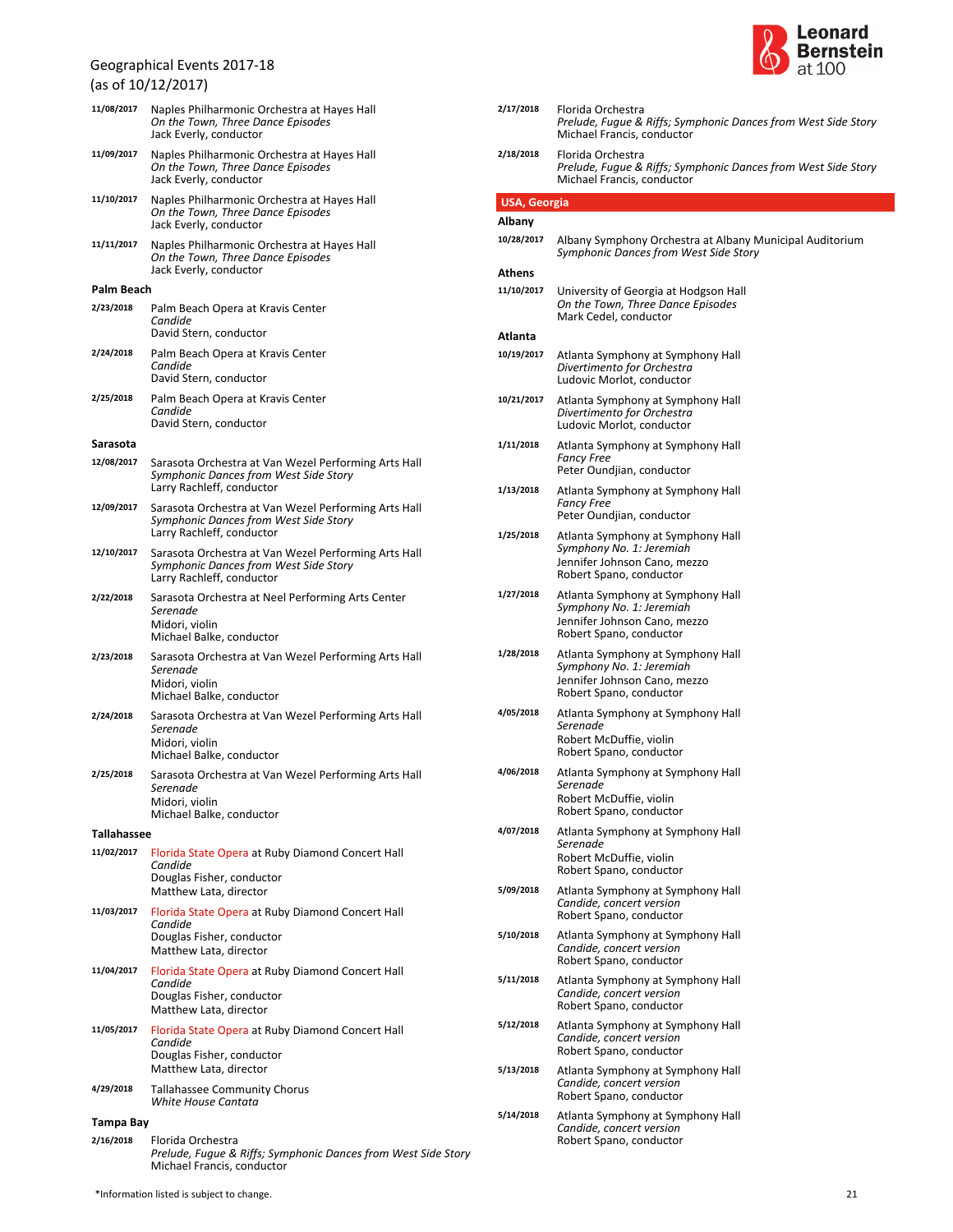(as of 10/12/2017)

| 11/08/2017         | Naples Philharmonic Orchestra at Hayes Hall<br>On the Town, Three Dance Episodes<br>Jack Everly, conductor                 |  |
|--------------------|----------------------------------------------------------------------------------------------------------------------------|--|
| 11/09/2017         | Naples Philharmonic Orchestra at Hayes Hall<br>On the Town, Three Dance Episodes<br>Jack Everly, conductor                 |  |
| 11/10/2017         | Naples Philharmonic Orchestra at Hayes Hall<br>On the Town, Three Dance Episodes<br>Jack Everly, conductor                 |  |
| 11/11/2017         | Naples Philharmonic Orchestra at Hayes Hall<br>On the Town, Three Dance Episodes<br>Jack Everly, conductor                 |  |
| Palm Beach         |                                                                                                                            |  |
| 2/23/2018          | Palm Beach Opera at Kravis Center<br>Candide<br>David Stern, conductor                                                     |  |
| 2/24/2018          | Palm Beach Opera at Kravis Center<br>Candide<br>David Stern, conductor                                                     |  |
| 2/25/2018          | Palm Beach Opera at Kravis Center<br>Candide<br>David Stern, conductor                                                     |  |
| Sarasota           |                                                                                                                            |  |
| 12/08/2017         | Sarasota Orchestra at Van Wezel Performing Arts Hall<br>Symphonic Dances from West Side Story<br>Larry Rachleff, conductor |  |
| 12/09/2017         | Sarasota Orchestra at Van Wezel Performing Arts Hall<br>Symphonic Dances from West Side Story<br>Larry Rachleff, conductor |  |
| 12/10/2017         | Sarasota Orchestra at Van Wezel Performing Arts Hall<br>Symphonic Dances from West Side Story<br>Larry Rachleff, conductor |  |
| 2/22/2018          | Sarasota Orchestra at Neel Performing Arts Center<br>Serenade<br>Midori, violin<br>Michael Balke, conductor                |  |
| 2/23/2018          | Sarasota Orchestra at Van Wezel Performing Arts Hall<br>Serenade<br>Midori, violin<br>Michael Balke, conductor             |  |
| 2/24/2018          | Sarasota Orchestra at Van Wezel Performing Arts Hall<br>Serenade<br>Midori, violin<br>Michael Balke, conductor             |  |
| 2/25/2018          | Sarasota Orchestra at Van Wezel Performing Arts Hall<br>Serenade<br>Midori, violin<br>Michael Balke, conductor             |  |
|                    |                                                                                                                            |  |
| <b>Tallahassee</b> |                                                                                                                            |  |
| 11/02/2017         | Florida State Opera at Ruby Diamond Concert Hall<br>Candide<br>Douglas Fisher, conductor<br>Matthew Lata, director         |  |
| 11/03/2017         | Florida State Opera at Ruby Diamond Concert Hall<br>Candide<br>Douglas Fisher, conductor<br>Matthew Lata, director         |  |
| 11/04/2017         | Florida State Opera at Ruby Diamond Concert Hall<br>Candide<br>Douglas Fisher, conductor<br>Matthew Lata, director         |  |
| 11/05/2017         | Florida State Opera at Ruby Diamond Concert Hall<br>Candide<br>Douglas Fisher, conductor<br>Matthew Lata, director         |  |
| 4/29/2018          | <b>Tallahassee Community Chorus</b><br>White House Cantata                                                                 |  |
| <b>Tampa Bay</b>   |                                                                                                                            |  |
| 2/16/2018          | Florida Orchestra                                                                                                          |  |
|                    | Prelude, Fugue & Riffs; Symphonic Dances from West Side Story                                                              |  |



| 2/17/2018           | Florida Orchestra<br>Prelude, Fugue & Riffs; Symphonic Dances from West Side Story<br>Michael Francis, conductor         |
|---------------------|--------------------------------------------------------------------------------------------------------------------------|
| 2/18/2018           | Florida Orchestra<br>Prelude, Fugue & Riffs; Symphonic Dances from West Side Story<br>Michael Francis, conductor         |
| <b>USA, Georgia</b> |                                                                                                                          |
| Albany              |                                                                                                                          |
| 10/28/2017          | Albany Symphony Orchestra at Albany Municipal Auditorium<br>Symphonic Dances from West Side Story                        |
| Athens              |                                                                                                                          |
| 11/10/2017          | University of Georgia at Hodgson Hall<br>On the Town, Three Dance Episodes<br>Mark Cedel, conductor                      |
| Atlanta             |                                                                                                                          |
| 10/19/2017          | Atlanta Symphony at Symphony Hall<br>Divertimento for Orchestra<br>Ludovic Morlot, conductor                             |
| 10/21/2017          | Atlanta Symphony at Symphony Hall<br>Divertimento for Orchestra<br>Ludovic Morlot, conductor                             |
| 1/11/2018           | Atlanta Symphony at Symphony Hall<br><b>Fancy Free</b><br>Peter Oundjian, conductor                                      |
| 1/13/2018           | Atlanta Symphony at Symphony Hall<br><b>Fancy Free</b><br>Peter Oundjian, conductor                                      |
| 1/25/2018           | Atlanta Symphony at Symphony Hall<br>Symphony No. 1: Jeremiah<br>Jennifer Johnson Cano, mezzo<br>Robert Spano, conductor |
| 1/27/2018           | Atlanta Symphony at Symphony Hall<br>Symphony No. 1: Jeremiah<br>Jennifer Johnson Cano, mezzo<br>Robert Spano, conductor |
| 1/28/2018           | Atlanta Symphony at Symphony Hall<br>Symphony No. 1: Jeremiah<br>Jennifer Johnson Cano, mezzo<br>Robert Spano, conductor |
| 4/05/2018           | Atlanta Symphony at Symphony Hall<br>Serenade<br>Robert McDuffie, violin<br>Robert Spano, conductor                      |
| 4/06/2018           | Atlanta Symphony at Symphony Hall<br>Serenade<br>Robert McDuffie, violin<br>Robert Spano, conductor                      |
| 4/07/2018           | Atlanta Symphony at Symphony Hall<br>Serenade<br>Robert McDuffie, violin<br>Robert Spano, conductor                      |
| 5/09/2018           | Atlanta Symphony at Symphony Hall<br>Candide, concert version<br>Robert Spano, conductor                                 |
| 5/10/2018           | Atlanta Symphony at Symphony Hall<br>Candide, concert version<br>Robert Spano, conductor                                 |
| 5/11/2018           | Atlanta Symphony at Symphony Hall<br>Candide, concert version<br>Robert Spano, conductor                                 |
| 5/12/2018           | Atlanta Symphony at Symphony Hall<br>Candide, concert version<br>Robert Spano, conductor                                 |
| 5/13/2018           | Atlanta Symphony at Symphony Hall<br>Candide, concert version<br>Robert Spano, conductor                                 |
| 5/14/2018           | Atlanta Symphony at Symphony Hall<br>Candide, concert version<br>Robert Spano, conductor                                 |

Michael Francis, conductor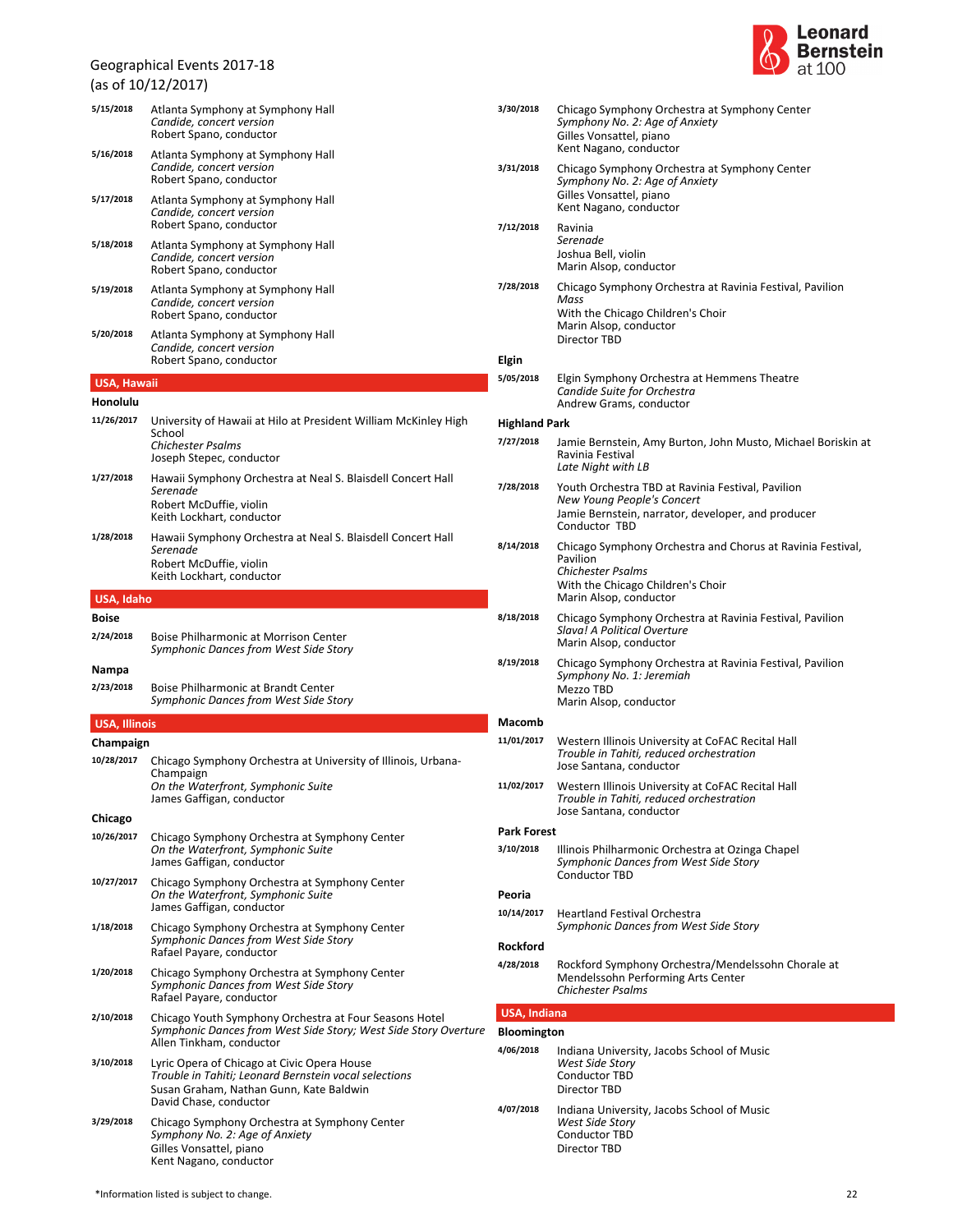(as of 10/12/2017)

| 5/15/2018            | Atlanta Symphony at Symphony Hall<br>Candide, concert version<br>Robert Spano, conductor                                                                                  |
|----------------------|---------------------------------------------------------------------------------------------------------------------------------------------------------------------------|
| 5/16/2018            | Atlanta Symphony at Symphony Hall<br>Candide, concert version<br>Robert Spano, conductor                                                                                  |
| 5/17/2018            | Atlanta Symphony at Symphony Hall<br>Candide, concert version<br>Robert Spano, conductor                                                                                  |
| 5/18/2018            | Atlanta Symphony at Symphony Hall<br>Candide, concert version<br>Robert Spano, conductor                                                                                  |
| 5/19/2018            | Atlanta Symphony at Symphony Hall<br>Candide, concert version<br>Robert Spano, conductor                                                                                  |
| 5/20/2018            | Atlanta Symphony at Symphony Hall<br>Candide, concert version<br>Robert Spano, conductor                                                                                  |
| <b>USA, Hawaii</b>   |                                                                                                                                                                           |
| Honolulu             |                                                                                                                                                                           |
| 11/26/2017           | University of Hawaii at Hilo at President William McKinley High<br>School<br>Chichester Psalms<br>Joseph Stepec, conductor                                                |
| 1/27/2018            | Hawaii Symphony Orchestra at Neal S. Blaisdell Concert Hall<br>Serenade<br>Robert McDuffie, violin<br>Keith Lockhart, conductor                                           |
| 1/28/2018            | Hawaii Symphony Orchestra at Neal S. Blaisdell Concert Hall<br>Serenade<br>Robert McDuffie, violin<br>Keith Lockhart, conductor                                           |
| USA, Idaho           |                                                                                                                                                                           |
| <b>Boise</b>         |                                                                                                                                                                           |
| 2/24/2018            | Boise Philharmonic at Morrison Center<br>Symphonic Dances from West Side Story                                                                                            |
| Nampa<br>2/23/2018   | Boise Philharmonic at Brandt Center<br>Symphonic Dances from West Side Story                                                                                              |
| <b>USA, Illinois</b> |                                                                                                                                                                           |
| Champaign            |                                                                                                                                                                           |
| 10/28/2017           | Chicago Symphony Orchestra at University of Illinois, Urbana-<br>Champaign<br>On the Waterfront, Symphonic Suite<br>James Gaffigan, conductor                             |
| Chicago              |                                                                                                                                                                           |
| 10/26/2017           | Chicago Symphony Orchestra at Symphony Center<br>On the Waterfront, Symphonic Suite<br>James Gaffigan, conductor                                                          |
| 10/27/2017           | Chicago Symphony Orchestra at Symphony Center<br>On the Waterfront, Symphonic Suite<br>James Gaffigan, conductor                                                          |
| 1/18/2018            | Chicago Symphony Orchestra at Symphony Center<br>Symphonic Dances from West Side Story<br>Rafael Payare, conductor                                                        |
| 1/20/2018            | Chicago Symphony Orchestra at Symphony Center<br>Symphonic Dances from West Side Story<br>Rafael Payare, conductor                                                        |
| 2/10/2018            | Chicago Youth Symphony Orchestra at Four Seasons Hotel<br>Symphonic Dances from West Side Story; West Side Story Overture<br>Allen Tinkham, conductor                     |
| 3/10/2018            | Lyric Opera of Chicago at Civic Opera House<br>Trouble in Tahiti; Leonard Bernstein vocal selections<br>Susan Graham, Nathan Gunn, Kate Baldwin<br>David Chase, conductor |
| 3/29/2018            | Chicago Symphony Orchestra at Symphony Center<br>Symphony No. 2: Age of Anxiety<br>Gilles Vonsattel, piano<br>Kent Nagano, conductor                                      |



| 3/30/2018            | Chicago Symphony Orchestra at Symphony Center<br>Symphony No. 2: Age of Anxiety<br>Gilles Vonsattel, piano<br>Kent Nagano, conductor                              |
|----------------------|-------------------------------------------------------------------------------------------------------------------------------------------------------------------|
| 3/31/2018            | Chicago Symphony Orchestra at Symphony Center<br>Symphony No. 2: Age of Anxiety<br>Gilles Vonsattel, piano<br>Kent Nagano, conductor                              |
| 7/12/2018            | Ravinia<br>Serenade<br>Joshua Bell, violin<br>Marin Alsop, conductor                                                                                              |
| 7/28/2018            | Chicago Symphony Orchestra at Ravinia Festival, Pavilion<br>Mass<br>With the Chicago Children's Choir<br>Marin Alsop, conductor<br>Director TBD                   |
| Elgin                |                                                                                                                                                                   |
| 5/05/2018            | Elgin Symphony Orchestra at Hemmens Theatre<br>Candide Suite for Orchestra<br>Andrew Grams, conductor                                                             |
| <b>Highland Park</b> |                                                                                                                                                                   |
| 7/27/2018            | Jamie Bernstein, Amy Burton, John Musto, Michael Boriskin at<br>Ravinia Festival<br>Late Night with LB                                                            |
| 7/28/2018            | Youth Orchestra TBD at Ravinia Festival, Pavilion                                                                                                                 |
|                      | New Young People's Concert<br>Jamie Bernstein, narrator, developer, and producer<br>Conductor TBD                                                                 |
| 8/14/2018            | Chicago Symphony Orchestra and Chorus at Ravinia Festival,<br>Pavilion<br><b>Chichester Psalms</b><br>With the Chicago Children's Choir<br>Marin Alsop, conductor |
| 8/18/2018            | Chicago Symphony Orchestra at Ravinia Festival, Pavilion<br>Slava! A Political Overture<br>Marin Alsop, conductor                                                 |
| 8/19/2018            | Chicago Symphony Orchestra at Ravinia Festival, Pavilion<br>Symphony No. 1: Jeremiah<br>Mezzo TBD<br>Marin Alsop, conductor                                       |
| Macomb               |                                                                                                                                                                   |
| 11/01/2017           | Western Illinois University at CoFAC Recital Hall<br>Trouble in Tahiti, reduced orchestration<br>Jose Santana, conductor                                          |
| 11/02/2017           | Western Illinois University at CoFAC Recital Hall<br>Trouble in Tahiti, reduced orchestration<br>Jose Santana, conductor                                          |
| <b>Park Forest</b>   |                                                                                                                                                                   |
| 3/10/2018            | Illinois Philharmonic Orchestra at Ozinga Chapel<br>Symphonic Dances from West Side Story<br><b>Conductor TBD</b>                                                 |
| Peoria               |                                                                                                                                                                   |
| 10/14/2017           | <b>Heartland Festival Orchestra</b><br>Symphonic Dances from West Side Story                                                                                      |
| <b>Rockford</b>      |                                                                                                                                                                   |
| 4/28/2018            | Rockford Symphony Orchestra/Mendelssohn Chorale at<br>Mendelssohn Performing Arts Center<br><b>Chichester Psalms</b>                                              |
| <b>USA, Indiana</b>  |                                                                                                                                                                   |
| <b>Bloomington</b>   |                                                                                                                                                                   |
| 4/06/2018            | Indiana University, Jacobs School of Music<br>West Side Story<br><b>Conductor TBD</b><br><b>Director TBD</b>                                                      |
| 4/07/2018            | Indiana University, Jacobs School of Music<br>West Side Story                                                                                                     |

Conductor TBD Director TBD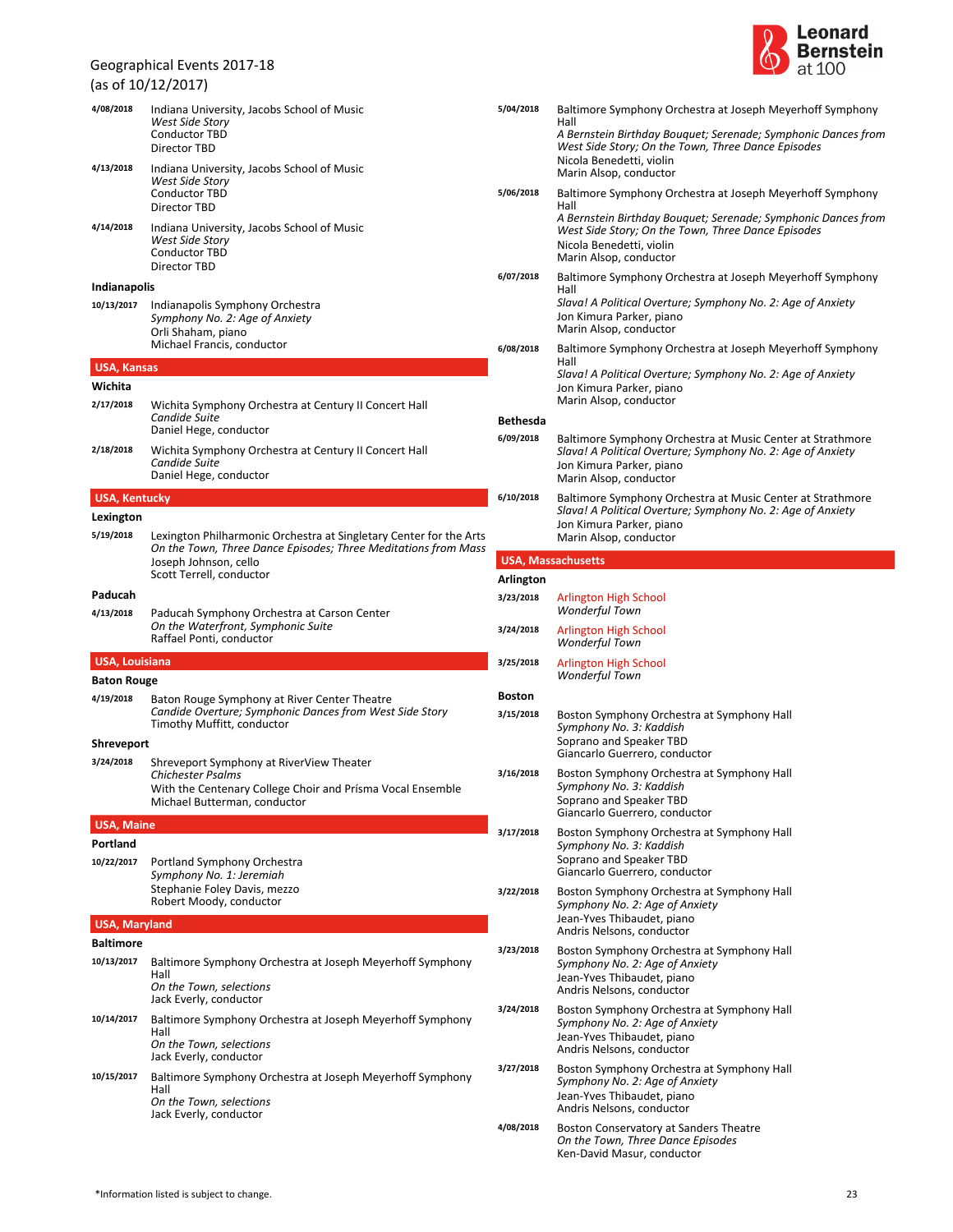| (as of 10/12/2017)    |                                                                                                                                                                                           |  |  |
|-----------------------|-------------------------------------------------------------------------------------------------------------------------------------------------------------------------------------------|--|--|
| 4/08/2018             | Indiana University, Jacobs School of Music<br>West Side Story<br><b>Conductor TBD</b><br><b>Director TBD</b>                                                                              |  |  |
| 4/13/2018             | Indiana University, Jacobs School of Music<br>West Side Story<br><b>Conductor TBD</b><br>Director TBD                                                                                     |  |  |
| 4/14/2018             | Indiana University, Jacobs School of Music<br>West Side Story<br><b>Conductor TBD</b><br>Director TBD                                                                                     |  |  |
| <b>Indianapolis</b>   |                                                                                                                                                                                           |  |  |
| 10/13/2017            | Indianapolis Symphony Orchestra<br>Symphony No. 2: Age of Anxiety<br>Orli Shaham, piano<br>Michael Francis, conductor                                                                     |  |  |
| <b>USA, Kansas</b>    |                                                                                                                                                                                           |  |  |
| Wichita               |                                                                                                                                                                                           |  |  |
| 2/17/2018             | Wichita Symphony Orchestra at Century II Concert Hall<br>Candide Suite<br>Daniel Hege, conductor                                                                                          |  |  |
| 2/18/2018             | Wichita Symphony Orchestra at Century II Concert Hall<br>Candide Suite<br>Daniel Hege, conductor                                                                                          |  |  |
| <b>USA, Kentucky</b>  |                                                                                                                                                                                           |  |  |
| Lexington             |                                                                                                                                                                                           |  |  |
| 5/19/2018             | Lexington Philharmonic Orchestra at Singletary Center for the Arts<br>On the Town, Three Dance Episodes; Three Meditations from Mass<br>Joseph Johnson, cello<br>Scott Terrell, conductor |  |  |
| Paducah               |                                                                                                                                                                                           |  |  |
| 4/13/2018             | Paducah Symphony Orchestra at Carson Center<br>On the Waterfront, Symphonic Suite<br>Raffael Ponti, conductor                                                                             |  |  |
| <b>USA, Louisiana</b> |                                                                                                                                                                                           |  |  |
| <b>Baton Rouge</b>    |                                                                                                                                                                                           |  |  |
| 4/19/2018             | Baton Rouge Symphony at River Center Theatre<br>Candide Overture; Symphonic Dances from West Side Story<br>Timothy Muffitt, conductor                                                     |  |  |
| Shreveport            |                                                                                                                                                                                           |  |  |
| 3/24/2018             | Shreveport Symphony at RiverView Theater<br>Chichester Psalms<br>With the Centenary College Choir and Prisma Vocal Ensemble                                                               |  |  |
|                       | Michael Butterman, conductor                                                                                                                                                              |  |  |
| <b>USA, Maine</b>     |                                                                                                                                                                                           |  |  |
| Portland              |                                                                                                                                                                                           |  |  |
| 10/22/2017            | Portland Symphony Orchestra<br>Symphony No. 1: Jeremiah<br>Stephanie Foley Davis, mezzo<br>Robert Moody, conductor                                                                        |  |  |
| <b>USA, Maryland</b>  |                                                                                                                                                                                           |  |  |
| <b>Baltimore</b>      |                                                                                                                                                                                           |  |  |
| 10/13/2017            | Baltimore Symphony Orchestra at Joseph Meyerhoff Symphony<br>Hall<br>On the Town, selections<br>Jack Everly, conductor                                                                    |  |  |
| 10/14/2017            | Baltimore Symphony Orchestra at Joseph Meyerhoff Symphony<br>Hall<br>On the Town, selections<br>Jack Everly, conductor                                                                    |  |  |
| 10/15/2017            | Baltimore Symphony Orchestra at Joseph Meyerhoff Symphony<br>Hall<br>On the Town, selections                                                                                              |  |  |



| 5/04/2018     | Baltimore Symphony Orchestra at Joseph Meyerhoff Symphony<br>Hall<br>A Bernstein Birthday Bouquet; Serenade; Symphonic Dances from<br>West Side Story; On the Town, Three Dance Episodes<br>Nicola Benedetti, violin<br>Marin Alsop, conductor |
|---------------|------------------------------------------------------------------------------------------------------------------------------------------------------------------------------------------------------------------------------------------------|
| 5/06/2018     | Baltimore Symphony Orchestra at Joseph Meyerhoff Symphony                                                                                                                                                                                      |
|               | Hall<br>A Bernstein Birthday Bouquet; Serenade; Symphonic Dances from<br>West Side Story; On the Town, Three Dance Episodes<br>Nicola Benedetti, violin<br>Marin Alsop, conductor                                                              |
| 6/07/2018     | Baltimore Symphony Orchestra at Joseph Meyerhoff Symphony<br>Hall<br>Slava! A Political Overture; Symphony No. 2: Age of Anxiety<br>Jon Kimura Parker, piano<br>Marin Alsop, conductor                                                         |
| 6/08/2018     | Baltimore Symphony Orchestra at Joseph Meyerhoff Symphony<br>Hall<br>Slava! A Political Overture; Symphony No. 2: Age of Anxiety<br>Jon Kimura Parker, piano<br>Marin Alsop, conductor                                                         |
| Bethesda      |                                                                                                                                                                                                                                                |
| 6/09/2018     | Baltimore Symphony Orchestra at Music Center at Strathmore<br>Slava! A Political Overture; Symphony No. 2: Age of Anxiety<br>Jon Kimura Parker, piano<br>Marin Alsop, conductor                                                                |
| 6/10/2018     | Baltimore Symphony Orchestra at Music Center at Strathmore<br>Slava! A Political Overture; Symphony No. 2: Age of Anxiety<br>Jon Kimura Parker, piano<br>Marin Alsop, conductor                                                                |
|               | <b>USA, Massachusetts</b>                                                                                                                                                                                                                      |
| Arlington     |                                                                                                                                                                                                                                                |
| 3/23/2018     | Arlington High School<br><b>Wonderful Town</b>                                                                                                                                                                                                 |
| 3/24/2018     | Arlington High School<br><b>Wonderful Town</b>                                                                                                                                                                                                 |
| 3/25/2018     | Arlington High School<br>Wonderful Town                                                                                                                                                                                                        |
| <b>Boston</b> |                                                                                                                                                                                                                                                |
| 3/15/2018     | Boston Symphony Orchestra at Symphony Hall<br>Symphony No. 3: Kaddish<br>Soprano and Speaker TBD<br>Giancarlo Guerrero, conductor                                                                                                              |
| 3/16/2018     | Boston Symphony Orchestra at Symphony Hall<br>Symphony No. 3: Kaddish<br>Soprano and Speaker TBD<br>Giancarlo Guerrero, conductor                                                                                                              |
| 3/17/2018     | Boston Symphony Orchestra at Symphony Hall<br>Symphony No. 3: Kaddish<br>Soprano and Speaker TBD<br>Giancarlo Guerrero, conductor                                                                                                              |
| 3/22/2018     | Boston Symphony Orchestra at Symphony Hall<br>Symphony No. 2: Age of Anxiety<br>Jean-Yves Thibaudet, piano<br>Andris Nelsons, conductor                                                                                                        |
| 3/23/2018     | Boston Symphony Orchestra at Symphony Hall<br>Symphony No. 2: Age of Anxiety<br>Jean-Yves Thibaudet, piano<br>Andris Nelsons, conductor                                                                                                        |
| 3/24/2018     | Boston Symphony Orchestra at Symphony Hall<br>Symphony No. 2: Age of Anxiety<br>Jean-Yves Thibaudet, piano<br>Andris Nelsons, conductor                                                                                                        |
| 3/27/2018     | Boston Symphony Orchestra at Symphony Hall<br>Symphony No. 2: Age of Anxiety<br>Jean-Yves Thibaudet, piano<br>Andris Nelsons, conductor                                                                                                        |
| 4/08/2018     | Boston Conservatory at Sanders Theatre<br>On the Town, Three Dance Episodes<br>Ken-David Masur, conductor                                                                                                                                      |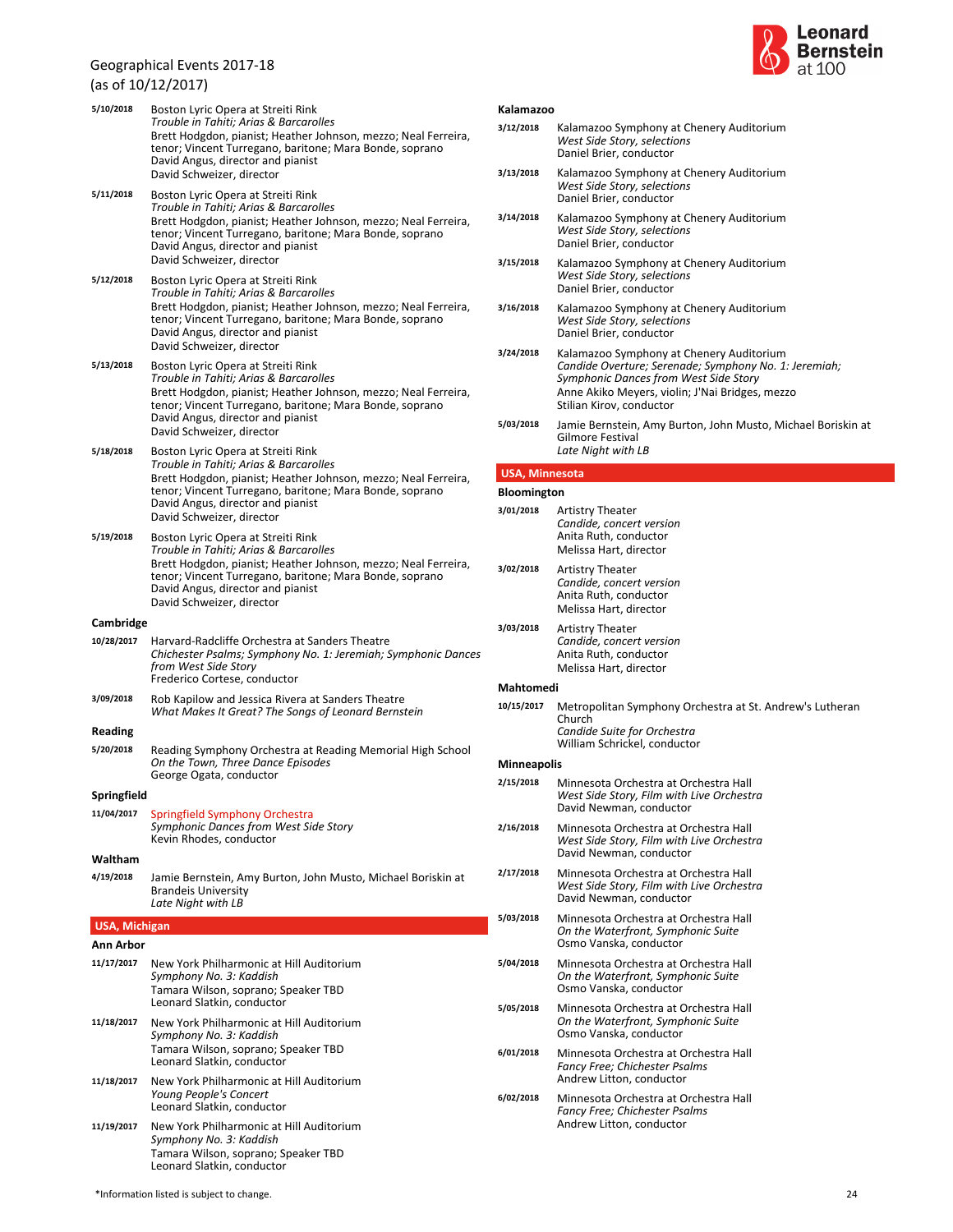



| 5/10/2018<br>Kalamazoo<br>Boston Lyric Opera at Streiti Rink |                                                                                                                                                                                                                                                |                                                    |                                                                                                                                                                                                                                                                                           |  |  |
|--------------------------------------------------------------|------------------------------------------------------------------------------------------------------------------------------------------------------------------------------------------------------------------------------------------------|----------------------------------------------------|-------------------------------------------------------------------------------------------------------------------------------------------------------------------------------------------------------------------------------------------------------------------------------------------|--|--|
|                                                              | Trouble in Tahiti; Arias & Barcarolles<br>Brett Hodgdon, pianist; Heather Johnson, mezzo; Neal Ferreira,<br>tenor; Vincent Turregano, baritone; Mara Bonde, soprano<br>David Angus, director and pianist                                       | 3/12/2018                                          | Kalamazoo Symphony at Chenery Auditorium<br>West Side Story, selections<br>Daniel Brier, conductor                                                                                                                                                                                        |  |  |
| 5/11/2018                                                    | David Schweizer, director<br>Boston Lyric Opera at Streiti Rink                                                                                                                                                                                | 3/13/2018                                          | Kalamazoo Symphony at Chenery Auditorium<br>West Side Story, selections<br>Daniel Brier, conductor                                                                                                                                                                                        |  |  |
|                                                              | Trouble in Tahiti; Arias & Barcarolles<br>Brett Hodgdon, pianist; Heather Johnson, mezzo; Neal Ferreira,<br>tenor; Vincent Turregano, baritone; Mara Bonde, soprano<br>David Angus, director and pianist                                       | 3/14/2018                                          | Kalamazoo Symphony at Chenery Auditorium<br>West Side Story, selections<br>Daniel Brier, conductor                                                                                                                                                                                        |  |  |
| 5/12/2018                                                    | David Schweizer, director<br>Boston Lyric Opera at Streiti Rink<br>Trouble in Tahiti; Arias & Barcarolles                                                                                                                                      | 3/15/2018                                          | Kalamazoo Symphony at Chenery Auditorium<br>West Side Story, selections<br>Daniel Brier, conductor                                                                                                                                                                                        |  |  |
|                                                              | Brett Hodgdon, pianist; Heather Johnson, mezzo; Neal Ferreira,<br>tenor; Vincent Turregano, baritone; Mara Bonde, soprano<br>David Angus, director and pianist<br>David Schweizer, director                                                    | 3/16/2018                                          | Kalamazoo Symphony at Chenery Auditorium<br>West Side Story, selections<br>Daniel Brier, conductor                                                                                                                                                                                        |  |  |
| 5/13/2018                                                    | Boston Lyric Opera at Streiti Rink<br>Trouble in Tahiti; Arias & Barcarolles<br>Brett Hodgdon, pianist; Heather Johnson, mezzo; Neal Ferreira,<br>tenor; Vincent Turregano, baritone; Mara Bonde, soprano<br>David Angus, director and pianist | 3/24/2018<br>5/03/2018                             | Kalamazoo Symphony at Chenery Auditorium<br>Candide Overture; Serenade; Symphony No. 1: Jeremiah;<br>Symphonic Dances from West Side Story<br>Anne Akiko Meyers, violin; J'Nai Bridges, mezzo<br>Stilian Kirov, conductor<br>Jamie Bernstein, Amy Burton, John Musto, Michael Boriskin at |  |  |
| 5/18/2018                                                    | David Schweizer, director<br>Boston Lyric Opera at Streiti Rink                                                                                                                                                                                |                                                    | <b>Gilmore Festival</b><br>Late Night with LB                                                                                                                                                                                                                                             |  |  |
|                                                              | Trouble in Tahiti; Arias & Barcarolles<br>Brett Hodgdon, pianist; Heather Johnson, mezzo; Neal Ferreira,                                                                                                                                       |                                                    | <b>USA, Minnesota</b>                                                                                                                                                                                                                                                                     |  |  |
|                                                              | tenor; Vincent Turregano, baritone; Mara Bonde, soprano<br>David Angus, director and pianist                                                                                                                                                   | <b>Bloomington</b>                                 |                                                                                                                                                                                                                                                                                           |  |  |
| 5/19/2018                                                    | David Schweizer, director<br>Boston Lyric Opera at Streiti Rink<br>Trouble in Tahiti; Arias & Barcarolles                                                                                                                                      | 3/01/2018                                          | <b>Artistry Theater</b><br>Candide, concert version<br>Anita Ruth, conductor<br>Melissa Hart, director                                                                                                                                                                                    |  |  |
|                                                              | Brett Hodgdon, pianist; Heather Johnson, mezzo; Neal Ferreira,<br>tenor; Vincent Turregano, baritone; Mara Bonde, soprano<br>David Angus, director and pianist<br>David Schweizer, director                                                    | 3/02/2018                                          | <b>Artistry Theater</b><br>Candide, concert version<br>Anita Ruth, conductor<br>Melissa Hart, director                                                                                                                                                                                    |  |  |
| Cambridge                                                    |                                                                                                                                                                                                                                                | 3/03/2018                                          | <b>Artistry Theater</b>                                                                                                                                                                                                                                                                   |  |  |
| 10/28/2017                                                   | Harvard-Radcliffe Orchestra at Sanders Theatre<br>Chichester Psalms; Symphony No. 1: Jeremiah; Symphonic Dances<br>from West Side Story<br>Frederico Cortese, conductor                                                                        |                                                    | Candide, concert version<br>Anita Ruth, conductor<br>Melissa Hart, director                                                                                                                                                                                                               |  |  |
| 3/09/2018                                                    | Rob Kapilow and Jessica Rivera at Sanders Theatre                                                                                                                                                                                              | Mahtomedi                                          |                                                                                                                                                                                                                                                                                           |  |  |
| <b>Reading</b>                                               | What Makes It Great? The Songs of Leonard Bernstein                                                                                                                                                                                            | 10/15/2017                                         | Metropolitan Symphony Orchestra at St. Andrew's Lutheran<br>Church<br>Candide Suite for Orchestra                                                                                                                                                                                         |  |  |
| 5/20/2018                                                    | Reading Symphony Orchestra at Reading Memorial High School<br>On the Town, Three Dance Episodes                                                                                                                                                | William Schrickel, conductor<br><b>Minneapolis</b> |                                                                                                                                                                                                                                                                                           |  |  |
| Springfield                                                  | George Ogata, conductor                                                                                                                                                                                                                        | 2/15/2018                                          | Minnesota Orchestra at Orchestra Hall<br>West Side Story, Film with Live Orchestra<br>David Newman, conductor                                                                                                                                                                             |  |  |
| 11/04/2017                                                   | Springfield Symphony Orchestra<br>Symphonic Dances from West Side Story<br>Kevin Rhodes, conductor                                                                                                                                             | 2/16/2018                                          | Minnesota Orchestra at Orchestra Hall<br>West Side Story, Film with Live Orchestra<br>David Newman, conductor                                                                                                                                                                             |  |  |
| Waltham<br>4/19/2018                                         | Jamie Bernstein, Amy Burton, John Musto, Michael Boriskin at<br><b>Brandeis University</b><br>Late Night with LB                                                                                                                               | 2/17/2018                                          | Minnesota Orchestra at Orchestra Hall<br>West Side Story, Film with Live Orchestra<br>David Newman, conductor                                                                                                                                                                             |  |  |
|                                                              |                                                                                                                                                                                                                                                | 5/03/2018                                          | Minnesota Orchestra at Orchestra Hall                                                                                                                                                                                                                                                     |  |  |
| <b>USA, Michigan</b><br>Ann Arbor                            |                                                                                                                                                                                                                                                |                                                    | On the Waterfront, Symphonic Suite<br>Osmo Vanska, conductor                                                                                                                                                                                                                              |  |  |
| 11/17/2017                                                   | New York Philharmonic at Hill Auditorium<br>Symphony No. 3: Kaddish<br>Tamara Wilson, soprano; Speaker TBD<br>Leonard Slatkin, conductor                                                                                                       | 5/04/2018                                          | Minnesota Orchestra at Orchestra Hall<br>On the Waterfront, Symphonic Suite<br>Osmo Vanska, conductor                                                                                                                                                                                     |  |  |
| 11/18/2017                                                   | New York Philharmonic at Hill Auditorium<br>Symphony No. 3: Kaddish                                                                                                                                                                            | 5/05/2018                                          | Minnesota Orchestra at Orchestra Hall<br>On the Waterfront, Symphonic Suite<br>Osmo Vanska, conductor                                                                                                                                                                                     |  |  |
|                                                              | Tamara Wilson, soprano; Speaker TBD<br>Leonard Slatkin, conductor                                                                                                                                                                              | 6/01/2018                                          | Minnesota Orchestra at Orchestra Hall<br><b>Fancy Free; Chichester Psalms</b>                                                                                                                                                                                                             |  |  |
| 11/18/2017                                                   | New York Philharmonic at Hill Auditorium<br>Young People's Concert<br>Leonard Slatkin, conductor                                                                                                                                               | 6/02/2018                                          | Andrew Litton, conductor<br>Minnesota Orchestra at Orchestra Hall<br><b>Fancy Free: Chichester Psalms</b>                                                                                                                                                                                 |  |  |
| 11/19/2017                                                   | New York Philharmonic at Hill Auditorium<br>Symphony No. 3: Kaddish<br>Tamara Wilson, soprano; Speaker TBD<br>Leonard Slatkin, conductor                                                                                                       |                                                    | Andrew Litton, conductor                                                                                                                                                                                                                                                                  |  |  |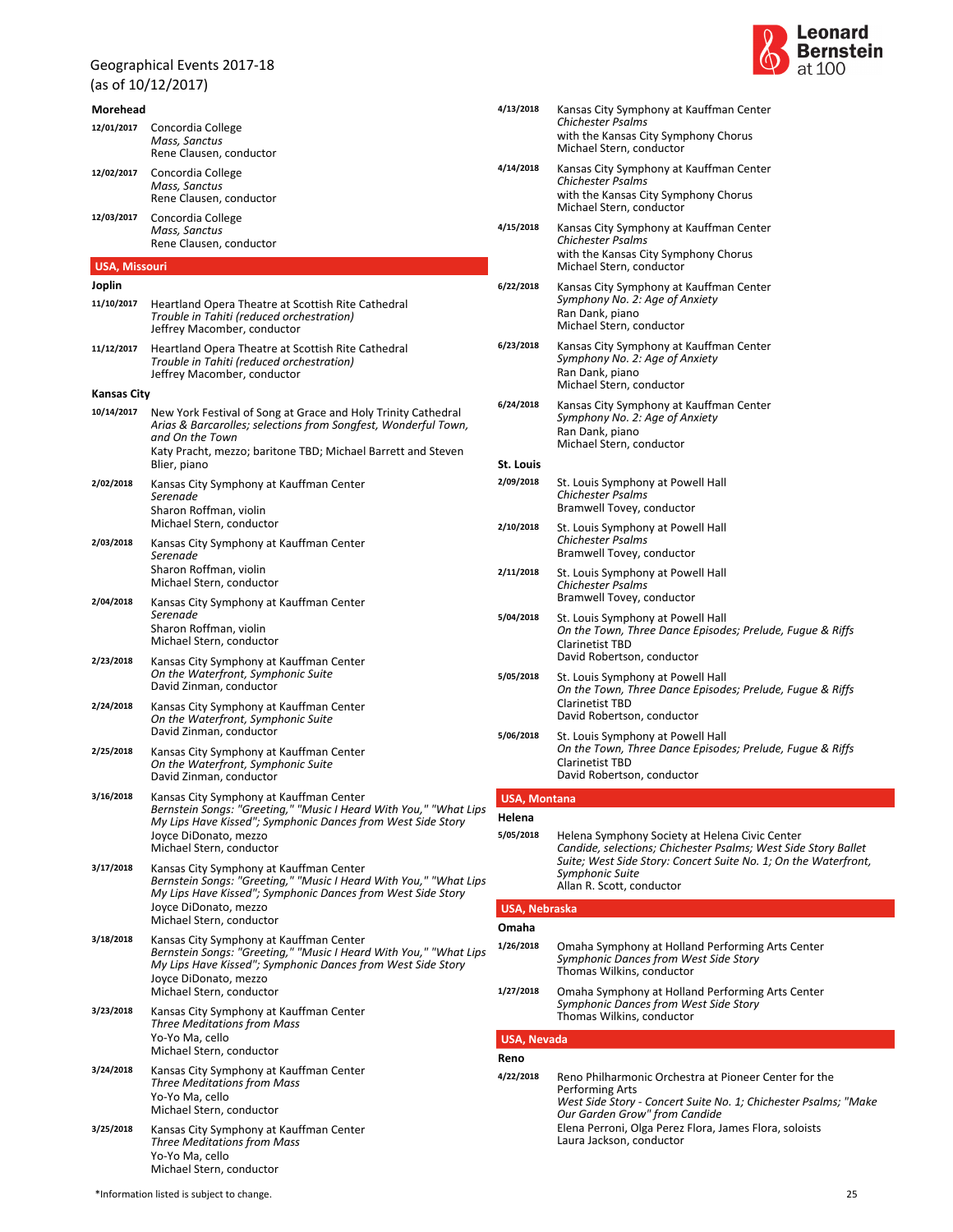(as of 10/12/2017)

### **Morehead** *Mass, Sanctus* Rene Clausen, conductor **12/01/2017** Concordia College *Mass, Sanctus* Rene Clausen, conductor **12/02/2017** Concordia College *Mass, Sanctus* Rene Clausen, conductor **12/03/2017** Concordia College **USA, Missouri Joplin** *Trouble in Tahiti (reduced orchestration)* Jeffrey Macomber, conductor **11/10/2017** Heartland Opera Theatre at Scottish Rite Cathedral *Trouble in Tahiti (reduced orchestration)* Jeffrey Macomber, conductor **11/12/2017** Heartland Opera Theatre at Scottish Rite Cathedral **Kansas City** *Arias & Barcarolles; selections from Songfest, Wonderful Town, and On the Town* Katy Pracht, mezzo; baritone TBD; Michael Barrett and Steven Blier, piano **10/14/2017** New York Festival of Song at Grace and Holy Trinity Cathedral *Serenade* Michael Stern, conductor Sharon Roffman, violin **2/02/2018** Kansas City Symphony at Kauffman Center *Serenade* Michael Stern, conductor Sharon Roffman, violin **2/03/2018** Kansas City Symphony at Kauffman Center *Serenade* Michael Stern, conductor Sharon Roffman, violin **2/04/2018** Kansas City Symphony at Kauffman Center *On the Waterfront, Symphonic Suite* David Zinman, conductor **2/23/2018** Kansas City Symphony at Kauffman Center *On the Waterfront, Symphonic Suite* David Zinman, conductor **2/24/2018** Kansas City Symphony at Kauffman Center *On the Waterfront, Symphonic Suite* David Zinman, conductor **2/25/2018** Kansas City Symphony at Kauffman Center *Bernstein Songs: "Greeting," "Music I Heard With You," "What Lips My Lips Have Kissed"; Symphonic Dances from West Side Story* Michael Stern, conductor Joyce DiDonato, mezzo **3/16/2018** Kansas City Symphony at Kauffman Center *Bernstein Songs: "Greeting," "Music I Heard With You," "What Lips My Lips Have Kissed"; Symphonic Dances from West Side Story* Michael Stern, conductor Joyce DiDonato, mezzo **3/17/2018** Kansas City Symphony at Kauffman Center *Bernstein Songs: "Greeting," "Music I Heard With You," "What Lips My Lips Have Kissed"; Symphonic Dances from West Side Story* Michael Stern, conductor Joyce DiDonato, mezzo **3/18/2018** Kansas City Symphony at Kauffman Center *Three Meditations from Mass* Michael Stern, conductor Yo-Yo Ma, cello **3/23/2018** Kansas City Symphony at Kauffman Center *Three Meditations from Mass* Michael Stern, conductor Yo-Yo Ma, cello **3/24/2018** Kansas City Symphony at Kauffman Center *Three Meditations from Mass* **3/25/2018** Kansas City Symphony at Kauffman Center



| 4/13/2018           | Kansas City Symphony at Kauffman Center<br>Chichester Psalms<br>with the Kansas City Symphony Chorus<br>Michael Stern, conductor                                                                       |
|---------------------|--------------------------------------------------------------------------------------------------------------------------------------------------------------------------------------------------------|
| 4/14/2018           | Kansas City Symphony at Kauffman Center<br><b>Chichester Psalms</b><br>with the Kansas City Symphony Chorus<br>Michael Stern, conductor                                                                |
| 4/15/2018           | Kansas City Symphony at Kauffman Center<br><b>Chichester Psalms</b><br>with the Kansas City Symphony Chorus<br>Michael Stern, conductor                                                                |
| 6/22/2018           | Kansas City Symphony at Kauffman Center<br>Symphony No. 2: Age of Anxiety<br>Ran Dank, piano<br>Michael Stern, conductor                                                                               |
| 6/23/2018           | Kansas City Symphony at Kauffman Center<br>Symphony No. 2: Age of Anxiety<br>Ran Dank, piano<br>Michael Stern, conductor                                                                               |
| 6/24/2018           | Kansas City Symphony at Kauffman Center<br>Symphony No. 2: Age of Anxiety<br>Ran Dank, piano<br>Michael Stern, conductor                                                                               |
| St. Louis           |                                                                                                                                                                                                        |
| 2/09/2018           | St. Louis Symphony at Powell Hall<br>Chichester Psalms<br>Bramwell Tovey, conductor                                                                                                                    |
| 2/10/2018           | St. Louis Symphony at Powell Hall<br><b>Chichester Psalms</b><br>Bramwell Tovey, conductor                                                                                                             |
| 2/11/2018           | St. Louis Symphony at Powell Hall<br>Chichester Psalms<br>Bramwell Tovey, conductor                                                                                                                    |
| 5/04/2018           | St. Louis Symphony at Powell Hall<br>On the Town, Three Dance Episodes; Prelude, Fuque & Riffs<br><b>Clarinetist TBD</b><br>David Robertson, conductor                                                 |
| 5/05/2018           | St. Louis Symphony at Powell Hall<br>On the Town, Three Dance Episodes; Prelude, Fugue & Riffs<br><b>Clarinetist TBD</b><br>David Robertson, conductor                                                 |
| 5/06/2018           | St. Louis Symphony at Powell Hall<br>On the Town, Three Dance Episodes; Prelude, Fugue & Riffs<br><b>Clarinetist TBD</b><br>David Robertson, conductor                                                 |
| <b>USA, Montana</b> |                                                                                                                                                                                                        |
| Helena              |                                                                                                                                                                                                        |
| 5/05/2018           | Helena Symphony Society at Helena Civic Center<br>Candide, selections; Chichester Psalms; West Side Story Ballet<br>Suite; West Side Story: Concert Suite No. 1; On the Waterfront,<br>Symphonic Suite |

# **USA, Nebraska**

### **Omaha**

| 1/26/2018 | Omaha Symphony at Holland Performing Arts Center<br>Symphonic Dances from West Side Story<br>Thomas Wilkins, conductor |  |
|-----------|------------------------------------------------------------------------------------------------------------------------|--|
| 1/27/2018 | Omaha Symphony at Holland Performing Arts Center<br>Sumphanic Dances from West Side Story                              |  |

*Symphonic Dances from West Side Story* Thomas Wilkins, conductor

Allan R. Scott, conductor

### **USA, Nevada**

### **Reno** *West Side Story - Concert Suite No. 1; Chichester Psalms; "Make Our Garden Grow" from Candide* Laura Jackson, conductor Elena Perroni, Olga Perez Flora, James Flora, soloists **4/22/2018** Reno Philharmonic Orchestra at Pioneer Center for the Performing Arts

Michael Stern, conductor Yo-Yo Ma, cello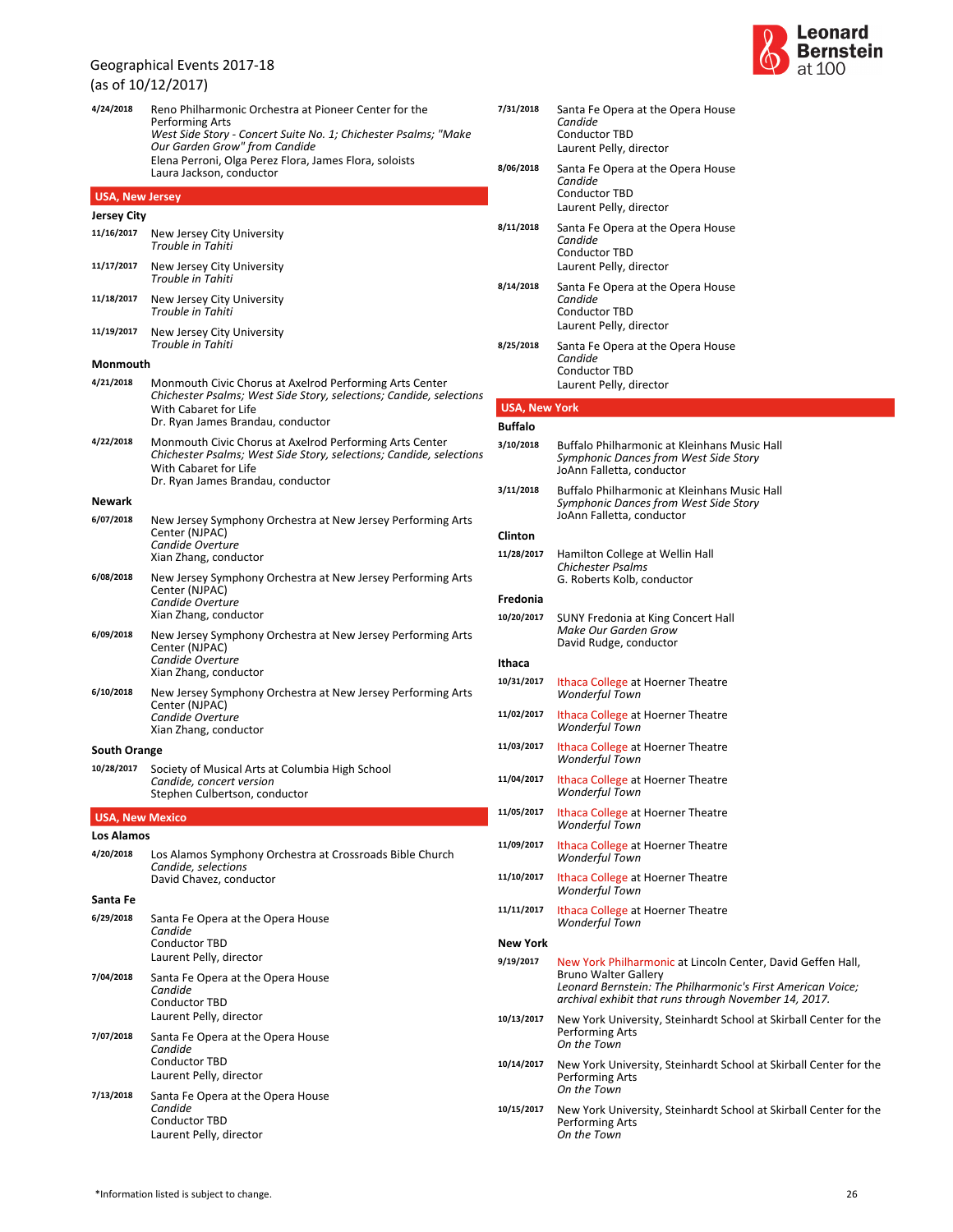|                        | (as of 10/12/2017)                                                                                                                                                                                                                                                 |  |  |  |  |
|------------------------|--------------------------------------------------------------------------------------------------------------------------------------------------------------------------------------------------------------------------------------------------------------------|--|--|--|--|
| 4/24/2018              | Reno Philharmonic Orchestra at Pioneer Center for the<br>Performing Arts<br>West Side Story - Concert Suite No. 1; Chichester Psalms; "Make<br>Our Garden Grow" from Candide<br>Elena Perroni, Olga Perez Flora, James Flora, soloists<br>Laura Jackson, conductor |  |  |  |  |
| <b>USA, New Jersey</b> |                                                                                                                                                                                                                                                                    |  |  |  |  |
| <b>Jersey City</b>     |                                                                                                                                                                                                                                                                    |  |  |  |  |
| 11/16/2017             | New Jersey City University<br>Trouble in Tahiti                                                                                                                                                                                                                    |  |  |  |  |
| 11/17/2017             | New Jersey City University<br>Trouble in Tahiti                                                                                                                                                                                                                    |  |  |  |  |
| 11/18/2017             | New Jersey City University<br>Trouble in Tahiti                                                                                                                                                                                                                    |  |  |  |  |
| 11/19/2017             | New Jersey City University<br>Trouble in Tahiti                                                                                                                                                                                                                    |  |  |  |  |
| Monmouth               |                                                                                                                                                                                                                                                                    |  |  |  |  |
| 4/21/2018              | Monmouth Civic Chorus at Axelrod Performing Arts Center<br>Chichester Psalms; West Side Story, selections; Candide, selections<br>With Cabaret for Life<br>Dr. Ryan James Brandau, conductor                                                                       |  |  |  |  |
| 4/22/2018              | Monmouth Civic Chorus at Axelrod Performing Arts Center<br>Chichester Psalms; West Side Story, selections; Candide, selections<br>With Cabaret for Life<br>Dr. Ryan James Brandau, conductor                                                                       |  |  |  |  |
| Newark                 |                                                                                                                                                                                                                                                                    |  |  |  |  |
| 6/07/2018              | New Jersey Symphony Orchestra at New Jersey Performing Arts<br>Center (NJPAC)<br>Candide Overture<br>Xian Zhang, conductor                                                                                                                                         |  |  |  |  |
| 6/08/2018              | New Jersey Symphony Orchestra at New Jersey Performing Arts<br>Center (NJPAC)<br>Candide Overture<br>Xian Zhang, conductor                                                                                                                                         |  |  |  |  |
| 6/09/2018              | New Jersey Symphony Orchestra at New Jersey Performing Arts<br>Center (NJPAC)<br>Candide Overture<br>Xian Zhang, conductor                                                                                                                                         |  |  |  |  |
| 6/10/2018              | New Jersey Symphony Orchestra at New Jersey Performing Arts<br>Center (NJPAC)<br>Candide Overture<br>Xian Zhang, conductor                                                                                                                                         |  |  |  |  |
| <b>South Orange</b>    |                                                                                                                                                                                                                                                                    |  |  |  |  |
|                        | 10/28/2017 Society of Musical Arts at Columbia High School<br>Candide, concert version<br>Stephen Culbertson, conductor                                                                                                                                            |  |  |  |  |
| <b>USA, New Mexico</b> |                                                                                                                                                                                                                                                                    |  |  |  |  |
| <b>Los Alamos</b>      |                                                                                                                                                                                                                                                                    |  |  |  |  |
| 4/20/2018              | Los Alamos Symphony Orchestra at Crossroads Bible Church<br>Candide, selections<br>David Chavez, conductor                                                                                                                                                         |  |  |  |  |
| Santa Fe               |                                                                                                                                                                                                                                                                    |  |  |  |  |
| 6/29/2018              | Santa Fe Opera at the Opera House<br>Candide<br><b>Conductor TBD</b><br>Laurent Pelly, director                                                                                                                                                                    |  |  |  |  |
| 7/04/2018              | Santa Fe Opera at the Opera House<br>Candide<br><b>Conductor TBD</b><br>Laurent Pelly, director                                                                                                                                                                    |  |  |  |  |
| 7/07/2018              | Santa Fe Opera at the Opera House<br>Candide<br>Conductor TBD<br>Laurent Pelly, director                                                                                                                                                                           |  |  |  |  |
| 7/13/2018              | Santa Fe Opera at the Opera House<br>Candide<br>Conductor TBD<br>Laurent Pelly, director                                                                                                                                                                           |  |  |  |  |



| 7/31/2018            | Santa Fe Opera at the Opera House<br>Candide<br><b>Conductor TBD</b><br>Laurent Pelly, director                                                                                                                    |
|----------------------|--------------------------------------------------------------------------------------------------------------------------------------------------------------------------------------------------------------------|
| 8/06/2018            | Santa Fe Opera at the Opera House<br>Candide<br>Conductor TBD<br>Laurent Pelly, director                                                                                                                           |
| 8/11/2018            | Santa Fe Opera at the Opera House<br>Candide<br><b>Conductor TBD</b><br>Laurent Pelly, director                                                                                                                    |
| 8/14/2018            | Santa Fe Opera at the Opera House<br>Candide<br><b>Conductor TBD</b><br>Laurent Pelly, director                                                                                                                    |
| 8/25/2018            | Santa Fe Opera at the Opera House<br>Candide<br><b>Conductor TBD</b><br>Laurent Pelly, director                                                                                                                    |
| <b>USA, New York</b> |                                                                                                                                                                                                                    |
| Buffalo              |                                                                                                                                                                                                                    |
| 3/10/2018            | Buffalo Philharmonic at Kleinhans Music Hall<br>Symphonic Dances from West Side Story<br>JoAnn Falletta, conductor                                                                                                 |
| 3/11/2018            | Buffalo Philharmonic at Kleinhans Music Hall<br>Symphonic Dances from West Side Story<br>JoAnn Falletta, conductor                                                                                                 |
| Clinton              |                                                                                                                                                                                                                    |
| 11/28/2017           | Hamilton College at Wellin Hall<br>Chichester Psalms<br>G. Roberts Kolb, conductor                                                                                                                                 |
| Fredonia             |                                                                                                                                                                                                                    |
| 10/20/2017           | SUNY Fredonia at King Concert Hall<br>Make Our Garden Grow<br>David Rudge, conductor                                                                                                                               |
| Ithaca               |                                                                                                                                                                                                                    |
| 10/31/2017           | Ithaca College at Hoerner Theatre<br>Wonderful Town                                                                                                                                                                |
| 11/02/2017           | Ithaca College at Hoerner Theatre<br><b>Wonderful Town</b>                                                                                                                                                         |
| 11/03/2017           | Ithaca College at Hoerner Theatre<br>Wonderful Town                                                                                                                                                                |
| 11/04/2017           | Ithaca College at Hoerner Theatre<br><b>Wonderful Town</b>                                                                                                                                                         |
| 11/05/2017           | Ithaca College at Hoerner Theatre<br><b>Wonderful Town</b>                                                                                                                                                         |
| 11/09/2017           | Ithaca College at Hoerner Theatre<br>Wonderful Town                                                                                                                                                                |
| 11/10/2017           | Ithaca College at Hoerner Theatre<br><b>Wonderful Town</b>                                                                                                                                                         |
| 11/11/2017           | Ithaca College at Hoerner Theatre<br><b>Wonderful Town</b>                                                                                                                                                         |
| New York             |                                                                                                                                                                                                                    |
| 9/19/2017            | New York Philharmonic at Lincoln Center, David Geffen Hall,<br><b>Bruno Walter Gallery</b><br>Leonard Bernstein: The Philharmonic's First American Voice;<br>archival exhibit that runs through November 14, 2017. |
| 10/13/2017           | New York University, Steinhardt School at Skirball Center for the<br>Performing Arts<br>On the Town                                                                                                                |
| 10/14/2017           | New York University, Steinhardt School at Skirball Center for the<br>Performing Arts<br>On the Town                                                                                                                |
| 10/15/2017           | New York University, Steinhardt School at Skirball Center for the<br><b>Performing Arts</b>                                                                                                                        |

*On the Town*

Performing Arts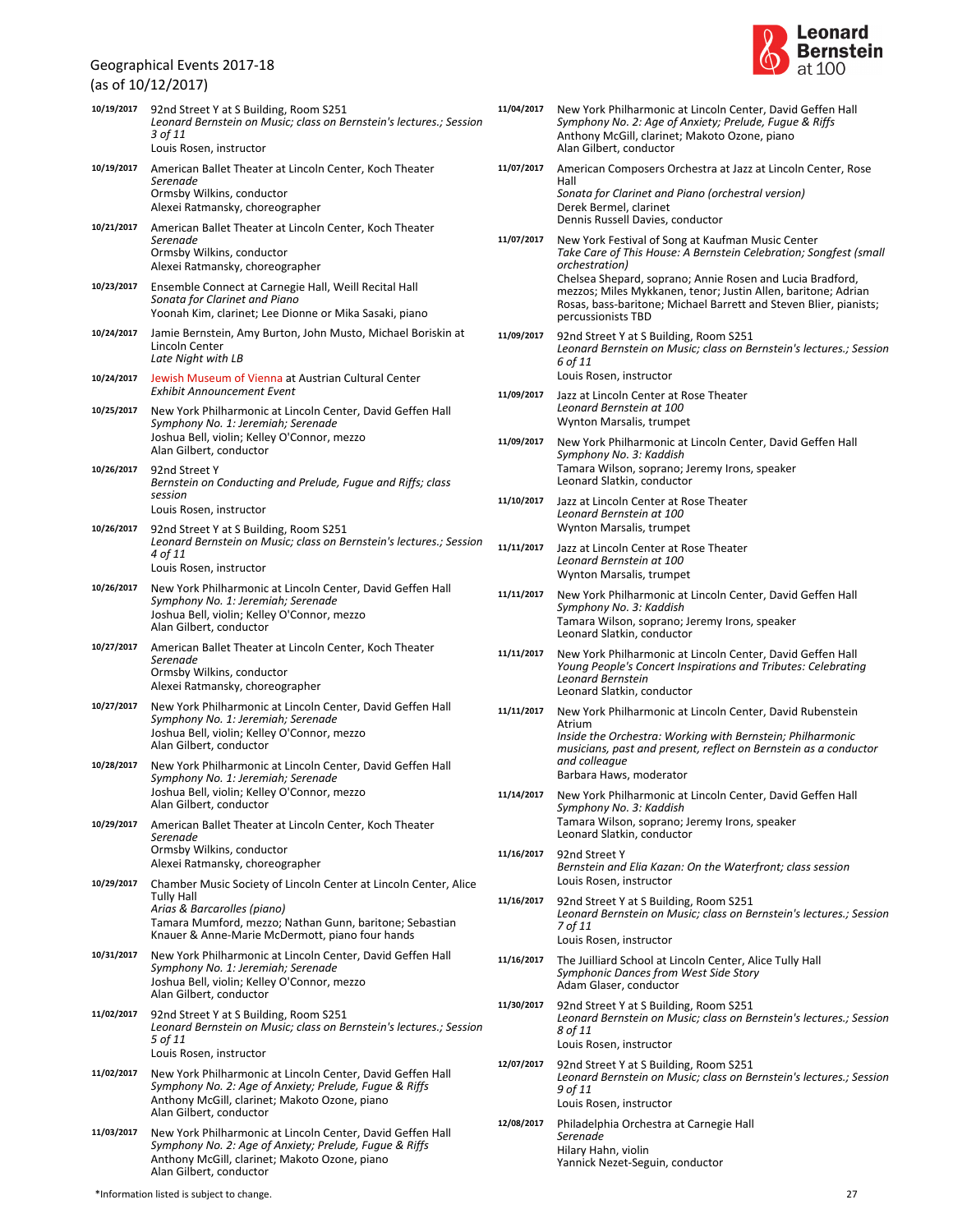(as of 10/12/2017)

|            | (as of 10/12/2017)                                                                                                                                                                                                          |
|------------|-----------------------------------------------------------------------------------------------------------------------------------------------------------------------------------------------------------------------------|
| 10/19/2017 | 92nd Street Y at S Building, Room S251<br>Leonard Bernstein on Music; class on Bernstein's lectures.; Session<br>3 of 11<br>Louis Rosen, instructor                                                                         |
| 10/19/2017 | American Ballet Theater at Lincoln Center, Koch Theater<br>Serenade<br>Ormsby Wilkins, conductor<br>Alexei Ratmansky, choreographer                                                                                         |
| 10/21/2017 | American Ballet Theater at Lincoln Center, Koch Theater<br>Serenade<br>Ormsby Wilkins, conductor<br>Alexei Ratmansky, choreographer                                                                                         |
| 10/23/2017 | Ensemble Connect at Carnegie Hall, Weill Recital Hall<br>Sonata for Clarinet and Piano<br>Yoonah Kim, clarinet; Lee Dionne or Mika Sasaki, piano                                                                            |
| 10/24/2017 | Jamie Bernstein, Amy Burton, John Musto, Michael Boriskin at<br>Lincoln Center<br>Late Night with LB                                                                                                                        |
| 10/24/2017 | Jewish Museum of Vienna at Austrian Cultural Center<br>Exhibit Announcement Event                                                                                                                                           |
| 10/25/2017 | New York Philharmonic at Lincoln Center, David Geffen Hall<br>Symphony No. 1: Jeremiah; Serenade<br>Joshua Bell, violin; Kelley O'Connor, mezzo<br>Alan Gilbert, conductor                                                  |
| 10/26/2017 | 92nd Street Y<br>Bernstein on Conducting and Prelude, Fugue and Riffs; class<br>session<br>Louis Rosen, instructor                                                                                                          |
| 10/26/2017 | 92nd Street Y at S Building, Room S251<br>Leonard Bernstein on Music; class on Bernstein's lectures.; Session<br>4 of 11<br>Louis Rosen, instructor                                                                         |
| 10/26/2017 | New York Philharmonic at Lincoln Center, David Geffen Hall<br>Symphony No. 1: Jeremiah; Serenade<br>Joshua Bell, violin; Kelley O'Connor, mezzo<br>Alan Gilbert, conductor                                                  |
| 10/27/2017 | American Ballet Theater at Lincoln Center, Koch Theater<br>Serenade<br>Ormsby Wilkins, conductor<br>Alexei Ratmansky, choreographer                                                                                         |
| 10/27/2017 | New York Philharmonic at Lincoln Center, David Geffen Hall<br>Symphony No. 1: Jeremiah; Serenade<br>Joshua Bell, violin; Kelley O'Connor, mezzo<br>Alan Gilbert, conductor                                                  |
| 10/28/2017 | New York Philharmonic at Lincoln Center, David Geffen Hall<br>Symphony No. 1: Jeremiah; Serenade<br>Joshua Bell, violin; Kelley O'Connor, mezzo<br>Alan Gilbert, conductor                                                  |
| 10/29/2017 | American Ballet Theater at Lincoln Center, Koch Theater<br>Serenade<br>Ormsby Wilkins, conductor<br>Alexei Ratmansky, choreographer                                                                                         |
| 10/29/2017 | Chamber Music Society of Lincoln Center at Lincoln Center, Alice<br>Tully Hall<br>Arias & Barcarolles (piano)<br>Tamara Mumford, mezzo; Nathan Gunn, baritone; Sebastian<br>Knauer & Anne-Marie McDermott, piano four hands |
| 10/31/2017 | New York Philharmonic at Lincoln Center, David Geffen Hall<br>Symphony No. 1: Jeremiah; Serenade<br>Joshua Bell, violin; Kelley O'Connor, mezzo<br>Alan Gilbert, conductor                                                  |
| 11/02/2017 | 92nd Street Y at S Building, Room S251<br>Leonard Bernstein on Music; class on Bernstein's lectures.; Session<br>5 of 11<br>Louis Rosen, instructor                                                                         |
| 11/02/2017 | New York Philharmonic at Lincoln Center, David Geffen Hall<br>Symphony No. 2: Age of Anxiety; Prelude, Fugue & Riffs<br>Anthony McGill, clarinet; Makoto Ozone, piano<br>Alan Gilbert, conductor                            |
| 11/03/2017 | New York Philharmonic at Lincoln Center, David Geffen Hall<br>Symphony No. 2: Age of Anxiety; Prelude, Fugue & Riffs<br>Anthony McGill, clarinet; Makoto Ozone, piano                                                       |



| 11/04/2017 | New York Philharmonic at Lincoln Center, David Geffen Hall<br>Symphony No. 2: Age of Anxiety; Prelude, Fugue & Riffs<br>Anthony McGill, clarinet: Makoto Ozone, piano<br>Alan Gilbert, conductor                      |
|------------|-----------------------------------------------------------------------------------------------------------------------------------------------------------------------------------------------------------------------|
| 11/07/2017 | American Composers Orchestra at Jazz at Lincoln Center, Rose                                                                                                                                                          |
|            | Hall<br>Sonata for Clarinet and Piano (orchestral version)<br>Derek Bermel, clarinet                                                                                                                                  |
|            | Dennis Russell Davies, conductor                                                                                                                                                                                      |
| 11/07/2017 | New York Festival of Song at Kaufman Music Center<br>Take Care of This House: A Bernstein Celebration; Songfest (small<br>orchestration)                                                                              |
|            | Chelsea Shepard, soprano; Annie Rosen and Lucia Bradford,<br>mezzos; Miles Mykkanen, tenor; Justin Allen, baritone; Adrian<br>Rosas, bass-baritone; Michael Barrett and Steven Blier, pianists;<br>percussionists TBD |
| 11/09/2017 | 92nd Street Y at S Building, Room S251<br>Leonard Bernstein on Music; class on Bernstein's lectures.; Session<br>6 of 11                                                                                              |
| 11/09/2017 | Louis Rosen, instructor                                                                                                                                                                                               |
|            | Jazz at Lincoln Center at Rose Theater<br>Leonard Bernstein at 100<br>Wynton Marsalis, trumpet                                                                                                                        |
| 11/09/2017 | New York Philharmonic at Lincoln Center, David Geffen Hall                                                                                                                                                            |
|            | Symphony No. 3: Kaddish<br>Tamara Wilson, soprano; Jeremy Irons, speaker<br>Leonard Slatkin, conductor                                                                                                                |
| 11/10/2017 | Jazz at Lincoln Center at Rose Theater                                                                                                                                                                                |
|            | Leonard Bernstein at 100<br>Wynton Marsalis, trumpet                                                                                                                                                                  |
| 11/11/2017 | Jazz at Lincoln Center at Rose Theater                                                                                                                                                                                |
|            | Leonard Bernstein at 100<br>Wynton Marsalis, trumpet                                                                                                                                                                  |
| 11/11/2017 | New York Philharmonic at Lincoln Center, David Geffen Hall                                                                                                                                                            |
|            | Symphony No. 3: Kaddish<br>Tamara Wilson, soprano; Jeremy Irons, speaker<br>Leonard Slatkin, conductor                                                                                                                |
| 11/11/2017 | New York Philharmonic at Lincoln Center, David Geffen Hall<br>Young People's Concert Inspirations and Tributes: Celebrating<br>Leonard Bernstein<br>Leonard Slatkin, conductor                                        |
| 11/11/2017 | New York Philharmonic at Lincoln Center, David Rubenstein                                                                                                                                                             |
|            | Atrium<br>Inside the Orchestra: Working with Bernstein; Philharmonic                                                                                                                                                  |
|            | musicians, past and present, reflect on Bernstein as a conductor<br>and colleague<br>Barbara Haws, moderator                                                                                                          |
| 11/14/2017 | New York Philharmonic at Lincoln Center, David Geffen Hall                                                                                                                                                            |
|            | Symphony No. 3: Kaddish<br>Tamara Wilson, soprano; Jeremy Irons, speaker                                                                                                                                              |
|            | Leonard Slatkin, conductor                                                                                                                                                                                            |
| 11/16/2017 | 92nd Street Y<br>Bernstein and Elia Kazan: On the Waterfront; class session<br>Louis Rosen, instructor                                                                                                                |
| 11/16/2017 | 92nd Street Y at S Building, Room S251<br>Leonard Bernstein on Music; class on Bernstein's lectures.; Session<br>7 of 11                                                                                              |
|            | Louis Rosen, instructor                                                                                                                                                                                               |
| 11/16/2017 | The Juilliard School at Lincoln Center, Alice Tully Hall<br>Symphonic Dances from West Side Story<br>Adam Glaser, conductor                                                                                           |
| 11/30/2017 | 92nd Street Y at S Building, Room S251<br>Leonard Bernstein on Music; class on Bernstein's lectures.; Session<br>8 of 11                                                                                              |
|            | Louis Rosen, instructor                                                                                                                                                                                               |
| 12/07/2017 | 92nd Street Y at S Building, Room S251<br>Leonard Bernstein on Music; class on Bernstein's lectures.; Session<br>9 of 11<br>Louis Rosen, instructor                                                                   |
| 12/08/2017 | Philadelphia Orchestra at Carnegie Hall                                                                                                                                                                               |
|            | Serenade<br>Hilary Hahn, violin<br>Yannick Nezet-Seguin, conductor                                                                                                                                                    |

Alan Gilbert, conductor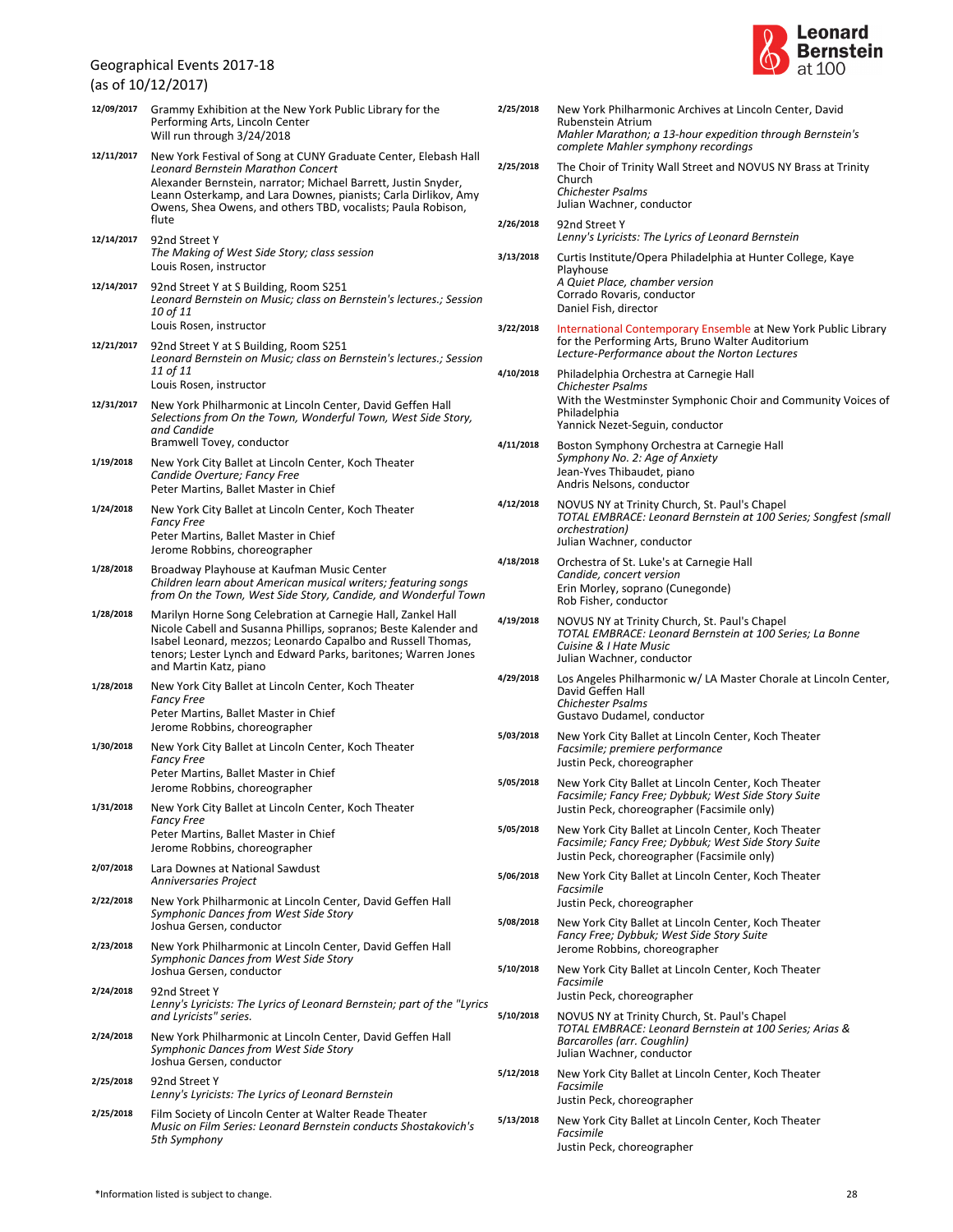(as of 10/12/2017)

| 12/09/2017 | Grammy Exhibition at the New York Public Library for the<br>Performing Arts, Lincoln Center<br>Will run through 3/24/2018                                                                                                                                                                                           |
|------------|---------------------------------------------------------------------------------------------------------------------------------------------------------------------------------------------------------------------------------------------------------------------------------------------------------------------|
| 12/11/2017 | New York Festival of Song at CUNY Graduate Center, Elebash Hall<br>Leonard Bernstein Marathon Concert<br>Alexander Bernstein, narrator; Michael Barrett, Justin Snyder,<br>Leann Osterkamp, and Lara Downes, pianists; Carla Dirlikov, Amy<br>Owens, Shea Owens, and others TBD, vocalists; Paula Robison,<br>flute |
| 12/14/2017 | 92nd Street Y<br>The Making of West Side Story; class session<br>Louis Rosen, instructor                                                                                                                                                                                                                            |
| 12/14/2017 | 92nd Street Y at S Building, Room S251<br>Leonard Bernstein on Music; class on Bernstein's lectures.; Session<br>10 of 11<br>Louis Rosen, instructor                                                                                                                                                                |
| 12/21/2017 | 92nd Street Y at S Building, Room S251<br>Leonard Bernstein on Music; class on Bernstein's lectures.; Session<br>11 of 11<br>Louis Rosen, instructor                                                                                                                                                                |
| 12/31/2017 | New York Philharmonic at Lincoln Center, David Geffen Hall<br>Selections from On the Town, Wonderful Town, West Side Story,<br>and Candide<br>Bramwell Tovey, conductor                                                                                                                                             |
| 1/19/2018  | New York City Ballet at Lincoln Center, Koch Theater<br>Candide Overture; Fancy Free<br>Peter Martins, Ballet Master in Chief                                                                                                                                                                                       |
| 1/24/2018  | New York City Ballet at Lincoln Center, Koch Theater<br><b>Fancy Free</b><br>Peter Martins, Ballet Master in Chief<br>Jerome Robbins, choreographer                                                                                                                                                                 |
| 1/28/2018  | Broadway Playhouse at Kaufman Music Center<br>Children learn about American musical writers; featuring songs<br>from On the Town, West Side Story, Candide, and Wonderful Town                                                                                                                                      |
| 1/28/2018  | Marilyn Horne Song Celebration at Carnegie Hall, Zankel Hall<br>Nicole Cabell and Susanna Phillips, sopranos; Beste Kalender and<br>Isabel Leonard, mezzos; Leonardo Capalbo and Russell Thomas,<br>tenors; Lester Lynch and Edward Parks, baritones; Warren Jones<br>and Martin Katz, piano                        |
| 1/28/2018  | New York City Ballet at Lincoln Center, Koch Theater<br><b>Fancy Free</b><br>Peter Martins, Ballet Master in Chief<br>Jerome Robbins, choreographer                                                                                                                                                                 |
| 1/30/2018  | New York City Ballet at Lincoln Center, Koch Theater<br><b>Fancy Free</b><br>Peter Martins, Ballet Master in Chief<br>Jerome Robbins, choreographer                                                                                                                                                                 |
| 1/31/2018  | New York City Ballet at Lincoln Center, Koch Theater<br><b>Fancy Free</b><br>Peter Martins, Ballet Master in Chief<br>Jerome Robbins, choreographer                                                                                                                                                                 |
| 2/07/2018  | Lara Downes at National Sawdust<br>Anniversaries Project                                                                                                                                                                                                                                                            |
| 2/22/2018  | New York Philharmonic at Lincoln Center, David Geffen Hall<br>Symphonic Dances from West Side Story<br>Joshua Gersen, conductor                                                                                                                                                                                     |
| 2/23/2018  | New York Philharmonic at Lincoln Center, David Geffen Hall<br>Symphonic Dances from West Side Story<br>Joshua Gersen, conductor                                                                                                                                                                                     |
| 2/24/2018  | 92nd Street Y<br>Lenny's Lyricists: The Lyrics of Leonard Bernstein; part of the "Lyrics<br>and Lyricists" series.                                                                                                                                                                                                  |
| 2/24/2018  | New York Philharmonic at Lincoln Center, David Geffen Hall<br>Symphonic Dances from West Side Story<br>Joshua Gersen, conductor                                                                                                                                                                                     |
| 2/25/2018  | 92nd Street Y<br>Lenny's Lyricists: The Lyrics of Leonard Bernstein                                                                                                                                                                                                                                                 |
| 2/25/2018  | Film Society of Lincoln Center at Walter Reade Theater<br>Music on Film Series: Leonard Bernstein conducts Shostakovich's<br>5th Symphony                                                                                                                                                                           |



| 2/25/2018 | New York Philharmonic Archives at Lincoln Center, David<br>Rubenstein Atrium<br>Mahler Marathon; a 13-hour expedition through Bernstein's<br>complete Mahler symphony recordings |
|-----------|----------------------------------------------------------------------------------------------------------------------------------------------------------------------------------|
| 2/25/2018 | The Choir of Trinity Wall Street and NOVUS NY Brass at Trinity<br>Church<br>Chichester Psalms<br>Julian Wachner, conductor                                                       |
| 2/26/2018 | 92nd Street Y<br>Lenny's Lyricists: The Lyrics of Leonard Bernstein                                                                                                              |
| 3/13/2018 | Curtis Institute/Opera Philadelphia at Hunter College, Kaye<br>Playhouse<br>A Quiet Place, chamber version<br>Corrado Rovaris, conductor<br>Daniel Fish, director                |
| 3/22/2018 | International Contemporary Ensemble at New York Public Library<br>for the Performing Arts, Bruno Walter Auditorium<br>Lecture-Performance about the Norton Lectures              |
| 4/10/2018 | Philadelphia Orchestra at Carnegie Hall<br>Chichester Psalms<br>With the Westminster Symphonic Choir and Community Voices of<br>Philadelphia<br>Yannick Nezet-Seguin, conductor  |
| 4/11/2018 | Boston Symphony Orchestra at Carnegie Hall<br>Symphony No. 2: Age of Anxiety<br>Jean-Yves Thibaudet, piano<br>Andris Nelsons, conductor                                          |
| 4/12/2018 | NOVUS NY at Trinity Church, St. Paul's Chapel<br>TOTAL EMBRACE: Leonard Bernstein at 100 Series; Songfest (small<br>orchestration)<br>Julian Wachner, conductor                  |
| 4/18/2018 | Orchestra of St. Luke's at Carnegie Hall<br>Candide, concert version<br>Erin Morley, soprano (Cunegonde)<br>Rob Fisher, conductor                                                |
| 4/19/2018 | NOVUS NY at Trinity Church, St. Paul's Chapel<br>TOTAL EMBRACE: Leonard Bernstein at 100 Series; La Bonne<br>Cuisine & I Hate Music<br>Julian Wachner, conductor                 |
| 4/29/2018 | Los Angeles Philharmonic w/ LA Master Chorale at Lincoln Center,<br>David Geffen Hall<br>Chichester Psalms<br>Gustavo Dudamel, conductor                                         |
| 5/03/2018 | New York City Ballet at Lincoln Center, Koch Theater<br>Facsimile; premiere performance<br>Justin Peck, choreographer                                                            |
| 5/05/2018 | New York City Ballet at Lincoln Center, Koch Theater<br>Facsimile; Fancy Free; Dybbuk; West Side Story Suite<br>Justin Peck, choreographer (Facsimile only)                      |
| 5/05/2018 | New York City Ballet at Lincoln Center, Koch Theater<br>Facsimile; Fancy Free; Dybbuk; West Side Story Suite<br>Justin Peck, choreographer (Facsimile only)                      |
| 5/06/2018 | New York City Ballet at Lincoln Center, Koch Theater<br>Facsimile<br>Justin Peck, choreographer                                                                                  |
| 5/08/2018 | New York City Ballet at Lincoln Center, Koch Theater<br>Fancy Free; Dybbuk; West Side Story Suite<br>Jerome Robbins, choreographer                                               |
| 5/10/2018 | New York City Ballet at Lincoln Center, Koch Theater<br>Facsimile<br>Justin Peck, choreographer                                                                                  |
| 5/10/2018 | NOVUS NY at Trinity Church, St. Paul's Chapel<br>TOTAL EMBRACE: Leonard Bernstein at 100 Series; Arias &<br>Barcarolles (arr. Coughlin)<br>Julian Wachner, conductor             |
| 5/12/2018 | New York City Ballet at Lincoln Center, Koch Theater<br>Facsimile<br>Justin Peck, choreographer                                                                                  |
| 5/13/2018 | New York City Ballet at Lincoln Center, Koch Theater<br>Facsimile<br>Justin Peck, choreographer                                                                                  |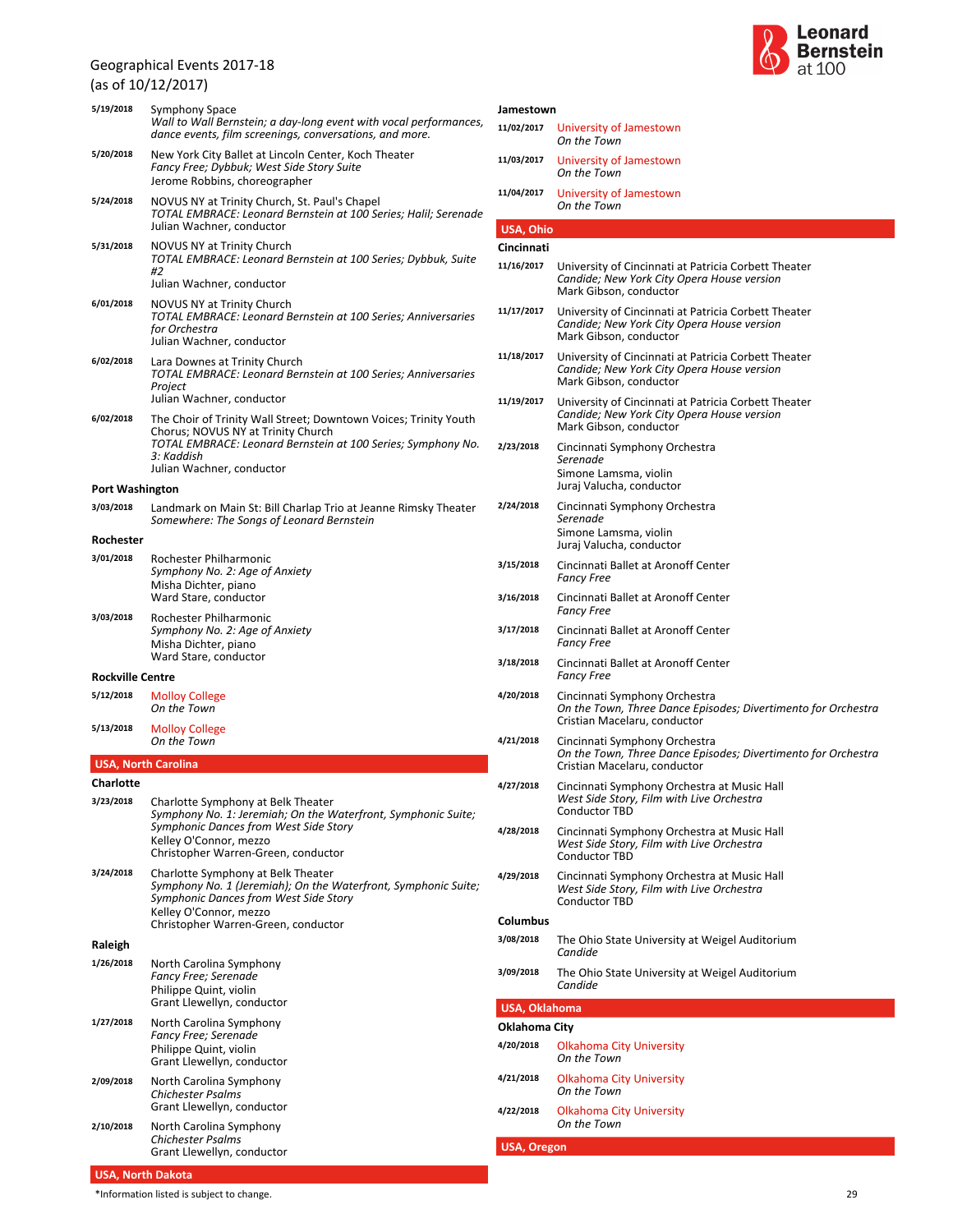(as of 10/12/2017)

|                         | (as of IU/IZ/Z0I7)                                                                                                                                                                                                |  |  |  |
|-------------------------|-------------------------------------------------------------------------------------------------------------------------------------------------------------------------------------------------------------------|--|--|--|
| 5/19/2018               | Symphony Space<br>Wall to Wall Bernstein; a day-long event with vocal performances,<br>dance events, film screenings, conversations, and more.                                                                    |  |  |  |
| 5/20/2018               | New York City Ballet at Lincoln Center, Koch Theater<br>Fancy Free; Dybbuk; West Side Story Suite<br>Jerome Robbins, choreographer                                                                                |  |  |  |
| 5/24/2018               | NOVUS NY at Trinity Church, St. Paul's Chapel<br>TOTAL EMBRACE: Leonard Bernstein at 100 Series; Halil; Serenade<br>Julian Wachner, conductor                                                                     |  |  |  |
| 5/31/2018               | <b>NOVUS NY at Trinity Church</b><br>TOTAL EMBRACE: Leonard Bernstein at 100 Series; Dybbuk, Suite<br>#2<br>Julian Wachner, conductor                                                                             |  |  |  |
| 6/01/2018               | NOVUS NY at Trinity Church<br>TOTAL EMBRACE: Leonard Bernstein at 100 Series; Anniversaries<br>for Orchestra<br>Julian Wachner, conductor                                                                         |  |  |  |
| 6/02/2018               | Lara Downes at Trinity Church<br>TOTAL EMBRACE: Leonard Bernstein at 100 Series; Anniversaries<br>Project<br>Julian Wachner, conductor                                                                            |  |  |  |
| 6/02/2018               | The Choir of Trinity Wall Street; Downtown Voices; Trinity Youth<br>Chorus; NOVUS NY at Trinity Church<br>TOTAL EMBRACE: Leonard Bernstein at 100 Series; Symphony No.<br>3: Kaddish<br>Julian Wachner, conductor |  |  |  |
| <b>Port Washington</b>  |                                                                                                                                                                                                                   |  |  |  |
| 3/03/2018               | Landmark on Main St: Bill Charlap Trio at Jeanne Rimsky Theater<br>Somewhere: The Songs of Leonard Bernstein                                                                                                      |  |  |  |
| Rochester               |                                                                                                                                                                                                                   |  |  |  |
| 3/01/2018               | Rochester Philharmonic<br>Symphony No. 2: Age of Anxiety<br>Misha Dichter, piano<br>Ward Stare, conductor                                                                                                         |  |  |  |
| 3/03/2018               | Rochester Philharmonic<br>Symphony No. 2: Age of Anxiety<br>Misha Dichter, piano<br>Ward Stare, conductor                                                                                                         |  |  |  |
| <b>Rockville Centre</b> |                                                                                                                                                                                                                   |  |  |  |
| 5/12/2018               | <b>Molloy College</b><br>On the Town                                                                                                                                                                              |  |  |  |
| 5/13/2018               | <b>Molloy College</b><br>On the Town                                                                                                                                                                              |  |  |  |
|                         | <b>USA, North Carolina</b>                                                                                                                                                                                        |  |  |  |
| Charlotte<br>3/23/2018  | Charlotte Symphony at Belk Theater<br>Symphony No. 1: Jeremiah; On the Waterfront, Symphonic Suite;<br>Symphonic Dances from West Side Story<br>Kelley O'Connor, mezzo<br>Christopher Warren-Green, conductor     |  |  |  |
| 3/24/2018               | Charlotte Symphony at Belk Theater<br>Symphony No. 1 (Jeremiah); On the Waterfront, Symphonic Suite;<br>Symphonic Dances from West Side Story<br>Kelley O'Connor, mezzo<br>Christopher Warren-Green, conductor    |  |  |  |
| Raleigh                 |                                                                                                                                                                                                                   |  |  |  |
| 1/26/2018               | North Carolina Symphony<br><b>Fancy Free; Serenade</b><br>Philippe Quint, violin<br>Grant Llewellyn, conductor                                                                                                    |  |  |  |
| 1/27/2018               | North Carolina Symphony<br>Fancy Free; Serenade<br>Philippe Quint, violin<br>Grant Llewellyn, conductor                                                                                                           |  |  |  |
| 2/09/2018               | North Carolina Symphony<br><b>Chichester Psalms</b><br>Grant Llewellyn, conductor                                                                                                                                 |  |  |  |
| 2/10/2018               | North Carolina Symphony<br>Chichester Psalms                                                                                                                                                                      |  |  |  |



| Jamestown            |                                                                                                                                |  |  |
|----------------------|--------------------------------------------------------------------------------------------------------------------------------|--|--|
| 11/02/2017           | University of Jamestown<br>On the Town                                                                                         |  |  |
| 11/03/2017           | University of Jamestown<br>On the Town                                                                                         |  |  |
| 11/04/2017           | University of Jamestown<br>On the Town                                                                                         |  |  |
| USA, Ohio            |                                                                                                                                |  |  |
| Cincinnati           |                                                                                                                                |  |  |
| 11/16/2017           | University of Cincinnati at Patricia Corbett Theater<br>Candide; New York City Opera House version<br>Mark Gibson, conductor   |  |  |
| 11/17/2017           | University of Cincinnati at Patricia Corbett Theater<br>Candide; New York City Opera House version<br>Mark Gibson, conductor   |  |  |
| 11/18/2017           | University of Cincinnati at Patricia Corbett Theater<br>Candide; New York City Opera House version<br>Mark Gibson, conductor   |  |  |
| 11/19/2017           | University of Cincinnati at Patricia Corbett Theater<br>Candide; New York City Opera House version<br>Mark Gibson, conductor   |  |  |
| 2/23/2018            | Cincinnati Symphony Orchestra<br>Serenade<br>Simone Lamsma, violin<br>Juraj Valucha, conductor                                 |  |  |
| 2/24/2018            | Cincinnati Symphony Orchestra<br>Serenade<br>Simone Lamsma, violin<br>Juraj Valucha, conductor                                 |  |  |
| 3/15/2018            | Cincinnati Ballet at Aronoff Center<br><b>Fancy Free</b>                                                                       |  |  |
| 3/16/2018            | Cincinnati Ballet at Aronoff Center<br><b>Fancy Free</b>                                                                       |  |  |
| 3/17/2018            | Cincinnati Ballet at Aronoff Center<br><b>Fancy Free</b>                                                                       |  |  |
| 3/18/2018            | Cincinnati Ballet at Aronoff Center<br><b>Fancy Free</b>                                                                       |  |  |
| 4/20/2018            | Cincinnati Symphony Orchestra<br>On the Town, Three Dance Episodes; Divertimento for Orchestra<br>Cristian Macelaru, conductor |  |  |
| 4/21/2018            | Cincinnati Symphony Orchestra<br>On the Town, Three Dance Episodes; Divertimento for Orchestra<br>Cristian Macelaru, conductor |  |  |
| 4/27/2018            | Cincinnati Symphony Orchestra at Music Hall<br>West Side Story, Film with Live Orchestra<br>Conductor TBD                      |  |  |
| 4/28/2018            | Cincinnati Symphony Orchestra at Music Hall<br>West Side Story, Film with Live Orchestra<br>Conductor TBD                      |  |  |
| 4/29/2018            | Cincinnati Symphony Orchestra at Music Hall<br>West Side Story, Film with Live Orchestra<br><b>Conductor TBD</b>               |  |  |
| Columbus             |                                                                                                                                |  |  |
| 3/08/2018            | The Ohio State University at Weigel Auditorium<br>Candide                                                                      |  |  |
| 3/09/2018            | The Ohio State University at Weigel Auditorium<br>Candide                                                                      |  |  |
| <b>USA, Oklahoma</b> |                                                                                                                                |  |  |
| Oklahoma City        |                                                                                                                                |  |  |
| 4/20/2018            | <b>Olkahoma City University</b><br>On the Town                                                                                 |  |  |
| 4/21/2018            | <b>Olkahoma City University</b><br>On the Town                                                                                 |  |  |
| 4/22/2018            | <b>Olkahoma City University</b><br>On the Town                                                                                 |  |  |

**USA, Oregon**

Grant Llewellyn, conductor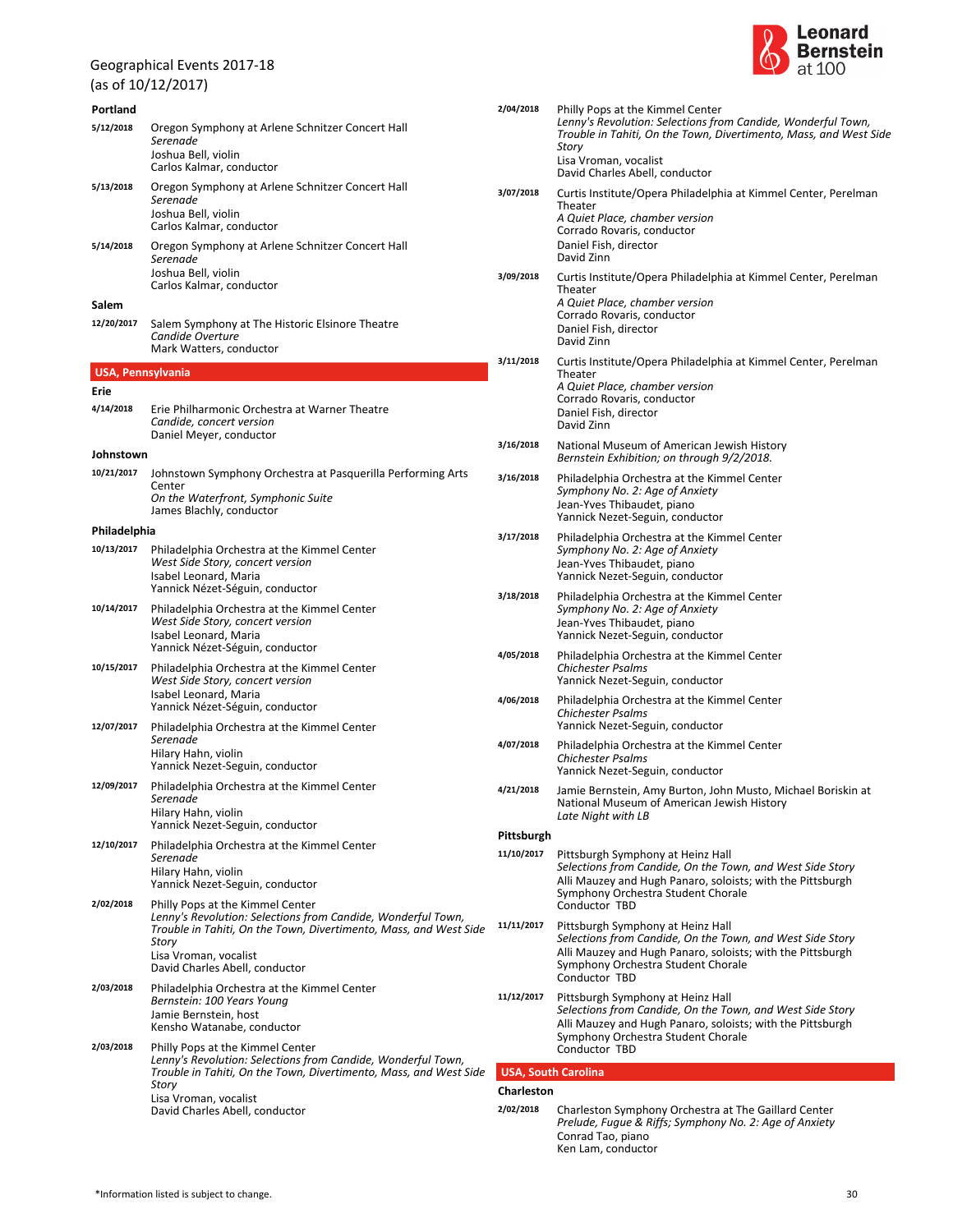(as of 10/12/2017)

| Portland<br>5/12/2018    | Oregon Symphony at Arlene Schnitzer Concert Hall<br>Serenade<br>Joshua Bell, violin<br>Carlos Kalmar, conductor                                                                | 2/04/2018         | Philly Pops at the Kimmel Center<br>Lenny's Revolution: Selections from Candide, Wonderfu<br>Trouble in Tahiti, On the Town, Divertimento, Mass, and<br>Story<br>Lisa Vroman, vocalist |
|--------------------------|--------------------------------------------------------------------------------------------------------------------------------------------------------------------------------|-------------------|----------------------------------------------------------------------------------------------------------------------------------------------------------------------------------------|
| 5/13/2018                | Oregon Symphony at Arlene Schnitzer Concert Hall<br>Serenade<br>Joshua Bell, violin                                                                                            | 3/07/2018         | David Charles Abell, conductor<br>Curtis Institute/Opera Philadelphia at Kimmel Center, F<br>Theater<br>A Quiet Place, chamber version                                                 |
| 5/14/2018                | Carlos Kalmar, conductor<br>Oregon Symphony at Arlene Schnitzer Concert Hall<br>Serenade<br>Joshua Bell, violin                                                                |                   | Corrado Rovaris, conductor<br>Daniel Fish, director<br>David Zinn                                                                                                                      |
|                          | Carlos Kalmar, conductor                                                                                                                                                       | 3/09/2018         | Curtis Institute/Opera Philadelphia at Kimmel Center, F<br>Theater<br>A Quiet Place, chamber version                                                                                   |
| Salem<br>12/20/2017      | Salem Symphony at The Historic Elsinore Theatre<br>Candide Overture<br>Mark Watters, conductor                                                                                 |                   | Corrado Rovaris, conductor<br>Daniel Fish, director<br>David Zinn                                                                                                                      |
| <b>USA, Pennsylvania</b> |                                                                                                                                                                                | 3/11/2018         | Curtis Institute/Opera Philadelphia at Kimmel Center, F<br>Theater                                                                                                                     |
| Erie<br>4/14/2018        | Erie Philharmonic Orchestra at Warner Theatre                                                                                                                                  |                   | A Quiet Place, chamber version<br>Corrado Rovaris, conductor                                                                                                                           |
|                          | Candide, concert version<br>Daniel Meyer, conductor                                                                                                                            |                   | Daniel Fish, director<br>David Zinn                                                                                                                                                    |
| Johnstown                |                                                                                                                                                                                | 3/16/2018         | National Museum of American Jewish History<br>Bernstein Exhibition; on through 9/2/2018.                                                                                               |
| 10/21/2017               | Johnstown Symphony Orchestra at Pasquerilla Performing Arts<br>Center<br>On the Waterfront, Symphonic Suite<br>James Blachly, conductor                                        | 3/16/2018         | Philadelphia Orchestra at the Kimmel Center<br>Symphony No. 2: Age of Anxiety<br>Jean-Yves Thibaudet, piano                                                                            |
| Philadelphia             |                                                                                                                                                                                | 3/17/2018         | Yannick Nezet-Seguin, conductor<br>Philadelphia Orchestra at the Kimmel Center                                                                                                         |
| 10/13/2017               | Philadelphia Orchestra at the Kimmel Center<br>West Side Story, concert version<br>Isabel Leonard, Maria                                                                       |                   | Symphony No. 2: Age of Anxiety<br>Jean-Yves Thibaudet, piano<br>Yannick Nezet-Seguin, conductor                                                                                        |
| 10/14/2017               | Yannick Nézet-Séguin, conductor<br>Philadelphia Orchestra at the Kimmel Center<br>West Side Story, concert version<br>Isabel Leonard, Maria                                    | 3/18/2018         | Philadelphia Orchestra at the Kimmel Center<br>Symphony No. 2: Age of Anxiety<br>Jean-Yves Thibaudet, piano<br>Yannick Nezet-Seguin, conductor                                         |
| 10/15/2017               | Yannick Nézet-Séguin, conductor<br>Philadelphia Orchestra at the Kimmel Center<br>West Side Story, concert version                                                             | 4/05/2018         | Philadelphia Orchestra at the Kimmel Center<br><b>Chichester Psalms</b><br>Yannick Nezet-Seguin, conductor                                                                             |
| 12/07/2017               | Isabel Leonard, Maria<br>Yannick Nézet-Séguin, conductor                                                                                                                       | 4/06/2018         | Philadelphia Orchestra at the Kimmel Center<br><b>Chichester Psalms</b><br>Yannick Nezet-Seguin, conductor                                                                             |
|                          | Philadelphia Orchestra at the Kimmel Center<br>Serenade<br>Hilary Hahn, violin<br>Yannick Nezet-Seguin, conductor                                                              | 4/07/2018         | Philadelphia Orchestra at the Kimmel Center<br><b>Chichester Psalms</b><br>Yannick Nezet-Seguin, conductor                                                                             |
| 12/09/2017               | Philadelphia Orchestra at the Kimmel Center<br>Serenade<br>Hilary Hahn, violin                                                                                                 | 4/21/2018         | Jamie Bernstein, Amy Burton, John Musto, Michael Bor<br>National Museum of American Jewish History<br>Late Night with LB                                                               |
| 12/10/2017               | Yannick Nezet-Seguin, conductor<br>Philadelphia Orchestra at the Kimmel Center                                                                                                 | Pittsburgh        |                                                                                                                                                                                        |
|                          | Serenade<br>Hilary Hahn, violin<br>Yannick Nezet-Seguin, conductor                                                                                                             | 11/10/2017        | Pittsburgh Symphony at Heinz Hall<br>Selections from Candide, On the Town, and West Side S<br>Alli Mauzey and Hugh Panaro, soloists; with the Pittsbu                                  |
| 2/02/2018                | Philly Pops at the Kimmel Center<br>Lenny's Revolution: Selections from Candide, Wonderful Town,<br>Trouble in Tahiti, On the Town, Divertimento, Mass, and West Side<br>Story | 11/11/2017        | Symphony Orchestra Student Chorale<br>Conductor TBD<br>Pittsburgh Symphony at Heinz Hall<br>Selections from Candide, On the Town, and West Side S                                      |
|                          | Lisa Vroman, vocalist<br>David Charles Abell, conductor                                                                                                                        |                   | Alli Mauzey and Hugh Panaro, soloists; with the Pittsbu<br>Symphony Orchestra Student Chorale<br>Conductor TBD                                                                         |
| 2/03/2018                | Philadelphia Orchestra at the Kimmel Center<br>Bernstein: 100 Years Young<br>Jamie Bernstein, host<br>Kensho Watanabe, conductor                                               | 11/12/2017        | Pittsburgh Symphony at Heinz Hall<br>Selections from Candide, On the Town, and West Side S<br>Alli Mauzey and Hugh Panaro, soloists; with the Pittsbu                                  |
| 2/03/2018                | Philly Pops at the Kimmel Center<br>Lenny's Revolution: Selections from Candide, Wonderful Town,                                                                               |                   | Symphony Orchestra Student Chorale<br>Conductor TBD                                                                                                                                    |
|                          | Trouble in Tahiti, On the Town, Divertimento, Mass, and West Side<br>Story                                                                                                     | <b>Charleston</b> | <b>USA, South Carolina</b>                                                                                                                                                             |
|                          | Lisa Vroman, vocalist<br>David Charles Abell, conductor                                                                                                                        | 2/02/2018         | Charleston Symphony Orchestra at The Gaillard Center                                                                                                                                   |
|                          |                                                                                                                                                                                |                   | Prelude, Fugue & Riffs; Symphony No. 2: Age of Anxiety<br>Conrad Tao, piano                                                                                                            |



|      | 2/04/2018                  | Philly Pops at the Kimmel Center<br>Lenny's Revolution: Selections from Candide, Wonderful Town,<br>Trouble in Tahiti, On the Town, Divertimento, Mass, and West Side<br>Story<br>Lisa Vroman, vocalist<br>David Charles Abell, conductor |
|------|----------------------------|-------------------------------------------------------------------------------------------------------------------------------------------------------------------------------------------------------------------------------------------|
|      | 3/07/2018                  | Curtis Institute/Opera Philadelphia at Kimmel Center, Perelman<br>Theater<br>A Quiet Place, chamber version<br>Corrado Rovaris, conductor<br>Daniel Fish, director<br>David Zinn                                                          |
|      | 3/09/2018                  | Curtis Institute/Opera Philadelphia at Kimmel Center, Perelman<br>Theater<br>A Quiet Place, chamber version<br>Corrado Rovaris, conductor<br>Daniel Fish, director<br>David Zinn                                                          |
|      | 3/11/2018                  | Curtis Institute/Opera Philadelphia at Kimmel Center, Perelman<br>Theater<br>A Quiet Place, chamber version<br>Corrado Rovaris, conductor<br>Daniel Fish, director<br>David Zinn                                                          |
|      | 3/16/2018                  | National Museum of American Jewish History<br>Bernstein Exhibition; on through 9/2/2018.                                                                                                                                                  |
|      | 3/16/2018                  | Philadelphia Orchestra at the Kimmel Center<br>Symphony No. 2: Age of Anxiety<br>Jean-Yves Thibaudet, piano<br>Yannick Nezet-Seguin, conductor                                                                                            |
|      | 3/17/2018                  | Philadelphia Orchestra at the Kimmel Center<br>Symphony No. 2: Age of Anxiety<br>Jean-Yves Thibaudet, piano<br>Yannick Nezet-Seguin, conductor                                                                                            |
|      | 3/18/2018                  | Philadelphia Orchestra at the Kimmel Center<br>Symphony No. 2: Age of Anxiety<br>Jean-Yves Thibaudet, piano<br>Yannick Nezet-Seguin, conductor                                                                                            |
|      | 4/05/2018                  | Philadelphia Orchestra at the Kimmel Center<br><b>Chichester Psalms</b><br>Yannick Nezet-Seguin, conductor                                                                                                                                |
|      | 4/06/2018                  | Philadelphia Orchestra at the Kimmel Center<br>Chichester Psalms<br>Yannick Nezet-Seguin, conductor                                                                                                                                       |
|      | 4/07/2018                  | Philadelphia Orchestra at the Kimmel Center<br>Chichester Psalms<br>Yannick Nezet-Seguin, conductor                                                                                                                                       |
|      | 4/21/2018                  | Jamie Bernstein, Amy Burton, John Musto, Michael Boriskin at<br>National Museum of American Jewish History<br>Late Night with LB                                                                                                          |
|      | Pittsburgh                 |                                                                                                                                                                                                                                           |
|      | 11/10/2017                 | Pittsburgh Symphony at Heinz Hall<br>Selections from Candide, On the Town, and West Side Story<br>Alli Mauzey and Hugh Panaro, soloists; with the Pittsburgh<br>Symphony Orchestra Student Chorale<br>Conductor TBD                       |
| ide: | 11/11/2017                 | Pittsburgh Symphony at Heinz Hall<br>Selections from Candide, On the Town, and West Side Story<br>Alli Mauzey and Hugh Panaro, soloists; with the Pittsburgh<br>Symphony Orchestra Student Chorale<br>Conductor TBD                       |
|      | 11/12/2017                 | Pittsburgh Symphony at Heinz Hall<br>Selections from Candide, On the Town, and West Side Story<br>Alli Mauzey and Hugh Panaro, soloists; with the Pittsburgh<br>Symphony Orchestra Student Chorale<br>Conductor TBD                       |
| ide: | <b>USA, South Carolina</b> |                                                                                                                                                                                                                                           |
|      | Charleston                 |                                                                                                                                                                                                                                           |
|      | 2/02/2018                  | Charleston Symphony Orchestra at The Gaillard Center                                                                                                                                                                                      |

Ken Lam, conductor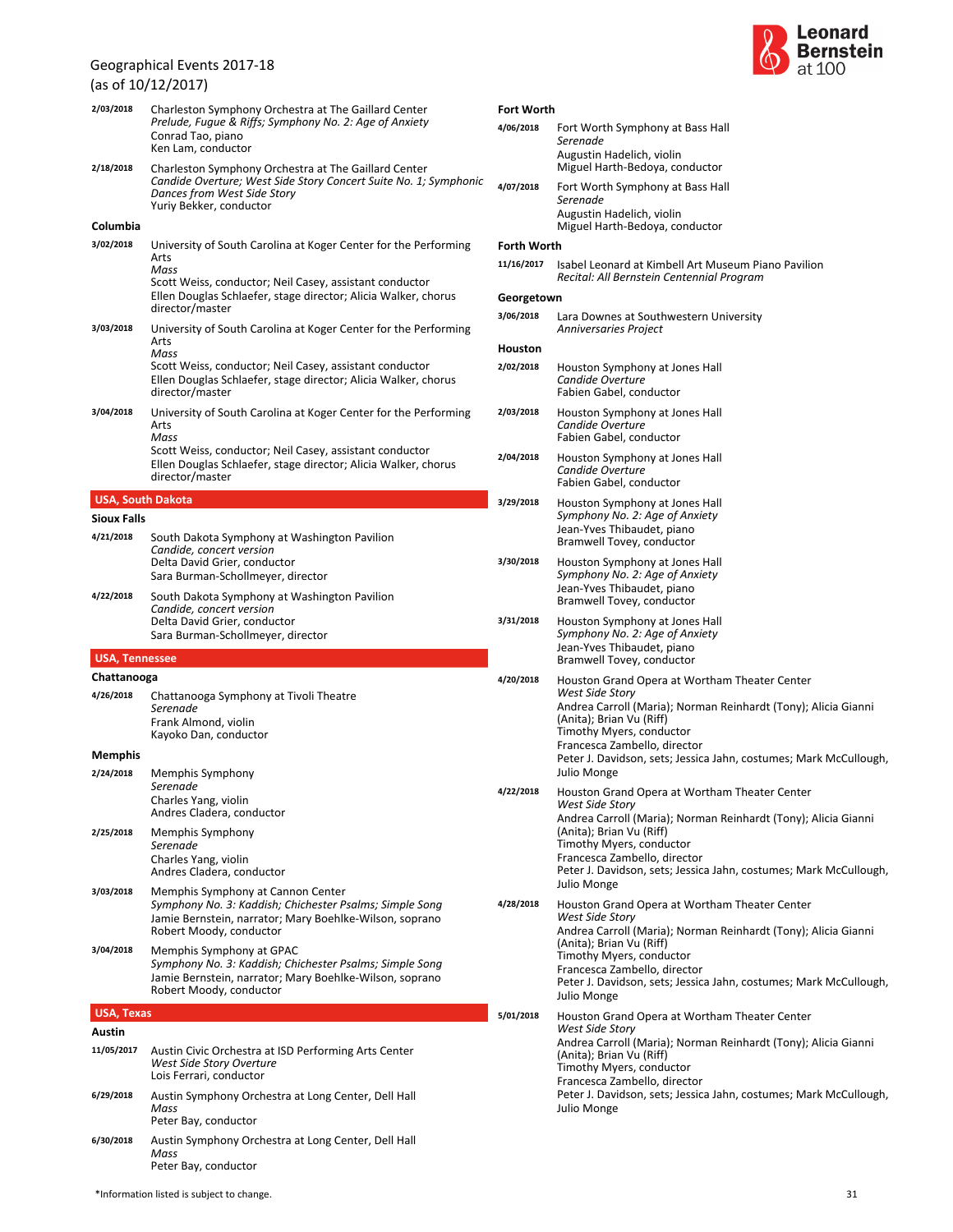### (as of 10/12/2017)

| 2/03/2018             | Charleston Symphony Orchestra at The Gaillard Center<br>Prelude, Fugue & Riffs; Symphony No. 2: Age of Anxiety<br>Conrad Tao, piano<br>Ken Lam. conductor                                                                       |
|-----------------------|---------------------------------------------------------------------------------------------------------------------------------------------------------------------------------------------------------------------------------|
| 2/18/2018             | Charleston Symphony Orchestra at The Gaillard Center<br>Candide Overture; West Side Story Concert Suite No. 1; Symphonic<br>Dances from West Side Story<br>Yuriy Bekker, conductor                                              |
| Columbia              |                                                                                                                                                                                                                                 |
| 3/02/2018             | University of South Carolina at Koger Center for the Performing<br>Arts<br>Mass<br>Scott Weiss, conductor; Neil Casey, assistant conductor<br>Ellen Douglas Schlaefer, stage director; Alicia Walker, chorus<br>director/master |
| 3/03/2018             | University of South Carolina at Koger Center for the Performing<br>Arts<br>Mass<br>Scott Weiss, conductor; Neil Casey, assistant conductor<br>Ellen Douglas Schlaefer, stage director; Alicia Walker, chorus<br>director/master |
| 3/04/2018             | University of South Carolina at Koger Center for the Performing<br>Arts<br>Mass                                                                                                                                                 |
|                       | Scott Weiss, conductor; Neil Casey, assistant conductor<br>Ellen Douglas Schlaefer, stage director; Alicia Walker, chorus<br>director/master                                                                                    |
|                       | <b>USA, South Dakota</b>                                                                                                                                                                                                        |
| <b>Sioux Falls</b>    |                                                                                                                                                                                                                                 |
| 4/21/2018             | South Dakota Symphony at Washington Pavilion<br>Candide, concert version<br>Delta David Grier, conductor<br>Sara Burman-Schollmeyer, director                                                                                   |
| 4/22/2018             | South Dakota Symphony at Washington Pavilion<br>Candide, concert version<br>Delta David Grier, conductor<br>Sara Burman-Schollmeyer, director                                                                                   |
| <b>USA, Tennessee</b> |                                                                                                                                                                                                                                 |
| Chattanooga           |                                                                                                                                                                                                                                 |
| 4/26/2018             | Chattanooga Symphony at Tivoli Theatre<br>Serenade<br>Frank Almond, violin<br>Kayoko Dan, conductor                                                                                                                             |
| Memphis               |                                                                                                                                                                                                                                 |
| 2/24/2018             | Memphis Symphony<br>Serenade<br>Charles Yang, violin<br>Andres Cladera, conductor                                                                                                                                               |
| 2/25/2018             | Memphis Symphony<br>Serenade<br>Charles Yang, violin<br>Andres Cladera, conductor                                                                                                                                               |
| 3/03/2018             | Memphis Symphony at Cannon Center<br>Symphony No. 3: Kaddish; Chichester Psalms; Simple Song<br>Jamie Bernstein, narrator; Mary Boehlke-Wilson, soprano<br>Robert Moody, conductor                                              |
| 3/04/2018             | Memphis Symphony at GPAC<br>Symphony No. 3: Kaddish; Chichester Psalms; Simple Song<br>Jamie Bernstein, narrator; Mary Boehlke-Wilson, soprano<br>Robert Moody, conductor                                                       |
| <b>USA, Texas</b>     |                                                                                                                                                                                                                                 |
| Austin                |                                                                                                                                                                                                                                 |
| 11/05/2017            | Austin Civic Orchestra at ISD Performing Arts Center<br>West Side Story Overture<br>Lois Ferrari, conductor                                                                                                                     |
| 6/29/2018             | Austin Symphony Orchestra at Long Center, Dell Hall<br>Mass<br>Peter Bay, conductor                                                                                                                                             |

*Mass* Peter Bay, conductor **6/30/2018** Austin Symphony Orchestra at Long Center, Dell Hall



| <b>Fort Worth</b>  |                                                                                                                                                                                                                                                                                                                |  |  |  |
|--------------------|----------------------------------------------------------------------------------------------------------------------------------------------------------------------------------------------------------------------------------------------------------------------------------------------------------------|--|--|--|
| 4/06/2018          | Fort Worth Symphony at Bass Hall<br>Serenade                                                                                                                                                                                                                                                                   |  |  |  |
|                    | Augustin Hadelich, violin<br>Miguel Harth-Bedoya, conductor                                                                                                                                                                                                                                                    |  |  |  |
| 4/07/2018          | Fort Worth Symphony at Bass Hall<br>Serenade                                                                                                                                                                                                                                                                   |  |  |  |
|                    | Augustin Hadelich, violin<br>Miguel Harth-Bedoya, conductor                                                                                                                                                                                                                                                    |  |  |  |
| <b>Forth Worth</b> |                                                                                                                                                                                                                                                                                                                |  |  |  |
| 11/16/2017         | Isabel Leonard at Kimbell Art Museum Piano Pavilion<br>Recital: All Bernstein Centennial Program                                                                                                                                                                                                               |  |  |  |
| Georgetown         |                                                                                                                                                                                                                                                                                                                |  |  |  |
| 3/06/2018          | Lara Downes at Southwestern University<br><b>Anniversaries Project</b>                                                                                                                                                                                                                                         |  |  |  |
| Houston            |                                                                                                                                                                                                                                                                                                                |  |  |  |
| 2/02/2018          | Houston Symphony at Jones Hall<br>Candide Overture<br>Fabien Gabel, conductor                                                                                                                                                                                                                                  |  |  |  |
| 2/03/2018          | Houston Symphony at Jones Hall<br>Candide Overture<br>Fabien Gabel, conductor                                                                                                                                                                                                                                  |  |  |  |
| 2/04/2018          | Houston Symphony at Jones Hall<br>Candide Overture<br>Fabien Gabel, conductor                                                                                                                                                                                                                                  |  |  |  |
| 3/29/2018          | Houston Symphony at Jones Hall<br>Symphony No. 2: Age of Anxiety<br>Jean-Yves Thibaudet, piano<br>Bramwell Tovey, conductor                                                                                                                                                                                    |  |  |  |
| 3/30/2018          | Houston Symphony at Jones Hall<br>Symphony No. 2: Age of Anxiety<br>Jean-Yves Thibaudet, piano<br>Bramwell Tovey, conductor                                                                                                                                                                                    |  |  |  |
| 3/31/2018          | Houston Symphony at Jones Hall<br>Symphony No. 2: Age of Anxiety<br>Jean-Yves Thibaudet, piano<br>Bramwell Tovey, conductor                                                                                                                                                                                    |  |  |  |
| 4/20/2018          | Houston Grand Opera at Wortham Theater Center<br>West Side Story<br>Andrea Carroll (Maria); Norman Reinhardt (Tony); Alicia Gianni<br>(Anita); Brian Vu (Riff)<br>Timothy Myers, conductor<br>Francesca Zambello, director<br>Peter J. Davidson, sets; Jessica Jahn, costumes; Mark McCullough,<br>Julio Monge |  |  |  |
| 4/22/2018          | Houston Grand Opera at Wortham Theater Center<br>West Side Story<br>Andrea Carroll (Maria); Norman Reinhardt (Tony); Alicia Gianni<br>(Anita); Brian Vu (Riff)<br>Timothy Myers, conductor<br>Francesca Zambello, director<br>Peter J. Davidson, sets; Jessica Jahn, costumes; Mark McCullough,<br>Julio Monge |  |  |  |
| 4/28/2018          | Houston Grand Opera at Wortham Theater Center<br>West Side Story<br>Andrea Carroll (Maria); Norman Reinhardt (Tony); Alicia Gianni<br>(Anita); Brian Vu (Riff)<br>Timothy Myers, conductor<br>Francesca Zambello, director<br>Peter J. Davidson, sets; Jessica Jahn, costumes; Mark McCullough,<br>Julio Monge |  |  |  |
|                    |                                                                                                                                                                                                                                                                                                                |  |  |  |

*West Side Story* Timothy Myers, conductor Andrea Carroll (Maria); Norman Reinhardt (Tony); Alicia Gianni (Anita); Brian Vu (Riff) Francesca Zambello, director **5/01/2018** Houston Grand Opera at Wortham Theater Center Peter J. Davidson, sets; Jessica Jahn, costumes; Mark McCullough, Julio Monge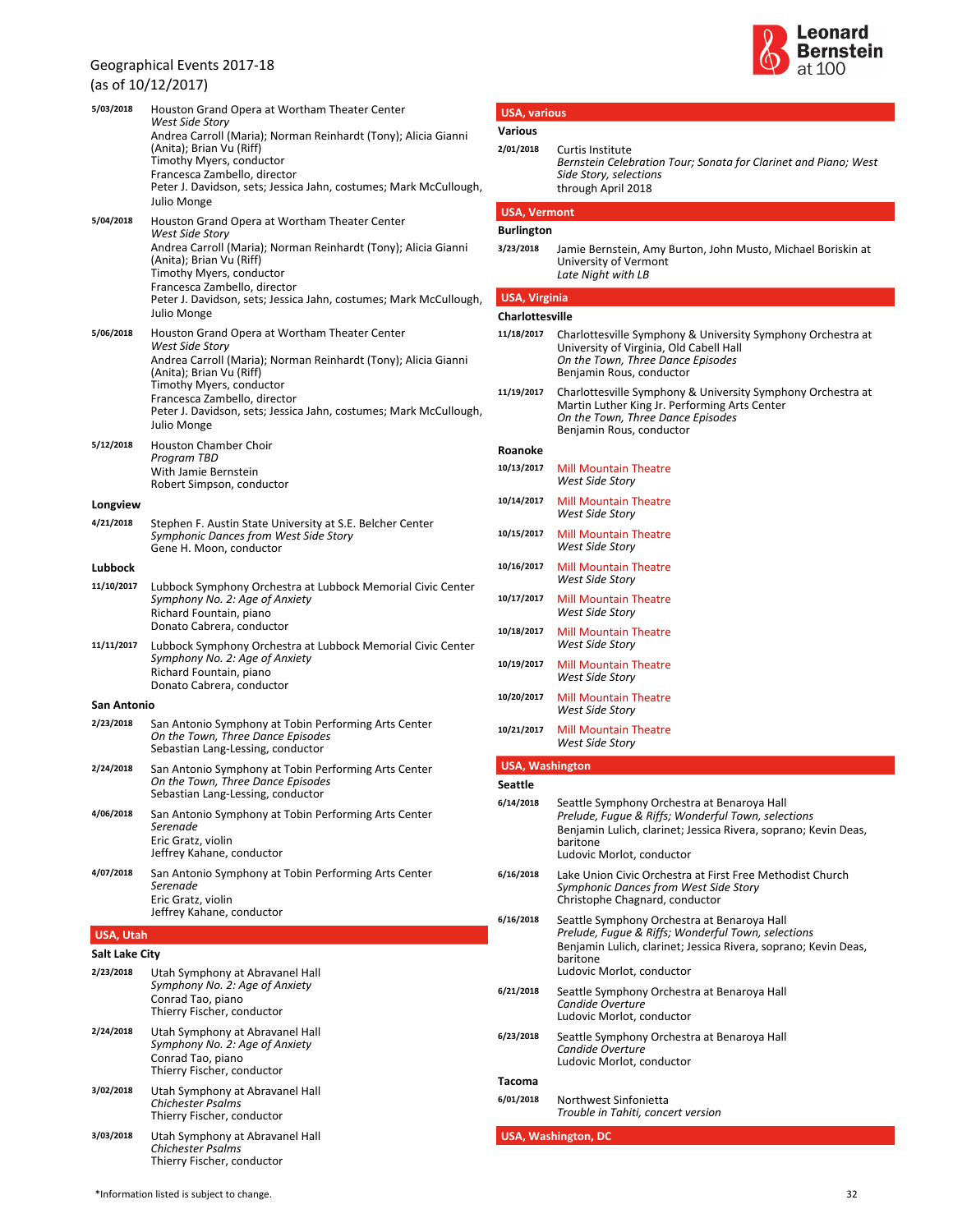### (as of 10/12/2017)

| 5/03/2018      | Houston Grand Opera at Wortham Theater Center<br>West Side Story                                                                                                                                                                                              |
|----------------|---------------------------------------------------------------------------------------------------------------------------------------------------------------------------------------------------------------------------------------------------------------|
|                | Andrea Carroll (Maria); Norman Reinhardt (Tony); Alicia Gianni<br>(Anita); Brian Vu (Riff)<br>Timothy Myers, conductor                                                                                                                                        |
|                | Francesca Zambello, director                                                                                                                                                                                                                                  |
|                | Peter J. Davidson, sets; Jessica Jahn, costumes; Mark McCullough,<br>Julio Monge                                                                                                                                                                              |
| 5/04/2018      | Houston Grand Opera at Wortham Theater Center<br>West Side Story                                                                                                                                                                                              |
|                | Andrea Carroll (Maria); Norman Reinhardt (Tony); Alicia Gianni<br>(Anita); Brian Vu (Riff)<br>Timothy Myers, conductor<br>Francesca Zambello, director<br>Peter J. Davidson, sets; Jessica Jahn, costumes; Mark McCullough,                                   |
| 5/06/2018      | Julio Monge<br>Houston Grand Opera at Wortham Theater Center                                                                                                                                                                                                  |
|                | West Side Story<br>Andrea Carroll (Maria); Norman Reinhardt (Tony); Alicia Gianni<br>(Anita); Brian Vu (Riff)<br>Timothy Myers, conductor<br>Francesca Zambello, director<br>Peter J. Davidson, sets; Jessica Jahn, costumes; Mark McCullough,<br>Julio Monge |
| 5/12/2018      | Houston Chamber Choir<br>Program TBD<br>With Jamie Bernstein<br>Robert Simpson, conductor                                                                                                                                                                     |
| Longview       |                                                                                                                                                                                                                                                               |
| 4/21/2018      | Stephen F. Austin State University at S.E. Belcher Center<br>Symphonic Dances from West Side Story<br>Gene H. Moon, conductor                                                                                                                                 |
| Lubbock        |                                                                                                                                                                                                                                                               |
| 11/10/2017     | Lubbock Symphony Orchestra at Lubbock Memorial Civic Center<br>Symphony No. 2: Age of Anxiety<br>Richard Fountain, piano<br>Donato Cabrera, conductor                                                                                                         |
| 11/11/2017     | Lubbock Symphony Orchestra at Lubbock Memorial Civic Center<br>Symphony No. 2: Age of Anxiety<br>Richard Fountain, piano<br>Donato Cabrera, conductor                                                                                                         |
| San Antonio    |                                                                                                                                                                                                                                                               |
| 2/23/2018      | San Antonio Symphony at Tobin Performing Arts Center<br>On the Town, Three Dance Episodes<br>Sebastian Lang-Lessing, conductor                                                                                                                                |
| 2/24/2018      | San Antonio Symphony at Tobin Performing Arts Center<br>On the Town, Three Dance Episodes<br>Sebastian Lang-Lessing, conductor                                                                                                                                |
| 4/06/2018      | San Antonio Symphony at Tobin Performing Arts Center<br>Serenade<br>Eric Gratz, violin<br>Jeffrey Kahane, conductor                                                                                                                                           |
| 4/07/2018      | San Antonio Symphony at Tobin Performing Arts Center<br>Serenade<br>Eric Gratz, violin                                                                                                                                                                        |
|                | Jeffrey Kahane, conductor                                                                                                                                                                                                                                     |
| USA, Utah      |                                                                                                                                                                                                                                                               |
| Salt Lake City |                                                                                                                                                                                                                                                               |
| 2/23/2018      | Utah Symphony at Abravanel Hall<br>Symphony No. 2: Age of Anxiety<br>Conrad Tao, piano<br>Thierry Fischer, conductor                                                                                                                                          |
| 2/24/2018      | Utah Symphony at Abravanel Hall<br>Symphony No. 2: Age of Anxiety<br>Conrad Tao, piano<br>Thierry Fischer, conductor                                                                                                                                          |
| 3/02/2018      | Utah Symphony at Abravanel Hall<br><b>Chichester Psalms</b><br>Thierry Fischer, conductor                                                                                                                                                                     |
| 3/03/2018      | Utah Symphony at Abravanel Hall<br><b>Chichester Psalms</b>                                                                                                                                                                                                   |



| 2/01/2018                      |                                                                                                                                                                                                               |
|--------------------------------|---------------------------------------------------------------------------------------------------------------------------------------------------------------------------------------------------------------|
|                                | Curtis Institute<br>Bernstein Celebration Tour; Sonata for Clarinet and Piano; West<br>Side Story, selections<br>through April 2018                                                                           |
| <b>USA, Vermont</b>            |                                                                                                                                                                                                               |
| <b>Burlington</b><br>3/23/2018 | Jamie Bernstein, Amy Burton, John Musto, Michael Boriskin at<br>University of Vermont<br>Late Night with LB                                                                                                   |
| <b>USA, Virginia</b>           |                                                                                                                                                                                                               |
| <b>Charlottesville</b>         |                                                                                                                                                                                                               |
| 11/18/2017                     | Charlottesville Symphony & University Symphony Orchestra at<br>University of Virginia, Old Cabell Hall<br>On the Town, Three Dance Episodes<br>Benjamin Rous, conductor                                       |
| 11/19/2017                     | Charlottesville Symphony & University Symphony Orchestra at<br>Martin Luther King Jr. Performing Arts Center<br>On the Town, Three Dance Episodes<br>Benjamin Rous, conductor                                 |
| Roanoke                        |                                                                                                                                                                                                               |
| 10/13/2017                     | <b>Mill Mountain Theatre</b><br><b>West Side Story</b>                                                                                                                                                        |
| 10/14/2017                     | <b>Mill Mountain Theatre</b><br>West Side Story                                                                                                                                                               |
| 10/15/2017                     | <b>Mill Mountain Theatre</b><br>West Side Story                                                                                                                                                               |
| 10/16/2017                     | <b>Mill Mountain Theatre</b><br>West Side Story                                                                                                                                                               |
| 10/17/2017                     | <b>Mill Mountain Theatre</b><br><b>West Side Story</b>                                                                                                                                                        |
| 10/18/2017                     | <b>Mill Mountain Theatre</b><br><b>West Side Story</b>                                                                                                                                                        |
| 10/19/2017                     | <b>Mill Mountain Theatre</b><br><b>West Side Story</b>                                                                                                                                                        |
| 10/20/2017                     | <b>Mill Mountain Theatre</b><br><b>West Side Story</b>                                                                                                                                                        |
| 10/21/2017                     | <b>Mill Mountain Theatre</b><br><b>West Side Story</b>                                                                                                                                                        |
| <b>USA, Washington</b>         |                                                                                                                                                                                                               |
|                                |                                                                                                                                                                                                               |
| <b>Seattle</b>                 |                                                                                                                                                                                                               |
| 6/14/2018                      | Seattle Symphony Orchestra at Benaroya Hall<br>Prelude, Fugue & Riffs; Wonderful Town, selections<br>Benjamin Lulich, clarinet; Jessica Rivera, soprano; Kevin Deas,<br>baritone<br>Ludovic Morlot, conductor |
| 6/16/2018                      | Lake Union Civic Orchestra at First Free Methodist Church<br>Symphonic Dances from West Side Story<br>Christophe Chagnard, conductor                                                                          |
| 6/16/2018                      | Seattle Symphony Orchestra at Benaroya Hall<br>Prelude, Fugue & Riffs; Wonderful Town, selections<br>Benjamin Lulich, clarinet; Jessica Rivera, soprano; Kevin Deas,<br>baritone<br>Ludovic Morlot, conductor |
| 6/21/2018                      | Seattle Symphony Orchestra at Benaroya Hall<br>Candide Overture<br>Ludovic Morlot, conductor                                                                                                                  |
| 6/23/2018                      | Seattle Symphony Orchestra at Benaroya Hall<br>Candide Overture<br>Ludovic Morlot, conductor                                                                                                                  |
| Tacoma                         |                                                                                                                                                                                                               |

**USA, various**

Thierry Fischer, conductor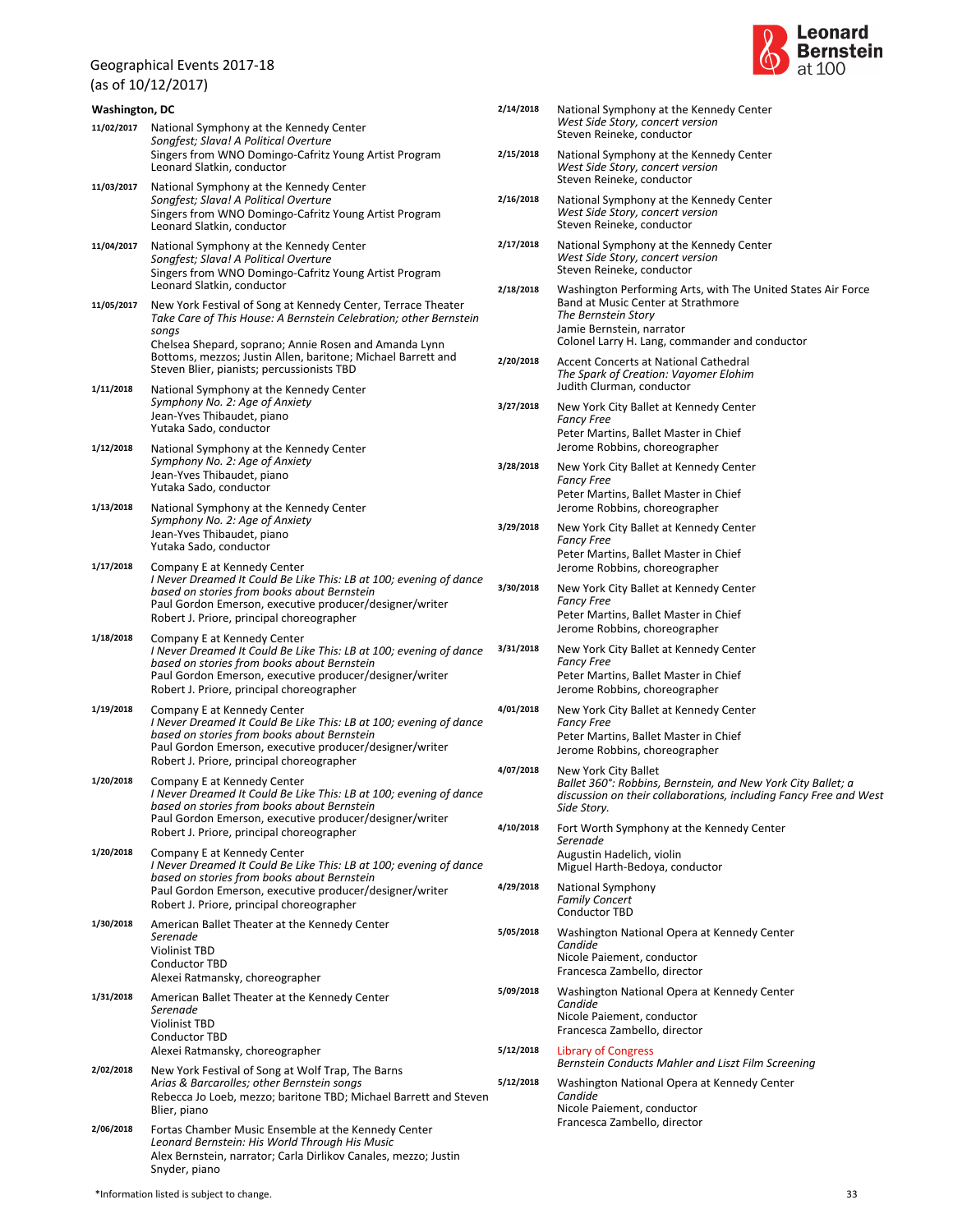(as of 10/12/2017)



|            | <b>Washington, DC</b>                                                                                                                                                                                                                                                                             |           | National Symphony at the Kennedy Center                                                                                                                                                                  |
|------------|---------------------------------------------------------------------------------------------------------------------------------------------------------------------------------------------------------------------------------------------------------------------------------------------------|-----------|----------------------------------------------------------------------------------------------------------------------------------------------------------------------------------------------------------|
| 11/02/2017 | National Symphony at the Kennedy Center<br>Songfest; Slava! A Political Overture                                                                                                                                                                                                                  |           | West Side Story, concert version<br>Steven Reineke, conductor                                                                                                                                            |
| 11/03/2017 | Singers from WNO Domingo-Cafritz Young Artist Program<br>Leonard Slatkin, conductor<br>National Symphony at the Kennedy Center                                                                                                                                                                    | 2/15/2018 | National Symphony at the Kennedy Center<br>West Side Story, concert version<br>Steven Reineke, conductor                                                                                                 |
|            | Songfest; Slava! A Political Overture<br>Singers from WNO Domingo-Cafritz Young Artist Program<br>Leonard Slatkin, conductor                                                                                                                                                                      | 2/16/2018 | National Symphony at the Kennedy Center<br>West Side Story, concert version<br>Steven Reineke, conductor                                                                                                 |
| 11/04/2017 | National Symphony at the Kennedy Center<br>Songfest; Slava! A Political Overture<br>Singers from WNO Domingo-Cafritz Young Artist Program                                                                                                                                                         | 2/17/2018 | National Symphony at the Kennedy Center<br>West Side Story, concert version<br>Steven Reineke, conductor                                                                                                 |
| 11/05/2017 | Leonard Slatkin, conductor<br>New York Festival of Song at Kennedy Center, Terrace Theater<br>Take Care of This House: A Bernstein Celebration; other Bernstein<br>songs<br>Chelsea Shepard, soprano; Annie Rosen and Amanda Lynn<br>Bottoms, mezzos; Justin Allen, baritone; Michael Barrett and | 2/18/2018 | Washington Performing Arts, with The United States Air Force<br>Band at Music Center at Strathmore<br>The Bernstein Story<br>Jamie Bernstein, narrator<br>Colonel Larry H. Lang, commander and conductor |
| 1/11/2018  | Steven Blier, pianists; percussionists TBD<br>National Symphony at the Kennedy Center                                                                                                                                                                                                             | 2/20/2018 | Accent Concerts at National Cathedral<br>The Spark of Creation: Vayomer Elohim<br>Judith Clurman, conductor                                                                                              |
|            | Symphony No. 2: Age of Anxiety<br>Jean-Yves Thibaudet, piano<br>Yutaka Sado, conductor                                                                                                                                                                                                            | 3/27/2018 | New York City Ballet at Kennedy Center<br><b>Fancy Free</b><br>Peter Martins, Ballet Master in Chief                                                                                                     |
| 1/12/2018  | National Symphony at the Kennedy Center<br>Symphony No. 2: Age of Anxiety<br>Jean-Yves Thibaudet, piano                                                                                                                                                                                           | 3/28/2018 | Jerome Robbins, choreographer<br>New York City Ballet at Kennedy Center                                                                                                                                  |
| 1/13/2018  | Yutaka Sado, conductor<br>National Symphony at the Kennedy Center                                                                                                                                                                                                                                 |           | <b>Fancy Free</b><br>Peter Martins, Ballet Master in Chief<br>Jerome Robbins, choreographer                                                                                                              |
|            | Symphony No. 2: Age of Anxiety<br>Jean-Yves Thibaudet, piano<br>Yutaka Sado, conductor                                                                                                                                                                                                            | 3/29/2018 | New York City Ballet at Kennedy Center<br><b>Fancy Free</b><br>Peter Martins, Ballet Master in Chief                                                                                                     |
| 1/17/2018  | Company E at Kennedy Center<br>I Never Dreamed It Could Be Like This: LB at 100; evening of dance<br>based on stories from books about Bernstein<br>Paul Gordon Emerson, executive producer/designer/writer<br>Robert J. Priore, principal choreographer                                          | 3/30/2018 | Jerome Robbins, choreographer<br>New York City Ballet at Kennedy Center<br><b>Fancy Free</b><br>Peter Martins, Ballet Master in Chief                                                                    |
| 1/18/2018  | Company E at Kennedy Center<br>I Never Dreamed It Could Be Like This: LB at 100; evening of dance<br>based on stories from books about Bernstein<br>Paul Gordon Emerson, executive producer/designer/writer<br>Robert J. Priore, principal choreographer                                          | 3/31/2018 | Jerome Robbins, choreographer<br>New York City Ballet at Kennedy Center<br><b>Fancy Free</b><br>Peter Martins, Ballet Master in Chief<br>Jerome Robbins, choreographer                                   |
| 1/19/2018  | Company E at Kennedy Center<br>I Never Dreamed It Could Be Like This: LB at 100; evening of dance<br>based on stories from books about Bernstein<br>Paul Gordon Emerson, executive producer/designer/writer<br>Robert J. Priore, principal choreographer                                          | 4/01/2018 | New York City Ballet at Kennedy Center<br><b>Fancy Free</b><br>Peter Martins, Ballet Master in Chief<br>Jerome Robbins, choreographer                                                                    |
| 1/20/2018  | Company E at Kennedy Center<br>I Never Dreamed It Could Be Like This: LB at 100; evening of dance<br>based on stories from books about Bernstein<br>Paul Gordon Emerson, executive producer/designer/writer                                                                                       | 4/07/2018 | New York City Ballet<br>Ballet 360°: Robbins, Bernstein, and New York City Ballet; a<br>discussion on their collaborations, including Fancy Free and West<br>Side Story.                                 |
| 1/20/2018  | Robert J. Priore, principal choreographer<br>Company E at Kennedy Center<br>I Never Dreamed It Could Be Like This: LB at 100; evening of dance                                                                                                                                                    | 4/10/2018 | Fort Worth Symphony at the Kennedy Center<br>Serenade<br>Augustin Hadelich, violin                                                                                                                       |
|            | based on stories from books about Bernstein<br>Paul Gordon Emerson, executive producer/designer/writer<br>Robert J. Priore, principal choreographer                                                                                                                                               | 4/29/2018 | Miguel Harth-Bedoya, conductor<br>National Symphony<br><b>Family Concert</b>                                                                                                                             |
| 1/30/2018  | American Ballet Theater at the Kennedy Center<br>Serenade<br><b>Violinist TBD</b><br><b>Conductor TBD</b><br>Alexei Ratmansky, choreographer                                                                                                                                                      | 5/05/2018 | Conductor TBD<br>Washington National Opera at Kennedy Center<br>Candide<br>Nicole Paiement, conductor<br>Francesca Zambello, director                                                                    |
| 1/31/2018  | American Ballet Theater at the Kennedy Center<br>Serenade<br><b>Violinist TBD</b><br>Conductor TBD                                                                                                                                                                                                | 5/09/2018 | Washington National Opera at Kennedy Center<br>Candide<br>Nicole Paiement, conductor<br>Francesca Zambello, director                                                                                     |
| 2/02/2018  | Alexei Ratmansky, choreographer                                                                                                                                                                                                                                                                   | 5/12/2018 | <b>Library of Congress</b><br>Bernstein Conducts Mahler and Liszt Film Screening                                                                                                                         |
| 2/06/2018  | New York Festival of Song at Wolf Trap, The Barns<br>Arias & Barcarolles; other Bernstein songs<br>Rebecca Jo Loeb, mezzo; baritone TBD; Michael Barrett and Steven<br>Blier, piano                                                                                                               | 5/12/2018 | Washington National Opera at Kennedy Center<br>Candide<br>Nicole Paiement, conductor<br>Francesca Zambello, director                                                                                     |
|            | Fortas Chamber Music Ensemble at the Kennedy Center<br>Leonard Bernstein: His World Through His Music                                                                                                                                                                                             |           |                                                                                                                                                                                                          |

Alex Bernstein, narrator; Carla Dirlikov Canales, mezzo; Justin